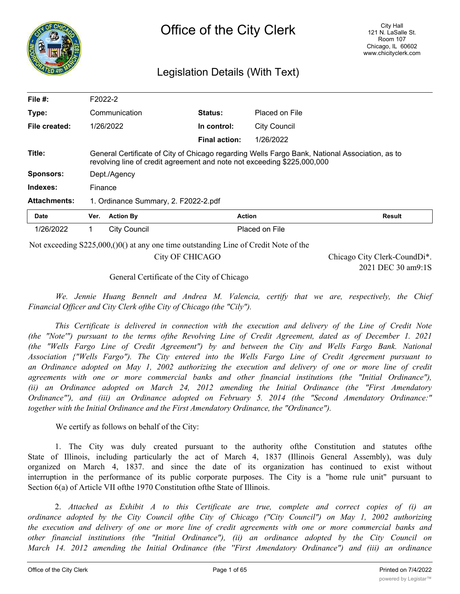

## Legislation Details (With Text)

| File $#$ :          |         | F2022-2                              |                                                                                    |                     |                                                                                                |
|---------------------|---------|--------------------------------------|------------------------------------------------------------------------------------|---------------------|------------------------------------------------------------------------------------------------|
| Type:               |         | Communication                        | Status:                                                                            | Placed on File      |                                                                                                |
| File created:       |         | 1/26/2022                            | In control:                                                                        | <b>City Council</b> |                                                                                                |
|                     |         |                                      | <b>Final action:</b>                                                               | 1/26/2022           |                                                                                                |
| Title:              |         |                                      | revolving line of credit agreement and note not exceeding \$225,000,000            |                     | General Certificate of City of Chicago regarding Wells Fargo Bank, National Association, as to |
| Sponsors:           |         | Dept./Agency                         |                                                                                    |                     |                                                                                                |
| Indexes:            | Finance |                                      |                                                                                    |                     |                                                                                                |
| <b>Attachments:</b> |         | 1. Ordinance Summary, 2. F2022-2.pdf |                                                                                    |                     |                                                                                                |
| Date                | Ver.    | <b>Action By</b>                     | <b>Action</b>                                                                      |                     | <b>Result</b>                                                                                  |
| 1/26/2022           | 1.      | <b>City Council</b>                  |                                                                                    | Placed on File      |                                                                                                |
|                     |         |                                      | Not exceeding $S225,000,00$ at any one time outstanding Line of Credit Note of the |                     |                                                                                                |
|                     |         |                                      | City OF CHICAGO                                                                    |                     | Chicago City Clerk-CoundDi*.<br>2021 DEC 30 am9:1S                                             |

General Certificate of the City of Chicago

*We. Jennie Huang Bennelt and Andrea M. Valencia, certify that we are, respectively, the Chief Financial Officer and City Clerk ofthe City of Chicago (the "Cily").*

*This Certificate is delivered in connection with the execution and delivery of the Line of Credit Note* (the "Note"") pursuant to the terms of the Revolving Line of Credit Agreement, dated as of December 1, 2021 *(the "Wells Fargo Line of Credit Agreement") by and between the City and Wells Fargo Bank. National Association {"Wells Fargo"). The City entered into the Wells Fargo Line of Credit Agreement pursuant to* an Ordinance adopted on May 1, 2002 authorizing the execution and delivery of one or more line of credit *agreements with one or more commercial banks and other financial institutions (the "Initial Ordinance"), (ii) an Ordinance adopted on March 24, 2012 amending the Initial Ordinance (the "First Amendatory Ordinance"'), and (iii) an Ordinance adopted on February 5. 2014 (the "Second Amendatory Ordinance:" together with the Initial Ordinance and the First Amendatory Ordinance, the "Ordinance").*

We certify as follows on behalf of the City:

1. The City was duly created pursuant to the authority ofthe Constitution and statutes ofthe State of Illinois, including particularly the act of March 4, 1837 (Illinois General Assembly), was duly organized on March 4, 1837. and since the date of its organization has continued to exist without interruption in the performance of its public corporate purposes. The City is a "home rule unit" pursuant to Section 6(a) of Article VII of the 1970 Constitution of the State of Illinois.

2. *Attached as Exhibit A to this Certificate are true, complete and correct copies of (i) an ordinance adopted by the City Council ofthe City of Chicago ("City Council") on May 1, 2002 authorizing* the execution and delivery of one or more line of credit agreements with one or more commercial banks and *other financial institutions (the "Initial Ordinance"), (ii) an ordinance adopted by the City Council on March 14. 2012 amending the Initial Ordinance (the ''First Amendatory Ordinance") and (iii) an ordinance*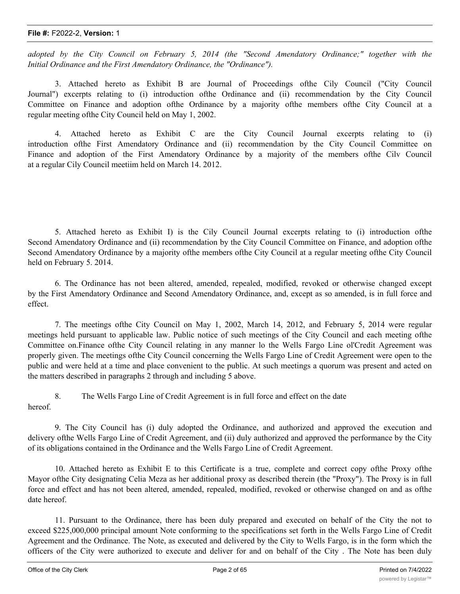*adopted by the City Council on February 5, 2014 (the "Second Amendatory Ordinance;" together with the Initial Ordinance and the First Amendatory Ordinance, the "Ordinance").*

3. Attached hereto as Exhibit B are Journal of Proceedings ofthe Cily Council ("City Council Journal") excerpts relating to (i) introduction ofthe Ordinance and (ii) recommendation by the City Council Committee on Finance and adoption ofthe Ordinance by a majority ofthe members ofthe City Council at a regular meeting ofthe City Council held on May 1, 2002.

4. Attached hereto as Exhibit C are the City Council Journal excerpts relating to (i) introduction ofthe First Amendatory Ordinance and (ii) recommendation by the City Council Committee on Finance and adoption of the First Amendatory Ordinance by a majority of the members ofthe Cilv Council at a regular Cily Council meetiim held on March 14. 2012.

5. Attached hereto as Exhibit I) is the Cily Council Journal excerpts relating to (i) introduction ofthe Second Amendatory Ordinance and (ii) recommendation by the City Council Committee on Finance, and adoption ofthe Second Amendatory Ordinance by a majority ofthe members ofthe City Council at a regular meeting ofthe City Council held on February 5. 2014.

6. The Ordinance has not been altered, amended, repealed, modified, revoked or otherwise changed except by the First Amendatory Ordinance and Second Amendatory Ordinance, and, except as so amended, is in full force and effect.

7. The meetings ofthe City Council on May 1, 2002, March 14, 2012, and February 5, 2014 were regular meetings held pursuant to applicable law. Public notice of such meetings of the City Council and each meeting ofthe Committee on.Finance ofthe City Council relating in any manner lo the Wells Fargo Line ol'Credit Agreement was properly given. The meetings ofthe City Council concerning the Wells Fargo Line of Credit Agreement were open to the public and were held at a time and place convenient to the public. At such meetings a quorum was present and acted on the matters described in paragraphs 2 through and including 5 above.

8. The Wells Fargo Line of Credit Agreement is in full force and effect on the date hereof.

9. The City Council has (i) duly adopted the Ordinance, and authorized and approved the execution and delivery ofthe Wells Fargo Line of Credit Agreement, and (ii) duly authorized and approved the performance by the City of its obligations contained in the Ordinance and the Wells Fargo Line of Credit Agreement.

10. Attached hereto as Exhibit E to this Certificate is a true, complete and correct copy ofthe Proxy ofthe Mayor ofthe City designating Celia Meza as her additional proxy as described therein (the "Proxy"). The Proxy is in full force and effect and has not been altered, amended, repealed, modified, revoked or otherwise changed on and as ofthe date hereof.

11. Pursuant to the Ordinance, there has been duly prepared and executed on behalf of the City the not to exceed \$225,000,000 principal amount Note conforming to the specifications set forth in the Wells Fargo Line of Credit Agreement and the Ordinance. The Note, as executed and delivered by the City to Wells Fargo, is in the form which the officers of the City were authorized to execute and deliver for and on behalf of the City . The Note has been duly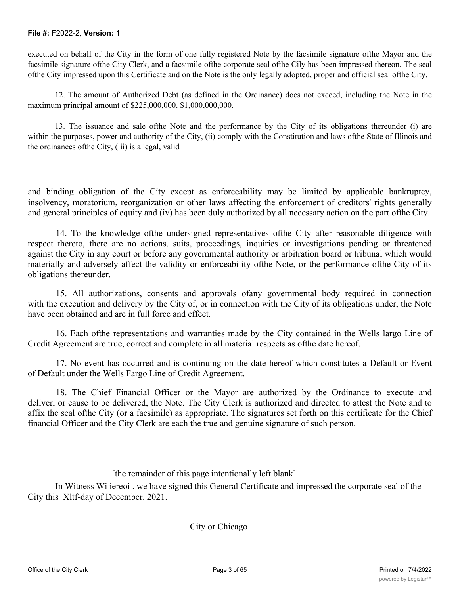executed on behalf of the City in the form of one fully registered Note by the facsimile signature ofthe Mayor and the facsimile signature ofthe City Clerk, and a facsimile ofthe corporate seal ofthe Cily has been impressed thereon. The seal ofthe City impressed upon this Certificate and on the Note is the only legally adopted, proper and official seal ofthe City.

12. The amount of Authorized Debt (as defined in the Ordinance) does not exceed, including the Note in the maximum principal amount of \$225,000,000. \$1,000,000,000.

13. The issuance and sale ofthe Note and the performance by the City of its obligations thereunder (i) are within the purposes, power and authority of the City, (ii) comply with the Constitution and laws ofthe State of Illinois and the ordinances ofthe City, (iii) is a legal, valid

and binding obligation of the City except as enforceability may be limited by applicable bankruptcy, insolvency, moratorium, reorganization or other laws affecting the enforcement of creditors' rights generally and general principles of equity and (iv) has been duly authorized by all necessary action on the part ofthe City.

14. To the knowledge ofthe undersigned representatives ofthe City after reasonable diligence with respect thereto, there are no actions, suits, proceedings, inquiries or investigations pending or threatened against the City in any court or before any governmental authority or arbitration board or tribunal which would materially and adversely affect the validity or enforceability ofthe Note, or the performance ofthe City of its obligations thereunder.

15. All authorizations, consents and approvals ofany governmental body required in connection with the execution and delivery by the City of, or in connection with the City of its obligations under, the Note have been obtained and are in full force and effect.

16. Each ofthe representations and warranties made by the City contained in the Wells largo Line of Credit Agreement are true, correct and complete in all material respects as ofthe date hereof.

17. No event has occurred and is continuing on the date hereof which constitutes a Default or Event of Default under the Wells Fargo Line of Credit Agreement.

18. The Chief Financial Officer or the Mayor are authorized by the Ordinance to execute and deliver, or cause to be delivered, the Note. The City Clerk is authorized and directed to attest the Note and to affix the seal ofthe City (or a facsimile) as appropriate. The signatures set forth on this certificate for the Chief financial Officer and the City Clerk are each the true and genuine signature of such person.

[the remainder of this page intentionally left blank]

In Witness Wi iereoi . we have signed this General Certificate and impressed the corporate seal of the City this Xltf-day of December. 2021.

City or Chicago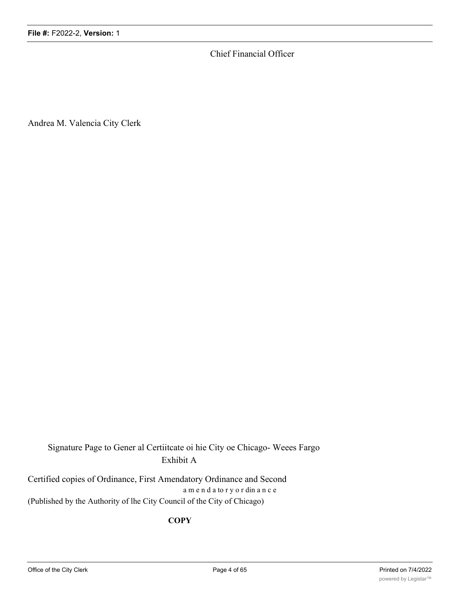Chief Financial Officer

Andrea M. Valencia City Clerk

Signature Page to Gener al Certiitcate oi hie City oe Chicago- Weees Fargo Exhibit A

Certified copies of Ordinance, First Amendatory Ordinance and Second a m e n d a to r y o r din a n c e (Published by the Authority of lhe City Council of the City of Chicago)

## **COPY**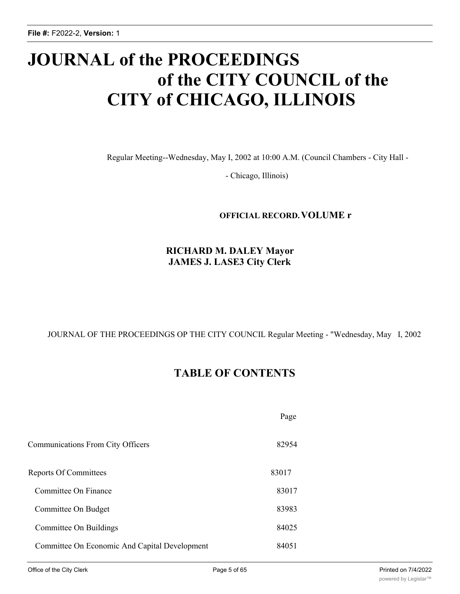# **JOURNAL of the PROCEEDINGS of the CITY COUNCIL of the CITY of CHICAGO, ILLINOIS**

Regular Meeting--Wednesday, May I, 2002 at 10:00 A.M. (Council Chambers - City Hall -

- Chicago, Illinois)

## **OFFICIAL RECORD.VOLUME r**

## **RICHARD M. DALEY Mayor JAMES J. LASE3 City Clerk**

JOURNAL OF THE PROCEEDINGS OP THE CITY COUNCIL Regular Meeting - "Wednesday, May I, 2002

## **TABLE OF CONTENTS**

|                                               | Page  |
|-----------------------------------------------|-------|
| Communications From City Officers             | 82954 |
| Reports Of Committees                         | 83017 |
| Committee On Finance                          | 83017 |
| Committee On Budget                           | 83983 |
| Committee On Buildings                        | 84025 |
| Committee On Economic And Capital Development | 84051 |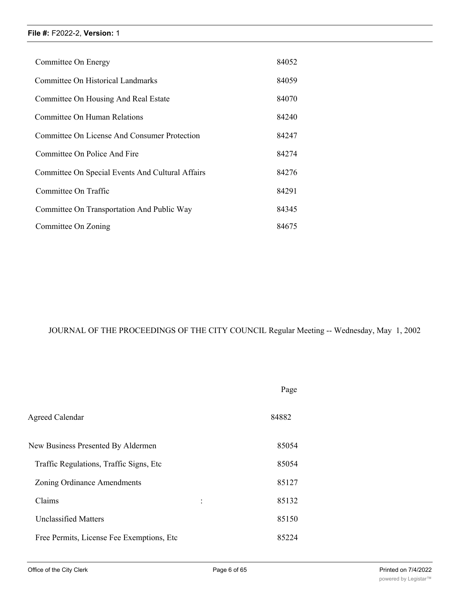| Committee On Energy                              | 84052 |
|--------------------------------------------------|-------|
| Committee On Historical Landmarks                | 84059 |
| Committee On Housing And Real Estate             | 84070 |
| Committee On Human Relations                     | 84240 |
| Committee On License And Consumer Protection     | 84247 |
| Committee On Police And Fire                     | 84274 |
| Committee On Special Events And Cultural Affairs | 84276 |
| Committee On Traffic                             | 84291 |
| Committee On Transportation And Public Way       | 84345 |
| Committee On Zoning                              | 84675 |

## JOURNAL OF THE PROCEEDINGS OF THE CITY COUNCIL Regular Meeting -- Wednesday, May 1, 2002

|                                            | Page  |
|--------------------------------------------|-------|
| Agreed Calendar                            | 84882 |
| New Business Presented By Aldermen         | 85054 |
| Traffic Regulations, Traffic Signs, Etc.   | 85054 |
| Zoning Ordinance Amendments                | 85127 |
| Claims<br>$\ddot{\cdot}$                   | 85132 |
| <b>Unclassified Matters</b>                | 85150 |
| Free Permits, License Fee Exemptions, Etc. | 85224 |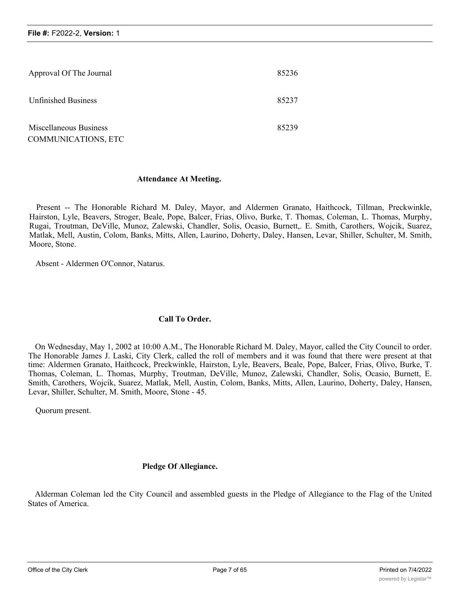| Approval Of The Journal                       | 85236 |
|-----------------------------------------------|-------|
| <b>Unfinished Business</b>                    | 85237 |
| Miscellaneous Business<br>COMMUNICATIONS, ETC | 85239 |

#### **Attendance At Meeting.**

Present -- The Honorable Richard M. Daley, Mayor, and Aldermen Granato, Haithcock, Tillman, Preckwinkle, Hairston, Lyle, Beavers, Stroger, Beale, Pope, Balcer, Frias, Olivo, Burke, T. Thomas, Coleman, L. Thomas, Murphy, Rugai, Troutman, DeVille, Munoz, Zalewski, Chandler, Solis, Ocasio, Burnett,. E. Smith, Carothers, Wojcik, Suarez, Matlak, Mell, Austin, Colom, Banks, Mitts, Allen, Laurino, Doherty, Daley, Hansen, Levar, Shiller, Schulter, M. Smith, Moore, Stone.

Absent - Aldermen O'Connor, Natarus.

#### **Call To Order.**

On Wednesday, May 1, 2002 at 10:00 A.M., The Honorable Richard M. Daley, Mayor, called the City Council to order. The Honorable James J. Laski, City Clerk, called the roll of members and it was found that there were present at that time: Aldermen Granato, Haithcock, Preckwinkle, Hairston, Lyle, Beavers, Beale, Pope, Balcer, Frias, Olivo, Burke, T. Thomas, Coleman, L. Thomas, Murphy, Troutman, DeVille, Munoz, Zalewski, Chandler, Solis, Ocasio, Burnett, E. Smith, Carothers, Wojcik, Suarez, Matlak, Mell, Austin, Colom, Banks, Mitts, Allen, Laurino, Doherty, Daley, Hansen, Levar, Shiller, Schulter, M. Smith, Moore, Stone - 45.

Quorum present.

## **Pledge Of Allegiance.**

Alderman Coleman led the City Council and assembled guests in the Pledge of Allegiance to the Flag of the United States of America.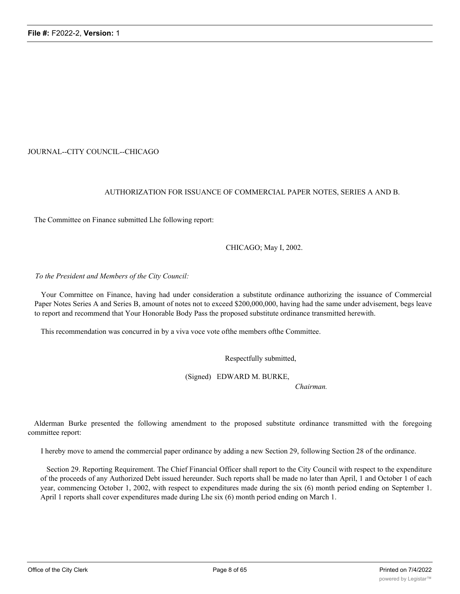#### JOURNAL--CITY COUNCIL--CHICAGO

#### AUTHORIZATION FOR ISSUANCE OF COMMERCIAL PAPER NOTES, SERIES A AND B.

The Committee on Finance submitted Lhe following report:

CHICAGO; May I, 2002.

#### *To the President and Members of the City Council:*

Your Comrnittee on Finance, having had under consideration a substitute ordinance authorizing the issuance of Commercial Paper Notes Series A and Series B, amount of notes not to exceed \$200,000,000, having had the same under advisement, begs leave to report and recommend that Your Honorable Body Pass the proposed substitute ordinance transmitted herewith.

This recommendation was concurred in by a viva voce vote ofthe members ofthe Committee.

Respectfully submitted,

(Signed) EDWARD M. BURKE,

*Chairman.*

Alderman Burke presented the following amendment to the proposed substitute ordinance transmitted with the foregoing committee report:

I hereby move to amend the commercial paper ordinance by adding a new Section 29, following Section 28 of the ordinance.

Section 29. Reporting Requirement. The Chief Financial Officer shall report to the City Council with respect to the expenditure of the proceeds of any Authorized Debt issued hereunder. Such reports shall be made no later than April, 1 and October 1 of each year, commencing October 1, 2002, with respect to expenditures made during the six (6) month period ending on September 1. April 1 reports shall cover expenditures made during Lhe six (6) month period ending on March 1.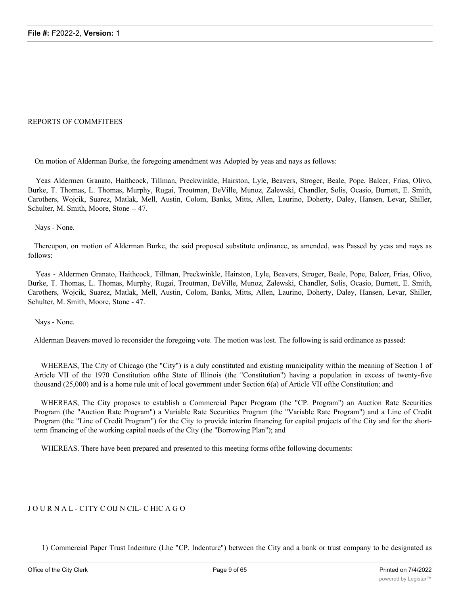#### REPORTS OF COMMFITEES

On motion of Alderman Burke, the foregoing amendment was Adopted by yeas and nays as follows:

Yeas Aldermen Granato, Haithcock, Tillman, Preckwinkle, Hairston, Lyle, Beavers, Stroger, Beale, Pope, Balcer, Frias, Olivo, Burke, T. Thomas, L. Thomas, Murphy, Rugai, Troutman, DeVille, Munoz, Zalewski, Chandler, Solis, Ocasio, Burnett, E. Smith, Carothers, Wojcik, Suarez, Matlak, Mell, Austin, Colom, Banks, Mitts, Allen, Laurino, Doherty, Daley, Hansen, Levar, Shiller, Schulter, M. Smith, Moore, Stone -- 47.

Nays - None.

Thereupon, on motion of Alderman Burke, the said proposed substitute ordinance, as amended, was Passed by yeas and nays as follows:

Yeas - Aldermen Granato, Haithcock, Tillman, Preckwinkle, Hairston, Lyle, Beavers, Stroger, Beale, Pope, Balcer, Frias, Olivo, Burke, T. Thomas, L. Thomas, Murphy, Rugai, Troutman, DeVille, Munoz, Zalewski, Chandler, Solis, Ocasio, Burnett, E. Smith, Carothers, Wojcik, Suarez, Matlak, Mell, Austin, Colom, Banks, Mitts, Allen, Laurino, Doherty, Daley, Hansen, Levar, Shiller, Schulter, M. Smith, Moore, Stone - 47.

Nays - None.

Alderman Beavers moved lo reconsider the foregoing vote. The motion was lost. The following is said ordinance as passed:

WHEREAS, The City of Chicago (the "City") is a duly constituted and existing municipality within the meaning of Section 1 of Article VII of the 1970 Constitution ofthe State of Illinois (the "Constitution") having a population in excess of twenty-five thousand (25,000) and is a home rule unit of local government under Section 6(a) of Article VII ofthe Constitution; and

WHEREAS, The City proposes to establish a Commercial Paper Program (the "CP. Program") an Auction Rate Securities Program (the "Auction Rate Program") a Variable Rate Securities Program (the "Variable Rate Program") and a Line of Credit Program (the "Line of Credit Program") for the City to provide interim financing for capital projects of the City and for the shortterm financing of the working capital needs of the City (the "Borrowing Plan"); and

WHEREAS. There have been prepared and presented to this meeting forms ofthe following documents:

#### J O U R N A L - C1TY C OIJ N CIL- C HIC A G O

1) Commercial Paper Trust Indenture (Lhe "CP. Indenture") between the City and a bank or trust company to be designated as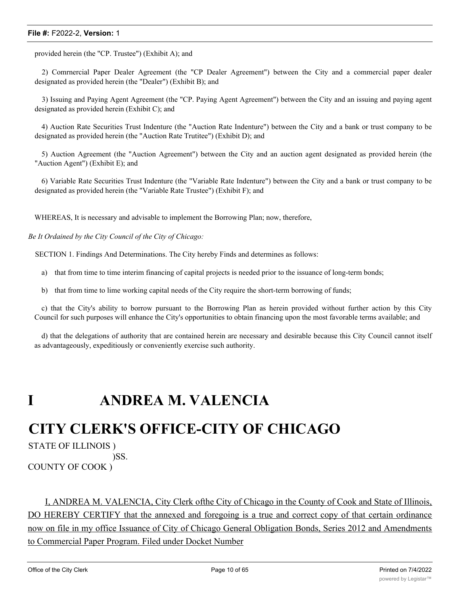provided herein (the "CP. Trustee") (Exhibit A); and

2) Comrnercial Paper Dealer Agreement (the "CP Dealer Agreement") between the City and a commercial paper dealer designated as provided herein (the "Dealer") (Exhibit B); and

3) Issuing and Paying Agent Agreement (the "CP. Paying Agent Agreement") between the City and an issuing and paying agent designated as provided herein (Exhibit C); and

4) Auction Rate Securities Trust Indenture (the "Auction Rate Indenture") between the City and a bank or trust company to be designated as provided herein (the "Auction Rate Trutitee") (Exhibit D); and

5) Auction Agreement (the "Auction Agreement") between the City and an auction agent designated as provided herein (the "Auction Agent") (Exhibit E); and

6) Variable Rate Securities Trust Indenture (the "Variable Rate Indenture") between the City and a bank or trust company to be designated as provided herein (the "Variable Rate Trustee") (Exhibit F); and

WHEREAS, It is necessary and advisable to implement the Borrowing Plan; now, therefore,

*Be It Ordained by the City Council of the City of Chicago:*

SECTION 1. Findings And Determinations. The City hereby Finds and determines as follows:

a) that from time to time interim financing of capital projects is needed prior to the issuance of long-term bonds;

b) that from time to lime working capital needs of the City require the short-term borrowing of funds;

c) that the City's ability to borrow pursuant to the Borrowing Plan as herein provided without further action by this City Council for such purposes will enhance the City's opportunities to obtain financing upon the most favorable terms available; and

d) that the delegations of authority that are contained herein are necessary and desirable because this City Council cannot itself as advantageously, expeditiously or conveniently exercise such authority.

## **I ANDREA M. VALENCIA**

## **CITY CLERK'S OFFICE-CITY OF CHICAGO**

STATE OF ILLINOIS )

)SS. COUNTY OF COOK )

I, ANDREA M. VALENCIA, City Clerk ofthe City of Chicago in the County of Cook and State of Illinois, DO HEREBY CERTIFY that the annexed and foregoing is a true and correct copy of that certain ordinance now on file in my office Issuance of City of Chicago General Obligation Bonds, Series 2012 and Amendments to Commercial Paper Program. Filed under Docket Number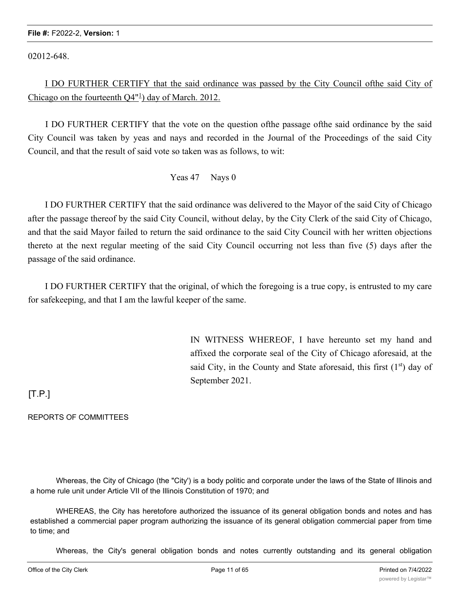02012-648.

I DO FURTHER CERTIFY that the said ordinance was passed by the City Council ofthe said City of Chicago on the fourteenth  $Q4$ <sup>"1</sup>) day of March. 2012.

I DO FURTHER CERTIFY that the vote on the question ofthe passage ofthe said ordinance by the said City Council was taken by yeas and nays and recorded in the Journal of the Proceedings of the said City Council, and that the result of said vote so taken was as follows, to wit:

Yeas 47 Nays 0

I DO FURTHER CERTIFY that the said ordinance was delivered to the Mayor of the said City of Chicago after the passage thereof by the said City Council, without delay, by the City Clerk of the said City of Chicago, and that the said Mayor failed to return the said ordinance to the said City Council with her written objections thereto at the next regular meeting of the said City Council occurring not less than five (5) days after the passage of the said ordinance.

I DO FURTHER CERTIFY that the original, of which the foregoing is a true copy, is entrusted to my care for safekeeping, and that I am the lawful keeper of the same.

> IN WITNESS WHEREOF, I have hereunto set my hand and affixed the corporate seal of the City of Chicago aforesaid, at the said City, in the County and State aforesaid, this first  $(1<sup>st</sup>)$  day of September 2021.

 $[T.P.]$ 

REPORTS OF COMMITTEES

Whereas, the City of Chicago (the "City') is a body politic and corporate under the laws of the State of Illinois and a home rule unit under Article VII of the Illinois Constitution of 1970; and

WHEREAS, the City has heretofore authorized the issuance of its general obligation bonds and notes and has established a commercial paper program authorizing the issuance of its general obligation commercial paper from time to time; and

Whereas, the City's general obligation bonds and notes currently outstanding and its general obligation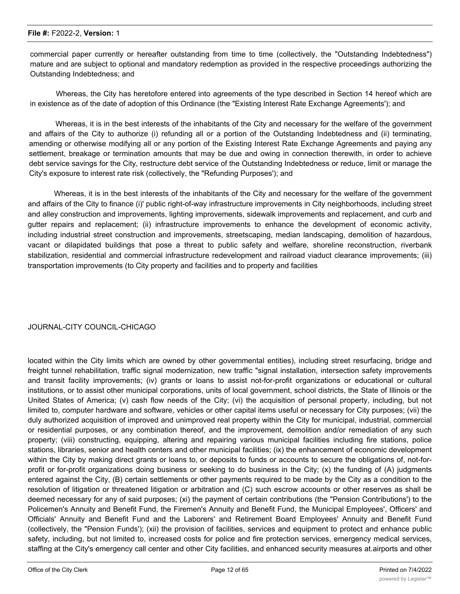commercial paper currently or hereafter outstanding from time to time (collectively, the "Outstanding Indebtedness") mature and are subject to optional and mandatory redemption as provided in the respective proceedings authorizing the Outstanding Indebtedness; and

Whereas, the City has heretofore entered into agreements of the type described in Section 14 hereof which are in existence as of the date of adoption of this Ordinance (the "Existing Interest Rate Exchange Agreements'); and

Whereas, it is in the best interests of the inhabitants of the City and necessary for the welfare of the government and affairs of the City to authorize (i) refunding all or a portion of the Outstanding Indebtedness and (ii) terminating, amending or otherwise modifying all or any portion of the Existing Interest Rate Exchange Agreements and paying any settlement, breakage or termination amounts that may be due and owing in connection therewith, in order to achieve debt service savings for the City, restructure debt service of the Outstanding Indebtedness or reduce, limit or manage the City's exposure to interest rate risk (collectively, the "Refunding Purposes'); and

Whereas, it is in the best interests of the inhabitants of the City and necessary for the welfare of the government and affairs of the City to finance (i)' public right-of-way infrastructure improvements in City neighborhoods, including street and alley construction and improvements, lighting improvements, sidewalk improvements and replacement, and curb and gutter repairs and replacement; (ii) infrastructure improvements to enhance the development of economic activity, including industrial street construction and improvements, streetscaping, median landscaping, demolition of hazardous, vacant or dilapidated buildings that pose a threat to public safety and welfare, shoreline reconstruction, riverbank stabilization, residential and commercial infrastructure redevelopment and railroad viaduct clearance improvements; (iii) transportation improvements (to City property and facilities and to property and facilities

#### JOURNAL-CITY COUNCIL-CHICAGO

located within the City limits which are owned by other governmental entities), including street resurfacing, bridge and freight tunnel rehabilitation, traffic signal modernization, new traffic "signal installation, intersection safety improvements and transit facility improvements; (iv) grants or loans to assist not-for-profit organizations or educational or cultural institutions, or to assist other municipal corporations, units of local government, school districts, the State of Illinois or the United States of America; (v) cash flow needs of the City; (vi) the acquisition of personal property, including, but not limited to, computer hardware and software, vehicles or other capital items useful or necessary for City purposes; (vii) the duly authorized acquisition of improved and unimproved real property within the City for municipal, industrial, commercial or residential purposes, or any combination thereof, and the improvement, demolition and/or remediation of any such property; (viii) constructing, equipping, altering and repairing various municipal facilities including fire stations, police stations, libraries, senior and health centers and other municipal facilities; (ix) the enhancement of economic development within the City by making direct grants or loans to, or deposits to funds or accounts to secure the obligations of, not-forprofit or for-profit organizations doing business or seeking to do business in the City; (x) the funding of (A) judgments entered against the City, (B) certain settlements or other payments required to be made by the City as a condition to the resolution of litigation or threatened litigation or arbitration and (C) such escrow accounts or other reserves as shall be deemed necessary for any of said purposes; (xi) the payment of certain contributions (the "Pension Contributions') to the Policemen's Annuity and Benefit Fund, the Firemen's Annuity and Benefit Fund, the Municipal Employees', Officers' and Officials' Annuity and Benefit Fund and the Laborers' and Retirement Board Employees' Annuity and Benefit Fund (collectively, the "Pension Funds'); (xii) the provision of facilities, services and equipment to protect and enhance public safety, including, but not limited to, increased costs for police and fire protection services, emergency medical services, staffing at the City's emergency call center and other City facilities, and enhanced security measures at.airports and other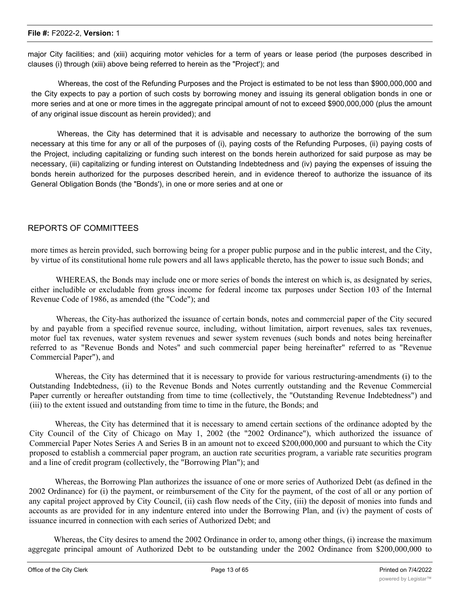major City facilities; and (xiii) acquiring motor vehicles for a term of years or lease period (the purposes described in clauses (i) through (xiii) above being referred to herein as the "Project'); and

Whereas, the cost of the Refunding Purposes and the Project is estimated to be not less than \$900,000,000 and the City expects to pay a portion of such costs by borrowing money and issuing its general obligation bonds in one or more series and at one or more times in the aggregate principal amount of not to exceed \$900,000,000 (plus the amount of any original issue discount as herein provided); and

Whereas, the City has determined that it is advisable and necessary to authorize the borrowing of the sum necessary at this time for any or all of the purposes of (i), paying costs of the Refunding Purposes, (ii) paying costs of the Project, including capitalizing or funding such interest on the bonds herein authorized for said purpose as may be necessary, (iii) capitalizing or funding interest on Outstanding Indebtedness and (iv) paying the expenses of issuing the bonds herein authorized for the purposes described herein, and in evidence thereof to authorize the issuance of its General Obligation Bonds (the "Bonds'), in one or more series and at one or

#### REPORTS OF COMMITTEES

more times as herein provided, such borrowing being for a proper public purpose and in the public interest, and the City, by virtue of its constitutional home rule powers and all laws applicable thereto, has the power to issue such Bonds; and

WHEREAS, the Bonds may include one or more series of bonds the interest on which is, as designated by series, either includible or excludable from gross income for federal income tax purposes under Section 103 of the Internal Revenue Code of 1986, as amended (the "Code"); and

Whereas, the City-has authorized the issuance of certain bonds, notes and commercial paper of the City secured by and payable from a specified revenue source, including, without limitation, airport revenues, sales tax revenues, motor fuel tax revenues, water system revenues and sewer system revenues (such bonds and notes being hereinafter referred to as "Revenue Bonds and Notes" and such commercial paper being hereinafter" referred to as "Revenue Commercial Paper"), and

Whereas, the City has determined that it is necessary to provide for various restructuring-amendments (i) to the Outstanding Indebtedness, (ii) to the Revenue Bonds and Notes currently outstanding and the Revenue Commercial Paper currently or hereafter outstanding from time to time (collectively, the "Outstanding Revenue Indebtedness") and (iii) to the extent issued and outstanding from time to time in the future, the Bonds; and

Whereas, the City has determined that it is necessary to amend certain sections of the ordinance adopted by the City Council of the City of Chicago on May 1, 2002 (the "2002 Ordinance"), which authorized the issuance of Commercial Paper Notes Series A and Series B in an amount not to exceed \$200,000,000 and pursuant to which the City proposed to establish a commercial paper program, an auction rate securities program, a variable rate securities program and a line of credit program (collectively, the "Borrowing Plan"); and

Whereas, the Borrowing Plan authorizes the issuance of one or more series of Authorized Debt (as defined in the 2002 Ordinance) for (i) the payment, or reimbursement of the City for the payment, of the cost of all or any portion of any capital project approved by City Council, (ii) cash flow needs of the City, (iii) the deposit of monies into funds and accounts as are provided for in any indenture entered into under the Borrowing Plan, and (iv) the payment of costs of issuance incurred in connection with each series of Authorized Debt; and

Whereas, the City desires to amend the 2002 Ordinance in order to, among other things, (i) increase the maximum aggregate principal amount of Authorized Debt to be outstanding under the 2002 Ordinance from \$200,000,000 to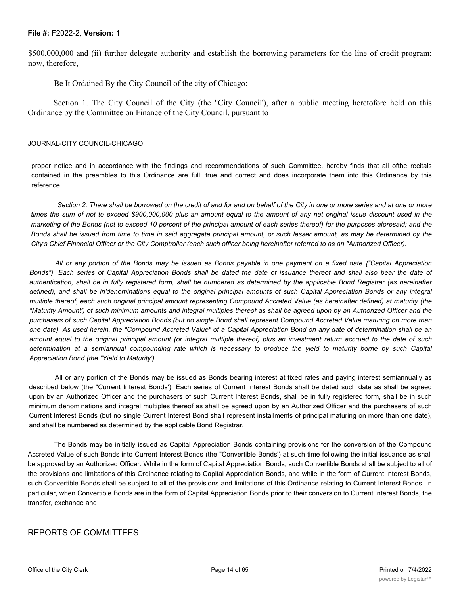\$500,000,000 and (ii) further delegate authority and establish the borrowing parameters for the line of credit program; now, therefore,

Be It Ordained By the City Council of the city of Chicago:

Section 1. The City Council of the City (the "City Council'), after a public meeting heretofore held on this Ordinance by the Committee on Finance of the City Council, pursuant to

#### JOURNAL-CITY COUNCIL-CHICAGO

proper notice and in accordance with the findings and recommendations of such Committee, hereby finds that all ofthe recitals contained in the preambles to this Ordinance are full, true and correct and does incorporate them into this Ordinance by this reference.

Section 2. There shall be borrowed on the credit of and for and on behalf of the City in one or more series and at one or more times the sum of not to exceed \$900,000,000 plus an amount equal to the amount of any net original issue discount used in the marketing of the Bonds (not to exceed 10 percent of the principal amount of each series thereof) for the purposes aforesaid; and the Bonds shall be issued from time to time in said aggregate principal amount, or such lesser amount, as may be determined by the *City's Chief Financial Officer or the City Comptroller (each such officer being hereinafter referred to as an "Authorized Officer).*

All or any portion of the Bonds may be issued as Bonds payable in one payment on a fixed date {"Capital Appreciation Bonds"). Each series of Capital Appreciation Bonds shall be dated the date of issuance thereof and shall also bear the date of authentication, shall be in fully registered form, shall be numbered as determined by the applicable Bond Registrar (as hereinafter defined), and shall be in'denominations equal to the original principal amounts of such Capital Appreciation Bonds or any integral multiple thereof, each such original principal amount representing Compound Accreted Value (as hereinafter defined) at maturity (the "Maturity Amount') of such minimum amounts and integral multiples thereof as shall be agreed upon by an Authorized Officer and the purchasers of such Capital Appreciation Bonds (but no single Bond shall represent Compound Accreted Value maturing on more than one date). As used herein, the "Compound Accreted Value" of a Capital Appreciation Bond on any date of determination shall be an amount equal to the original principal amount (or integral multiple thereof) plus an investment return accrued to the date of such determination at a semiannual compounding rate which is necessary to produce the yield to maturity borne by such Capital *Appreciation Bond (the "Yield to Maturity').*

All or any portion of the Bonds may be issued as Bonds bearing interest at fixed rates and paying interest semiannually as described below (the "Current Interest Bonds'). Each series of Current Interest Bonds shall be dated such date as shall be agreed upon by an Authorized Officer and the purchasers of such Current Interest Bonds, shall be in fully registered form, shall be in such minimum denominations and integral multiples thereof as shall be agreed upon by an Authorized Officer and the purchasers of such Current Interest Bonds (but no single Current Interest Bond shall represent installments of principal maturing on more than one date), and shall be numbered as determined by the applicable Bond Registrar.

The Bonds may be initially issued as Capital Appreciation Bonds containing provisions for the conversion of the Compound Accreted Value of such Bonds into Current Interest Bonds (the "Convertible Bonds') at such time following the initial issuance as shall be approved by an Authorized Officer. While in the form of Capital Appreciation Bonds, such Convertible Bonds shall be subject to all of the provisions and limitations of this Ordinance relating to Capital Appreciation Bonds, and while in the form of Current Interest Bonds, such Convertible Bonds shall be subject to all of the provisions and limitations of this Ordinance relating to Current Interest Bonds. In particular, when Convertible Bonds are in the form of Capital Appreciation Bonds prior to their conversion to Current Interest Bonds, the transfer, exchange and

#### REPORTS OF COMMITTEES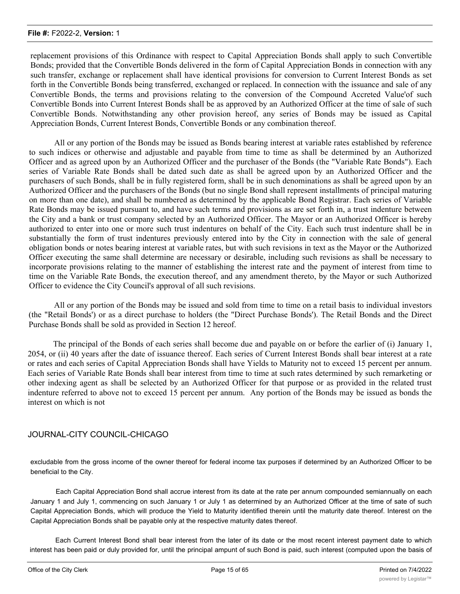replacement provisions of this Ordinance with respect to Capital Appreciation Bonds shall apply to such Convertible Bonds; provided that the Convertible Bonds delivered in the form of Capital Appreciation Bonds in connection with any such transfer, exchange or replacement shall have identical provisions for conversion to Current Interest Bonds as set forth in the Convertible Bonds being transferred, exchanged or replaced. In connection with the issuance and sale of any Convertible Bonds, the terms and provisions relating to the conversion of the Compound Accreted Value'of such Convertible Bonds into Current Interest Bonds shall be as approved by an Authorized Officer at the time of sale of such Convertible Bonds. Notwithstanding any other provision hereof, any series of Bonds may be issued as Capital Appreciation Bonds, Current Interest Bonds, Convertible Bonds or any combination thereof.

All or any portion of the Bonds may be issued as Bonds bearing interest at variable rates established by reference to such indices or otherwise and adjustable and payable from time to time as shall be determined by an Authorized Officer and as agreed upon by an Authorized Officer and the purchaser of the Bonds (the "Variable Rate Bonds"). Each series of Variable Rate Bonds shall be dated such date as shall be agreed upon by an Authorized Officer and the purchasers of such Bonds, shall be in fully registered form, shall be in such denominations as shall be agreed upon by an Authorized Officer and the purchasers of the Bonds (but no single Bond shall represent installments of principal maturing on more than one date), and shall be numbered as determined by the applicable Bond Registrar. Each series of Variable Rate Bonds may be issued pursuant to, and have such terms and provisions as are set forth in, a trust indenture between the City and a bank or trust company selected by an Authorized Officer. The Mayor or an Authorized Officer is hereby authorized to enter into one or more such trust indentures on behalf of the City. Each such trust indenture shall be in substantially the form of trust indentures previously entered into by the City in connection with the sale of general obligation bonds or notes bearing interest at variable rates, but with such revisions in text as the Mayor or the Authorized Officer executing the same shall determine are necessary or desirable, including such revisions as shall be necessary to incorporate provisions relating to the manner of establishing the interest rate and the payment of interest from time to time on the Variable Rate Bonds, the execution thereof, and any amendment thereto, by the Mayor or such Authorized Officer to evidence the City Council's approval of all such revisions.

All or any portion of the Bonds may be issued and sold from time to time on a retail basis to individual investors (the "Retail Bonds') or as a direct purchase to holders (the "Direct Purchase Bonds'). The Retail Bonds and the Direct Purchase Bonds shall be sold as provided in Section 12 hereof.

The principal of the Bonds of each series shall become due and payable on or before the earlier of (i) January 1, 2054, or (ii) 40 years after the date of issuance thereof. Each series of Current Interest Bonds shall bear interest at a rate or rates and each series of Capital Appreciation Bonds shall have Yields to Maturity not to exceed 15 percent per annum. Each series of Variable Rate Bonds shall bear interest from time to time at such rates determined by such remarketing or other indexing agent as shall be selected by an Authorized Officer for that purpose or as provided in the related trust indenture referred to above not to exceed 15 percent per annum. Any portion of the Bonds may be issued as bonds the interest on which is not

## JOURNAL-CITY COUNCIL-CHICAGO

excludable from the gross income of the owner thereof for federal income tax purposes if determined by an Authorized Officer to be beneficial to the City.

Each Capital Appreciation Bond shall accrue interest from its date at the rate per annum compounded semiannually on each January 1 and July 1, commencing on such January 1 or July 1 as determined by an Authorized Officer at the time of sate of such Capital Appreciation Bonds, which will produce the Yield to Maturity identified therein until the maturity date thereof. Interest on the Capital Appreciation Bonds shall be payable only at the respective maturity dates thereof.

Each Current Interest Bond shall bear interest from the later of its date or the most recent interest payment date to which interest has been paid or duly provided for, until the principal ampunt of such Bond is paid, such interest (computed upon the basis of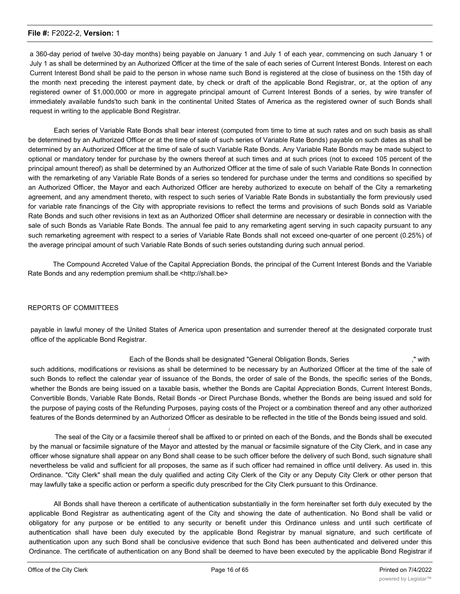a 360-day period of twelve 30-day months) being payable on January 1 and July 1 of each year, commencing on such January 1 or July 1 as shall be determined by an Authorized Officer at the time of the sale of each series of Current Interest Bonds. Interest on each Current Interest Bond shall be paid to the person in whose name such Bond is registered at the close of business on the 15th day of the month next preceding the interest payment date, by check or draft of the applicable Bond Registrar, or, at the option of any registered owner of \$1,000,000 or more in aggregate principal amount of Current Interest Bonds of a series, by wire transfer of immediately available funds'to such bank in the continental United States of America as the registered owner of such Bonds shall request in writing to the applicable Bond Registrar.

Each series of Variable Rate Bonds shall bear interest (computed from time to time at such rates and on such basis as shall be determined by an Authorized Officer or at the time of sale of such series of Variable Rate Bonds) payable on such dates as shall be determined by an Authorized Officer at the time of sale of such Variable Rate Bonds. Any Variable Rate Bonds may be made subject to optional or mandatory tender for purchase by the owners thereof at such times and at such prices (not to exceed 105 percent of the principal amount thereof) as shall be determined by an Authorized Officer at the time of sale of such Variable Rate Bonds In connection with the remarketing of any Variable Rate Bonds of a series so tendered for purchase under the terms and conditions so specified by an Authorized Officer, the Mayor and each Authorized Officer are hereby authorized to execute on behalf of the City a remarketing agreement, and any amendment thereto, with respect to such series of Variable Rate Bonds in substantially the form previously used for variable rate financings of the City with appropriate revisions to reflect the terms and provisions of such Bonds sold as Variable Rate Bonds and such other revisions in text as an Authorized Officer shall determine are necessary or desirable in connection with the sale of such Bonds as Variable Rate Bonds. The annual fee paid to any remarketing agent serving in such capacity pursuant to any such remarketing agreement with respect to a series of Variable Rate Bonds shall not exceed one-quarter of one percent (0.25%) of the average principal amount of such Variable Rate Bonds of such series outstanding during such annual period.

The Compound Accreted Value of the Capital Appreciation Bonds, the principal of the Current Interest Bonds and the Variable Rate Bonds and any redemption premium shall.be <http://shall.be>

#### REPORTS OF COMMITTEES

payable in lawful money of the United States of America upon presentation and surrender thereof at the designated corporate trust office of the applicable Bond Registrar.

Each of the Bonds shall be designated "General Obligation Bonds, Series ," with such additions, modifications or revisions as shall be determined to be necessary by an Authorized Officer at the time of the sale of such Bonds to reflect the calendar year of issuance of the Bonds, the order of sale of the Bonds, the specific series of the Bonds, whether the Bonds are being issued on a taxable basis, whether the Bonds are Capital Appreciation Bonds, Current Interest Bonds, Convertible Bonds, Variable Rate Bonds, Retail Bonds -or Direct Purchase Bonds, whether the Bonds are being issued and sold for the purpose of paying costs of the Refunding Purposes, paying costs of the Project or a combination thereof and any other authorized features of the Bonds determined by an Authorized Officer as desirable to be reflected in the title of the Bonds being issued and sold.

The seal of the City or a facsimile thereof shall be affixed to or printed on each of the Bonds, and the Bonds shall be executed by the manual or facsimile signature of the Mayor and attested by the manual or facsimile signature of the City Clerk, and in case any officer whose signature shall appear on any Bond shall cease to be such officer before the delivery of such Bond, such signature shall nevertheless be valid and sufficient for all proposes, the same as if such officer had remained in office until delivery. As used in. this Ordinance. "City Clerk" shall mean the duly qualified and acting City Clerk of the City or any Deputy City Clerk or other person that may lawfully take a specific action or perform a specific duty prescribed for the City Clerk pursuant to this Ordinance.

*i*

All Bonds shall have thereon a certificate of authentication substantially in the form hereinafter set forth duly executed by the applicable Bond Registrar as authenticating agent of the City and showing the date of authentication. No Bond shall be valid or obligatory for any purpose or be entitled to any security or benefit under this Ordinance unless and until such certificate of authentication shall have been duly executed by the applicable Bond Registrar by manual signature, and such certificate of authentication upon any such Bond shall be conclusive evidence that such Bond has been authenticated and delivered under this Ordinance. The certificate of authentication on any Bond shall be deemed to have been executed by the applicable Bond Registrar if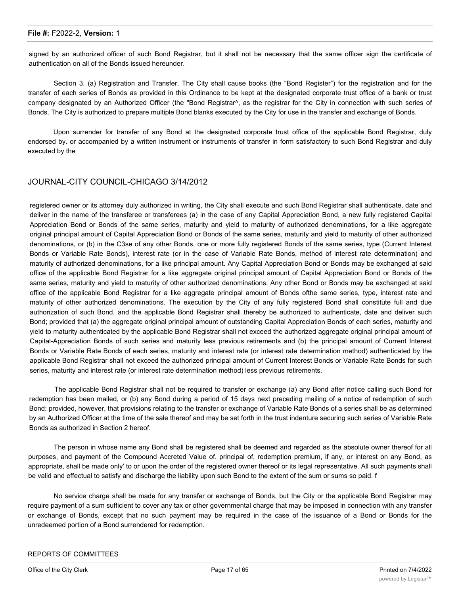signed by an authorized officer of such Bond Registrar, but it shall not be necessary that the same officer sign the certificate of authentication on all of the Bonds issued hereunder.

Section 3. (a) Registration and Transfer. The City shall cause books (the "Bond Register") for the registration and for the transfer of each series of Bonds as provided in this Ordinance to be kept at the designated corporate trust office of a bank or trust company designated by an Authorized Officer (the "Bond Registrar^, as the registrar for the City in connection with such series of Bonds. The City is authorized to prepare multiple Bond blanks executed by the City for use in the transfer and exchange of Bonds.

Upon surrender for transfer of any Bond at the designated corporate trust office of the applicable Bond Registrar, duly endorsed by. or accompanied by a written instrument or instruments of transfer in form satisfactory to such Bond Registrar and duly executed by the

## JOURNAL-CITY COUNCIL-CHICAGO 3/14/2012

registered owner or its attorney duly authorized in writing, the City shall execute and such Bond Registrar shall authenticate, date and deliver in the name of the transferee or transferees (a) in the case of any Capital Appreciation Bond, a new fully registered Capital Appreciation Bond or Bonds of the same series, maturity and yield to maturity of authorized denominations, for a like aggregate original principal amount of Capital Appreciation Bond or Bonds of the same series, maturity and yield to maturity of other authorized denominations, or (b) in the C3se of any other Bonds, one or more fully registered Bonds of the same series, type (Current Interest Bonds or Variable Rate Bonds), interest rate (or in the case of Variable Rate Bonds, method of interest rate determination) and maturity of authorized denominations, for a like principal amount. Any Capital Appreciation Bond or Bonds may be exchanged at said office of the applicable Bond Registrar for a like aggregate original principal amount of Capital Appreciation Bond or Bonds of the same series, maturity and yield to maturity of other authorized denominations. Any other Bond or Bonds may be exchanged at said office of the applicable Bond Registrar for a like aggregate principal amount of Bonds ofthe same series, type, interest rate and maturity of other authorized denominations. The execution by the City of any fully registered Bond shall constitute full and due authorization of such Bond, and the applicable Bond Registrar shall thereby be authorized to authenticate, date and deliver such Bond; provided that (a) the aggregate original principal amount of outstanding Capital Appreciation Bonds of each series, maturity and yield to maturity authenticated by the applicable Bond Registrar shall not exceed the authorized aggregate original principal amount of Capital-Appreciation Bonds of such series and maturity less previous retirements and (b) the principal amount of Current Interest Bonds or Variable Rate Bonds of each series, maturity and interest rate (or interest rate determination method) authenticated by the applicable Bond Registrar shall not exceed the authorized principal amount of Current Interest Bonds or Variable Rate Bonds for such series, maturity and interest rate (or interest rate determination method) less previous retirements.

The applicable Bond Registrar shall not be required to transfer or exchange (a) any Bond after notice calling such Bond for redemption has been mailed, or (b) any Bond during a period of 15 days next preceding mailing of a notice of redemption of such Bond; provided, however, that provisions relating to the transfer or exchange of Variable Rate Bonds of a series shall be as determined by an Authorized Officer at the time of the sale thereof and may be set forth in the trust indenture securing such series of Variable Rate Bonds as authorized in Section 2 hereof.

The person in whose name any Bond shall be registered shall be deemed and regarded as the absolute owner thereof for all purposes, and payment of the Compound Accreted Value of. principal of, redemption premium, if any, or interest on any Bond, as appropriate, shall be made only' to or upon the order of the registered owner thereof or its legal representative. All such payments shall be valid and effectual to satisfy and discharge the liability upon such Bond to the extent of the sum or sums so paid. f

No service charge shall be made for any transfer or exchange of Bonds, but the City or the applicable Bond Registrar may require payment of a sum sufficient to cover any tax or other governmental charge that may be imposed in connection with any transfer or exchange of Bonds, except that no such payment may be required in the case of the issuance of a Bond or Bonds for the unredeemed portion of a Bond surrendered for redemption.

#### REPORTS OF COMMITTEES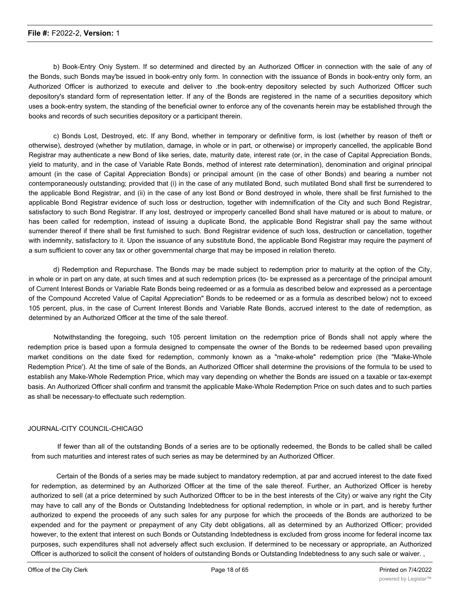b) Book-Entry Oniy System. If so determined and directed by an Authorized Officer in connection with the sale of any of the Bonds, such Bonds may'be issued in book-entry only form. In connection with the issuance of Bonds in book-entry only form, an Authorized Officer is authorized to execute and deliver to .the book-entry depository selected by such Authorized Officer such depository's standard form of representation letter. If any of the Bonds are registered in the name of a securities depository which uses a book-entry system, the standing of the beneficial owner to enforce any of the covenants herein may be established through the books and records of such securities depository or a participant therein.

c) Bonds Lost, Destroyed, etc. If any Bond, whether in temporary or definitive form, is lost (whether by reason of theft or otherwise), destroyed (whether by mutilation, damage, in whole or in part, or otherwise) or improperly cancelled, the applicable Bond Registrar may authenticate a new Bond of like series, date, maturity date, interest rate (or, in the case of Capital Appreciation Bonds, yield to maturity, and in the case of Variable Rate Bonds, method of interest rate determination), denomination and original principal amount (in the case of Capital Appreciation Bonds) or principal amount (in the case of other Bonds) and bearing a number not contemporaneously outstanding; provided that (i) in the case of any mutilated Bond, such mutilated Bond shall first be surrendered to the applicable Bond Registrar, and (ii) in the case of any lost Bond or Bond destroyed in whole, there shall be first furnished to the applicable Bond Registrar evidence of such loss or destruction, together with indemnification of the City and such Bond Registrar, satisfactory to such Bond Registrar. If any lost, destroyed or improperly cancelled Bond shall have matured or is about to mature, or has been called for redemption, instead of issuing a duplicate Bond, the applicable Bond Registrar shall pay the same without surrender thereof if there shall be first furnished to such. Bond Registrar evidence of such loss, destruction or cancellation, together with indemnity, satisfactory to it. Upon the issuance of any substitute Bond, the applicable Bond Registrar may require the payment of a sum sufficient to cover any tax or other governmental charge that may be imposed in relation thereto.

d) Redemption and Repurchase. The Bonds may be made subject to redemption prior to maturity at the option of the City, in whole or in part on any date, at such times and at such redemption prices (to- be expressed as a percentage of the principal amount of Current Interest Bonds or Variable Rate Bonds being redeemed or as a formula as described below and expressed as a percentage of the Compound Accreted Value of Capital Appreciation" Bonds to be redeemed or as a formula as described below) not to exceed 105 percent, plus, in the case of Current Interest Bonds and Variable Rate Bonds, accrued interest to the date of redemption, as determined by an Authorized Officer at the time of the sale thereof.

Notwithstanding the foregoing, such 105 percent limitation on the redemption price of Bonds shall not apply where the redemption price is based upon a formula designed to compensate the owner of the Bonds to be redeemed based upon prevailing market conditions on the date fixed for redemption, commonly known as a "make-whole" redemption price (the "Make-Whole Redemption Price'). At the time of sale of the Bonds, an Authorized Officer shall determine the provisions of the formula to be used to establish any Make-Whole Redemption Price, which may vary depending on whether the Bonds are issued on a taxable or tax-exempt basis. An Authorized Officer shall confirm and transmit the applicable Make-Whole Redemption Price on such dates and to such parties as shall be necessary-to effectuate such redemption.

#### JOURNAL-CITY COUNCIL-CHICAGO

If fewer than all of the outstanding Bonds of a series are to be optionally redeemed, the Bonds to be called shall be called from such maturities and interest rates of such series as may be determined by an Authorized Officer.

Certain of the Bonds of a series may be made subject to mandatory redemption, at par and accrued interest to the date fixed for redemption, as determined by an Authorized Officer at the time of the sale thereof. Further, an Authorized Officer is hereby authorized to sell (at a price determined by such Authorized Offtcer to be in the best interests of the City) or waive any right the City may have to call any of the Bonds or Outstanding Indebtedness for optional redemption, in whole or in part, and is hereby further authorized to expend the proceeds of any such sales for any purpose for which the proceeds of the Bonds are authorized to be expended and for the payment or prepayment of any City debt obligations, all as determined by an Authorized Officer; provided however, to the extent that interest on such Bonds or Outstanding Indebtedness is excluded from gross income for federal income tax purposes, such expenditures shall not adversely affect such exclusion. If determined to be necessary or appropriate, an Authorized Officer is authorized to solicit the consent of holders of outstanding Bonds or Outstanding Indebtedness to any such sale or waiver. ,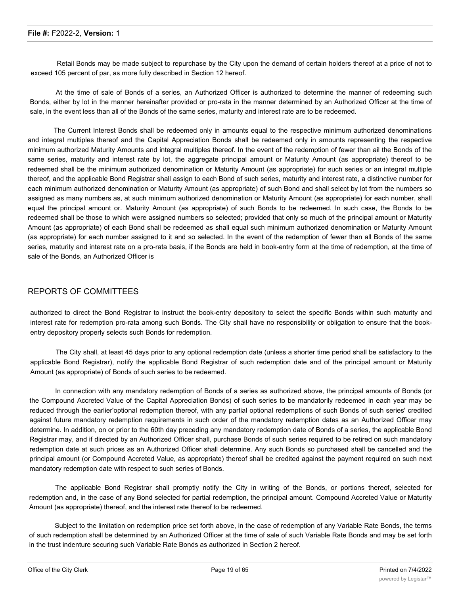Retail Bonds may be made subject to repurchase by the City upon the demand of certain holders thereof at a price of not to exceed 105 percent of par, as more fully described in Section 12 hereof.

At the time of sale of Bonds of a series, an Authorized Officer is authorized to determine the manner of redeeming such Bonds, either by lot in the manner hereinafter provided or pro-rata in the manner determined by an Authorized Officer at the time of sale, in the event less than all of the Bonds of the same series, maturity and interest rate are to be redeemed.

The Current Interest Bonds shall be redeemed only in amounts equal to the respective minimum authorized denominations and integral multiples thereof and the Capital Appreciation Bonds shall be redeemed only in amounts representing the respective minimum authorized Maturity Amounts and integral multiples thereof. In the event of the redemption of fewer than ail the Bonds of the same series, maturity and interest rate by lot, the aggregate principal amount or Maturity Amount (as appropriate) thereof to be redeemed shall be the minimum authorized denomination or Maturity Amount (as appropriate) for such series or an integral multiple thereof, and the applicable Bond Registrar shall assign to each Bond of such series, maturity and interest rate, a distinctive number for each minimum authorized denomination or Maturity Amount (as appropriate) of such Bond and shall select by lot from the numbers so assigned as many numbers as, at such minimum authorized denomination or Maturity Amount (as appropriate) for each number, shall equal the principal amount or. Maturity Amount (as appropriate) of such Bonds to be redeemed. In such case, the Bonds to be redeemed shall be those to which were assigned numbers so selected; provided that only so much of the principal amount or Maturity Amount (as appropriate) of each Bond shall be redeemed as shall equal such minimum authorized denomination or Maturity Amount (as appropriate) for each number assigned to it and so selected. In the event of the redemption of fewer than all Bonds of the same series, maturity and interest rate on a pro-rata basis, if the Bonds are held in book-entry form at the time of redemption, at the time of sale of the Bonds, an Authorized Officer is

#### REPORTS OF COMMITTEES

authorized to direct the Bond Registrar to instruct the book-entry depository to select the specific Bonds within such maturity and interest rate for redemption pro-rata among such Bonds. The City shall have no responsibility or obligation to ensure that the bookentry depository properly selects such Bonds for redemption.

The City shall, at least 45 days prior to any optional redemption date (unless a shorter time period shall be satisfactory to the applicable Bond Registrar), notify the applicable Bond Registrar of such redemption date and of the principal amount or Maturity Amount (as appropriate) of Bonds of such series to be redeemed.

In connection with any mandatory redemption of Bonds of a series as authorized above, the principal amounts of Bonds (or the Compound Accreted Value of the Capital Appreciation Bonds) of such series to be mandatorily redeemed in each year may be reduced through the earlier'optional redemption thereof, with any partial optional redemptions of such Bonds of such series' credited against future mandatory redemption requirements in such order of the mandatory redemption dates as an Authorized Officer may determine. In addition, on or prior to the 60th day preceding any mandatory redemption date of Bonds of a series, the applicable Bond Registrar may, and if directed by an Authorized Officer shall, purchase Bonds of such series required to be retired on such mandatory redemption date at such prices as an Authorized Officer shall determine. Any such Bonds so purchased shall be cancelled and the principal amount (or Compound Accreted Value, as appropriate) thereof shall be credited against the payment required on such next mandatory redemption date with respect to such series of Bonds.

The applicable Bond Registrar shall promptly notify the City in writing of the Bonds, or portions thereof, selected for redemption and, in the case of any Bond selected for partial redemption, the principal amount. Compound Accreted Value or Maturity Amount (as appropriate) thereof, and the interest rate thereof to be redeemed.

Subject to the limitation on redemption price set forth above, in the case of redemption of any Variable Rate Bonds, the terms of such redemption shall be determined by an Authorized Officer at the time of sale of such Variable Rate Bonds and may be set forth in the trust indenture securing such Variable Rate Bonds as authorized in Section 2 hereof.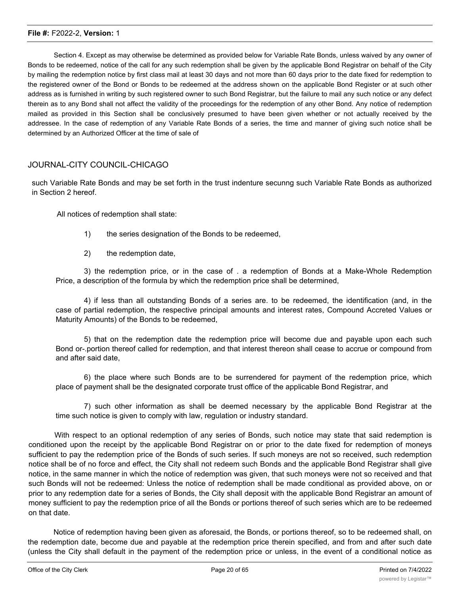Section 4. Except as may otherwise be determined as provided below for Variable Rate Bonds, unless waived by any owner of Bonds to be redeemed, notice of the call for any such redemption shall be given by the applicable Bond Registrar on behalf of the City by mailing the redemption notice by first class mail at least 30 days and not more than 60 days prior to the date fixed for redemption to the registered owner of the Bond or Bonds to be redeemed at the address shown on the applicable Bond Register or at such other address as is furnished in writing by such registered owner to such Bond Registrar, but the failure to mail any such notice or any defect therein as to any Bond shall not affect the validity of the proceedings for the redemption of any other Bond. Any notice of redemption mailed as provided in this Section shall be conclusively presumed to have been given whether or not actually received by the addressee. In the case of redemption of any Variable Rate Bonds of a series, the time and manner of giving such notice shall be determined by an Authorized Officer at the time of sale of

#### JOURNAL-CITY COUNCIL-CHICAGO

such Variable Rate Bonds and may be set forth in the trust indenture secunng such Variable Rate Bonds as authorized in Section 2 hereof.

All notices of redemption shall state:

- 1) the series designation of the Bonds to be redeemed,
- 2) the redemption date,

3) the redemption price, or in the case of . a redemption of Bonds at a Make-Whole Redemption Price, a description of the formula by which the redemption price shall be determined,

4) if less than all outstanding Bonds of a series are. to be redeemed, the identification (and, in the case of partial redemption, the respective principal amounts and interest rates, Compound Accreted Values or Maturity Amounts) of the Bonds to be redeemed,

5) that on the redemption date the redemption price will become due and payable upon each such Bond or-.portion thereof called for redemption, and that interest thereon shall cease to accrue or compound from and after said date,

6) the place where such Bonds are to be surrendered for payment of the redemption price, which place of payment shall be the designated corporate trust office of the applicable Bond Registrar, and

7) such other information as shall be deemed necessary by the applicable Bond Registrar at the time such notice is given to comply with law, regulation or industry standard.

With respect to an optional redemption of any series of Bonds, such notice may state that said redemption is conditioned upon the receipt by the applicable Bond Registrar on or prior to the date fixed for redemption of moneys sufficient to pay the redemption price of the Bonds of such series. If such moneys are not so received, such redemption notice shall be of no force and effect, the City shall not redeem such Bonds and the applicable Bond Registrar shall give notice, in the same manner in which the notice of redemption was given, that such moneys were not so received and that such Bonds will not be redeemed: Unless the notice of redemption shall be made conditional as provided above, on or prior to any redemption date for a series of Bonds, the City shall deposit with the applicable Bond Registrar an amount of money sufficient to pay the redemption price of all the Bonds or portions thereof of such series which are to be redeemed on that date.

Notice of redemption having been given as aforesaid, the Bonds, or portions thereof, so to be redeemed shall, on the redemption date, become due and payable at the redemption price therein specified, and from and after such date (unless the City shall default in the payment of the redemption price or unless, in the event of a conditional notice as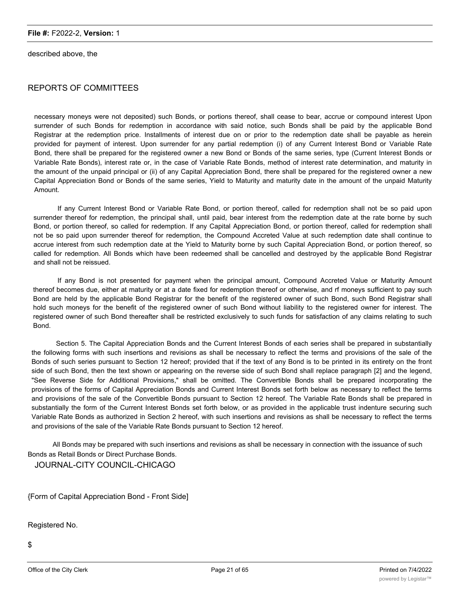described above, the

## REPORTS OF COMMITTEES

necessary moneys were not deposited) such Bonds, or portions thereof, shall cease to bear, accrue or compound interest Upon surrender of such Bonds for redemption in accordance with said notice, such Bonds shall be paid by the applicable Bond Registrar at the redemption price. Installments of interest due on or prior to the redemption date shall be payable as herein provided for payment of interest. Upon surrender for any partial redemption (i) of any Current Interest Bond or Variable Rate Bond, there shall be prepared for the registered owner a new Bond or Bonds of the same series, type (Current Interest Bonds or Variable Rate Bonds), interest rate or, in the case of Variable Rate Bonds, method of interest rate determination, and maturity in the amount of the unpaid principal or (ii) of any Capital Appreciation Bond, there shall be prepared for the registered owner a new Capital Appreciation Bond or Bonds of the same series, Yield to Maturity and maturity date in the amount of the unpaid Maturity Amount.

If any Current Interest Bond or Variable Rate Bond, or portion thereof, called for redemption shall not be so paid upon surrender thereof for redemption, the principal shall, until paid, bear interest from the redemption date at the rate borne by such Bond, or portion thereof, so called for redemption. If any Capital Appreciation Bond, or portion thereof, called for redemption shall not be so paid upon surrender thereof for redemption, the Compound Accreted Value at such redemption date shall continue to accrue interest from such redemption date at the Yield to Maturity borne by such Capital Appreciation Bond, or portion thereof, so called for redemption. All Bonds which have been redeemed shall be cancelled and destroyed by the applicable Bond Registrar and shall not be reissued.

If any Bond is not presented for payment when the principal amount, Compound Accreted Value or Maturity Amount thereof becomes due, either at maturity or at a date fixed for redemption thereof or otherwise, and rf moneys sufficient to pay such Bond are held by the applicable Bond Registrar for the benefit of the registered owner of such Bond, such Bond Registrar shall hold such moneys for the benefit of the registered owner of such Bond without liability to the registered owner for interest. The registered owner of such Bond thereafter shall be restricted exclusively to such funds for satisfaction of any claims relating to such Bond.

Section 5. The Capital Appreciation Bonds and the Current Interest Bonds of each series shall be prepared in substantially the following forms with such insertions and revisions as shall be necessary to reflect the terms and provisions of the sale of the Bonds of such series pursuant to Section 12 hereof; provided that if the text of any Bond is to be printed in its entirety on the front side of such Bond, then the text shown or appearing on the reverse side of such Bond shall replace paragraph [2] and the legend, "See Reverse Side for Additional Provisions," shall be omitted. The Convertible Bonds shall be prepared incorporating the provisions of the forms of Capital Appreciation Bonds and Current Interest Bonds set forth below as necessary to reflect the terms and provisions of the sale of the Convertible Bonds pursuant to Section 12 hereof. The Variable Rate Bonds shall be prepared in substantially the form of the Current Interest Bonds set forth below, or as provided in the applicable trust indenture securing such Variable Rate Bonds as authorized in Section 2 hereof, with such insertions and revisions as shall be necessary to reflect the terms and provisions of the sale of the Variable Rate Bonds pursuant to Section 12 hereof.

All Bonds may be prepared with such insertions and revisions as shall be necessary in connection with the issuance of such Bonds as Retail Bonds or Direct Purchase Bonds.

JOURNAL-CITY COUNCIL-CHICAGO

{Form of Capital Appreciation Bond - Front Side]

Registered No.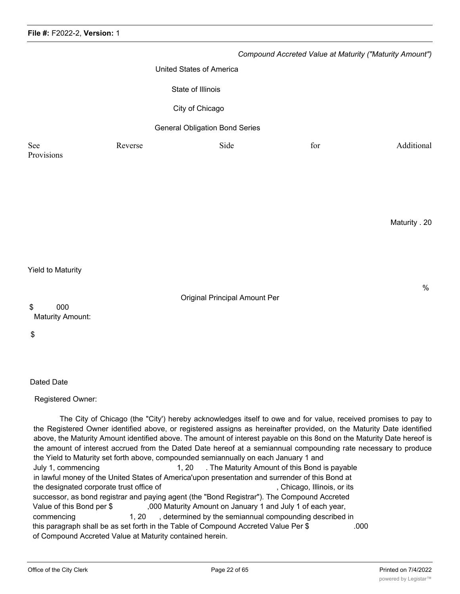|                          |         |                                       |     | Compound Accreted Value at Maturity ("Maturity Amount") |
|--------------------------|---------|---------------------------------------|-----|---------------------------------------------------------|
|                          |         | <b>United States of America</b>       |     |                                                         |
|                          |         | State of Illinois                     |     |                                                         |
|                          |         | City of Chicago                       |     |                                                         |
|                          |         | <b>General Obligation Bond Series</b> |     |                                                         |
| See<br>Provisions        | Reverse | Side                                  | for | Additional                                              |
|                          |         |                                       |     |                                                         |
|                          |         |                                       |     |                                                         |
|                          |         |                                       |     | Maturity . 20                                           |
|                          |         |                                       |     |                                                         |
| <b>Yield to Maturity</b> |         |                                       |     |                                                         |
| 000<br>\$                |         | <b>Original Principal Amount Per</b>  |     | $\%$                                                    |
| <b>Maturity Amount:</b>  |         |                                       |     |                                                         |

\$

Dated Date

Registered Owner:

The City of Chicago (the "City') hereby acknowledges itself to owe and for value, received promises to pay to the Registered Owner identified above, or registered assigns as hereinafter provided, on the Maturity Date identified above, the Maturity Amount identified above. The amount of interest payable on this 8ond on the Maturity Date hereof is the amount of interest accrued from the Dated Date hereof at a semiannual compounding rate necessary to produce the Yield to Maturity set forth above, compounded semiannually on each January 1 and July 1, commencing 1, 20 . The Maturity Amount of this Bond is payable in lawful money of the United States of America'upon presentation and surrender of this Bond at the designated corporate trust office of the state of the designated corporate trust office of the state of the state of the state of the state of the state of the state of the state of the state of the state of the state successor, as bond registrar and paying agent (the "Bond Registrar"). The Compound Accreted Value of this Bond per \$ ,000 Maturity Amount on January 1 and July 1 of each year, commencing 1, 20 , determined by the semiannual compounding described in this paragraph shall be as set forth in the Table of Compound Accreted Value Per \$ .000 of Compound Accreted Value at Maturity contained herein.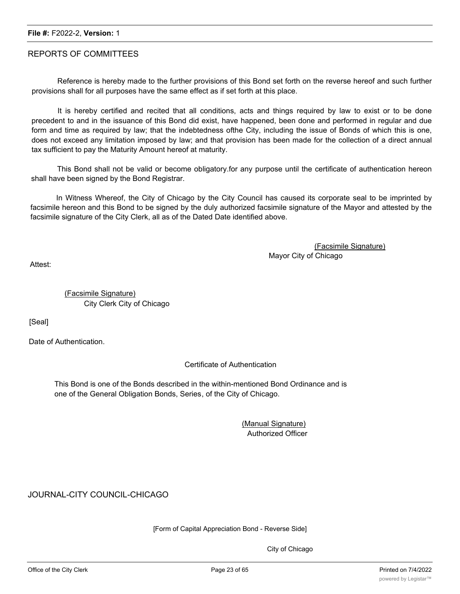#### REPORTS OF COMMITTEES

Reference is hereby made to the further provisions of this Bond set forth on the reverse hereof and such further provisions shall for all purposes have the same effect as if set forth at this place.

It is hereby certified and recited that all conditions, acts and things required by law to exist or to be done precedent to and in the issuance of this Bond did exist, have happened, been done and performed in regular and due form and time as required by law; that the indebtedness ofthe City, including the issue of Bonds of which this is one, does not exceed any limitation imposed by law; and that provision has been made for the collection of a direct annual tax sufficient to pay the Maturity Amount hereof at maturity.

This Bond shall not be valid or become obligatory.for any purpose until the certificate of authentication hereon shall have been signed by the Bond Registrar.

In Witness Whereof, the City of Chicago by the City Council has caused its corporate seal to be imprinted by facsimile hereon and this Bond to be signed by the duly authorized facsimile signature of the Mayor and attested by the facsimile signature of the City Clerk, all as of the Dated Date identified above.

> (Facsimile Signature) Mayor City of Chicago

Attest:

(Facsimile Signature) City Clerk City of Chicago

[Seal]

Date of Authentication.

Certificate of Authentication

This Bond is one of the Bonds described in the within-mentioned Bond Ordinance and is one of the General Obligation Bonds, Series, of the City of Chicago.

> (Manual Signature) Authorized Officer

JOURNAL-CITY COUNCIL-CHICAGO

[Form of Capital Appreciation Bond - Reverse Side]

City of Chicago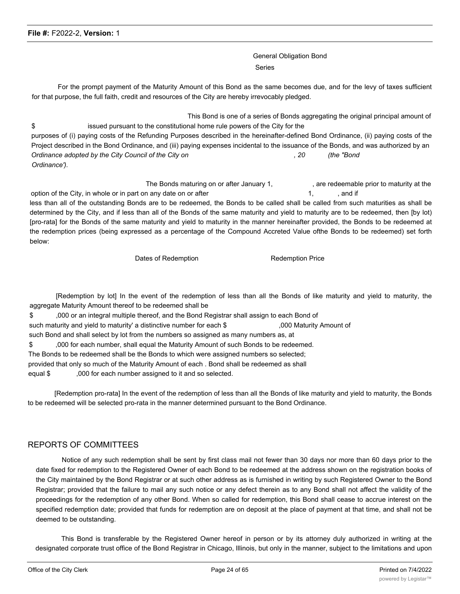General Obligation Bond Series

For the prompt payment of the Maturity Amount of this Bond as the same becomes due, and for the levy of taxes sufficient for that purpose, the full faith, credit and resources of the City are hereby irrevocably pledged.

This Bond is one of a series of Bonds aggregating the original principal amount of \$ issued pursuant to the constitutional home rule powers of the City for the purposes of (i) paying costs of the Refunding Purposes described in the hereinafter-defined Bond Ordinance, (ii) paying costs of the Project described in the Bond Ordinance, and (iii) paying expenses incidental to the issuance of the Bonds, and was authorized by an *Ordinance adopted by the City Council of the City on , 20 (the "Bond Ordinance').*

The Bonds maturing on or after January 1, The Bonds maturity at the state Bonds maturity at the option of the City, in whole or in part on any date on or after 1, and if  $\frac{1}{2}$ , and if less than all of the outstanding Bonds are to be redeemed, the Bonds to be called shall be called from such maturities as shall be determined by the City, and if less than all of the Bonds of the same maturity and yield to maturity are to be redeemed, then [by lot)

[pro-rata] for the Bonds of the same maturity and yield to maturity in the manner hereinafter provided, the Bonds to be redeemed at the redemption prices (being expressed as a percentage of the Compound Accreted Value ofthe Bonds to be redeemed) set forth below:

Dates of Redemption **Redemption** Redemption Price

[Redemption by lot] In the event of the redemption of less than all the Bonds of like maturity and yield to maturity, the aggregate Maturity Amount thereof to be redeemed shall be

\$ ,000 or an integral multiple thereof, and the Bond Registrar shall assign to each Bond of such maturity and yield to maturity' a distinctive number for each \$ ,000 Maturity Amount of such Bond and shall select by lot from the numbers so assigned as many numbers as, at \$ ,000 for each number, shall equal the Maturity Amount of such Bonds to be redeemed. The Bonds to be redeemed shall be the Bonds to which were assigned numbers so selected; provided that only so much of the Maturity Amount of each . Bond shall be redeemed as shall equal \$ ,000 for each number assigned to it and so selected.

[Redemption pro-rata] In the event of the redemption of less than all the Bonds of like maturity and yield to maturity, the Bonds to be redeemed will be selected pro-rata in the manner determined pursuant to the Bond Ordinance.

#### REPORTS OF COMMITTEES

Notice of any such redemption shall be sent by first class mail not fewer than 30 days nor more than 60 days prior to the date fixed for redemption to the Registered Owner of each Bond to be redeemed at the address shown on the registration books of the City maintained by the Bond Registrar or at such other address as is furnished in writing by such Registered Owner to the Bond Registrar; provided that the failure to mail any such notice or any defect therein as to any Bond shall not affect the validity of the proceedings for the redemption of any other Bond. When so called for redemption, this Bond shall cease to accrue interest on the specified redemption date; provided that funds for redemption are on deposit at the place of payment at that time, and shall not be deemed to be outstanding.

This Bond is transferable by the Registered Owner hereof in person or by its attorney duly authorized in writing at the designated corporate trust office of the Bond Registrar in Chicago, Illinois, but only in the manner, subject to the limitations and upon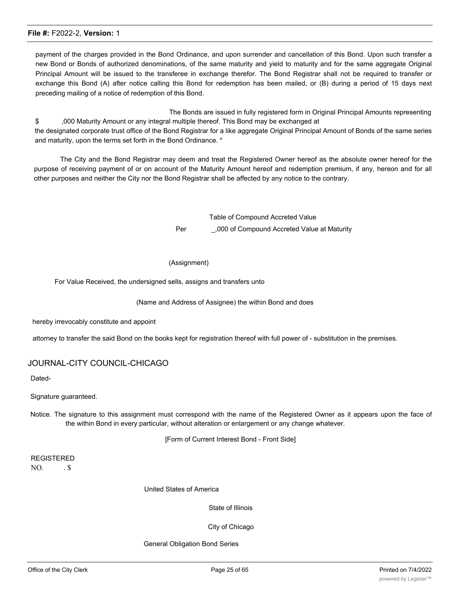payment of the charges provided in the Bond Ordinance, and upon surrender and cancellation of this Bond. Upon such transfer a new Bond or Bonds of authorized denominations, of the same maturity and yield to maturity and for the same aggregate Original Principal Amount will be issued to the transferee in exchange therefor. The Bond Registrar shall not be required to transfer or exchange this Bond (A) after notice calling this Bond for redemption has been mailed, or (B) during a period of 15 days next preceding mailing of a notice of redemption of this Bond.

The Bonds are issued in fully registered form in Original Principal Amounts representing \$ ,000 Maturity Amount or any integral multiple thereof. This Bond may be exchanged at the designated corporate trust office of the Bond Registrar for a like aggregate Original Principal Amount of Bonds of the same series and maturity, upon the terms set forth in the Bond Ordinance. \*

The City and the Bond Registrar may deem and treat the Registered Owner hereof as the absolute owner hereof for the purpose of receiving payment of or on account of the Maturity Amount hereof and redemption premium, if any, hereon and for all other purposes and neither the City nor the Bond Registrar shall be affected by any notice to the contrary.

> Table of Compound Accreted Value Per .000 of Compound Accreted Value at Maturity

#### (Assignment)

For Value Received, the undersigned sells, assigns and transfers unto

#### (Name and Address of Assignee) the within Bond and does

hereby irrevocably constitute and appoint

attorney to transfer the said Bond on the books kept for registration thereof with full power of - substitution in the premises.

## JOURNAL-CITY COUNCIL-CHICAGO

Dated-

Signature guaranteed.

Notice. The signature to this assignment must correspond with the name of the Registered Owner as it appears upon the face of the within Bond in every particular, without alteration or enlargement or any change whatever.

[Form of Current Interest Bond - Front Side]

REGISTERED  $NO.$   $.S.$ 

United States of America

State of Illinois

City of Chicago

General Obligation Bond Series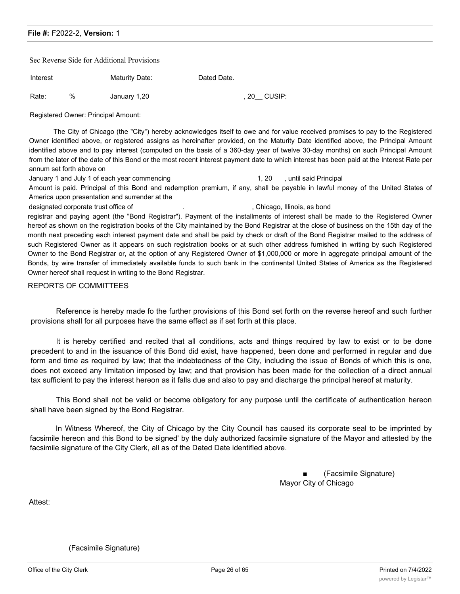Sec Reverse Side for Additional Provisions

| Interest | <b>Maturity Date:</b> | Dated Date. |
|----------|-----------------------|-------------|
|          |                       |             |

Rate: % January 1,20 , 20 CUSIP:

Registered Owner: Principal Amount:

The City of Chicago (the "City") hereby acknowledges itself to owe and for value received promises to pay to the Registered Owner identified above, or registered assigns as hereinafter provided, on the Maturity Date identified above, the Principal Amount identified above and to pay interest (computed on the basis of a 360-day year of twelve 30-day months) on such Principal Amount from the later of the date of this Bond or the most recent interest payment date to which interest has been paid at the Interest Rate per annum set forth above on

January 1 and July 1 of each year commencing 1, 20 , until said Principal

Amount is paid. Principal of this Bond and redemption premium, if any, shall be payable in lawful money of the United States of America upon presentation and surrender at the

designated corporate trust office of  $\qquad \qquad .$  , Chicago, Illinois, as bond registrar and paying agent (the "Bond Registrar"). Payment of the installments of interest shall be made to the Registered Owner hereof as shown on the registration books of the City maintained by the Bond Registrar at the close of business on the 15th day of the month next preceding each interest payment date and shall be paid by check or draft of the Bond Registrar mailed to the address of such Registered Owner as it appears on such registration books or at such other address furnished in writing by such Registered Owner to the Bond Registrar or, at the option of any Registered Owner of \$1,000,000 or more in aggregate principal amount of the Bonds, by wire transfer of immediately available funds to such bank in the continental United States of America as the Registered Owner hereof shall request in writing to the Bond Registrar.

#### REPORTS OF COMMITTEES

Reference is hereby made fo the further provisions of this Bond set forth on the reverse hereof and such further provisions shall for all purposes have the same effect as if set forth at this place.

It is hereby certified and recited that all conditions, acts and things required by law to exist or to be done precedent to and in the issuance of this Bond did exist, have happened, been done and performed in regular and due form and time as required by law; that the indebtedness of the City, including the issue of Bonds of which this is one, does not exceed any limitation imposed by law; and that provision has been made for the collection of a direct annual tax sufficient to pay the interest hereon as it falls due and also to pay and discharge the principal hereof at maturity.

This Bond shall not be valid or become obligatory for any purpose until the certificate of authentication hereon shall have been signed by the Bond Registrar.

In Witness Whereof, the City of Chicago by the City Council has caused its corporate seal to be imprinted by facsimile hereon and this Bond to be signed' by the duly authorized facsimile signature of the Mayor and attested by the facsimile signature of the City Clerk, all as of the Dated Date identified above.

> ■ (Facsimile Signature) Mayor City of Chicago

Attest:

(Facsimile Signature)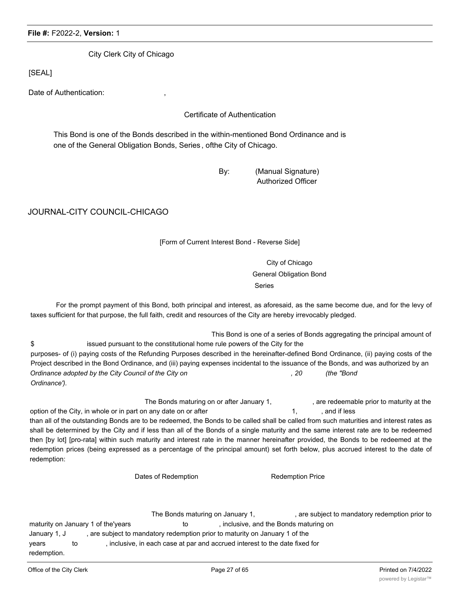City Clerk City of Chicago

[SEAL]

Date of Authentication:

Certificate of Authentication

This Bond is one of the Bonds described in the within-mentioned Bond Ordinance and is one of the General Obligation Bonds, Series , ofthe City of Chicago.

> By: (Manual Signature) Authorized Officer

JOURNAL-CITY COUNCIL-CHICAGO

## [Form of Current Interest Bond - Reverse Side]

City of Chicago General Obligation Bond Series

For the prompt payment of this Bond, both principal and interest, as aforesaid, as the same become due, and for the levy of taxes sufficient for that purpose, the full faith, credit and resources of the City are hereby irrevocably pledged.

This Bond is one of a series of Bonds aggregating the principal amount of \$ issued pursuant to the constitutional home rule powers of the City for the purposes- of (i) paying costs of the Refunding Purposes described in the hereinafter-defined Bond Ordinance, (ii) paying costs of the Project described in the Bond Ordinance, and (iii) paying expenses incidental to the issuance of the Bonds, and was authorized by an *Ordinance adopted by the City Council of the City on , 20 (the "Bond Ordinance').*

The Bonds maturing on or after January 1, example are redeemable prior to maturity at the option of the City, in whole or in part on any date on or after 1, and if less than all of the outstanding Bonds are to be redeemed, the Bonds to be called shall be called from such maturities and interest rates as shall be determined by the City and if less than all of the Bonds of a single maturity and the same interest rate are to be redeemed then [by lot] [pro-rata] within such maturity and interest rate in the manner hereinafter provided, the Bonds to be redeemed at the redemption prices (being expressed as a percentage of the principal amount) set forth below, plus accrued interest to the date of redemption:

Dates of Redemption **Redemption** Redemption Price

The Bonds maturing on January 1, The Bonds maturing on January 1, maturity on January 1 of the'years to the to the , inclusive, and the Bonds maturing on January 1, J , are subject to mandatory redemption prior to maturity on January 1 of the years to ; inclusive, in each case at par and accrued interest to the date fixed for redemption.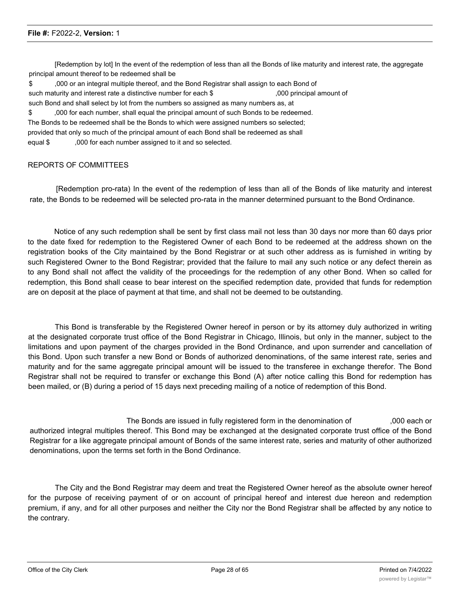[Redemption by lot] In the event of the redemption of less than all the Bonds of like maturity and interest rate, the aggregate principal amount thereof to be redeemed shall be

\$ ,000 or an integral multiple thereof, and the Bond Registrar shall assign to each Bond of such maturity and interest rate a distinctive number for each \$ ,000 principal amount of such Bond and shall select by lot from the numbers so assigned as many numbers as, at

\$ ,000 for each number, shall equal the principal amount of such Bonds to be redeemed. The Bonds to be redeemed shall be the Bonds to which were assigned numbers so selected; provided that only so much of the principal amount of each Bond shall be redeemed as shall equal \$ ,000 for each number assigned to it and so selected.

#### REPORTS OF COMMITTEES

[Redemption pro-rata) In the event of the redemption of less than all of the Bonds of like maturity and interest rate, the Bonds to be redeemed will be selected pro-rata in the manner determined pursuant to the Bond Ordinance.

Notice of any such redemption shall be sent by first class mail not less than 30 days nor more than 60 days prior to the date fixed for redemption to the Registered Owner of each Bond to be redeemed at the address shown on the registration books of the City maintained by the Bond Registrar or at such other address as is furnished in writing by such Registered Owner to the Bond Registrar; provided that the failure to mail any such notice or any defect therein as to any Bond shall not affect the validity of the proceedings for the redemption of any other Bond. When so called for redemption, this Bond shall cease to bear interest on the specified redemption date, provided that funds for redemption are on deposit at the place of payment at that time, and shall not be deemed to be outstanding.

This Bond is transferable by the Registered Owner hereof in person or by its attorney duly authorized in writing at the designated corporate trust office of the Bond Registrar in Chicago, Illinois, but only in the manner, subject to the limitations and upon payment of the charges provided in the Bond Ordinance, and upon surrender and cancellation of this Bond. Upon such transfer a new Bond or Bonds of authorized denominations, of the same interest rate, series and maturity and for the same aggregate principal amount will be issued to the transferee in exchange therefor. The Bond Registrar shall not be required to transfer or exchange this Bond (A) after notice calling this Bond for redemption has been mailed, or (B) during a period of 15 days next preceding mailing of a notice of redemption of this Bond.

The Bonds are issued in fully registered form in the denomination of ,000 each or authorized integral multiples thereof. This Bond may be exchanged at the designated corporate trust office of the Bond Registrar for a like aggregate principal amount of Bonds of the same interest rate, series and maturity of other authorized denominations, upon the terms set forth in the Bond Ordinance.

The City and the Bond Registrar may deem and treat the Registered Owner hereof as the absolute owner hereof for the purpose of receiving payment of or on account of principal hereof and interest due hereon and redemption premium, if any, and for all other purposes and neither the City nor the Bond Registrar shall be affected by any notice to the contrary.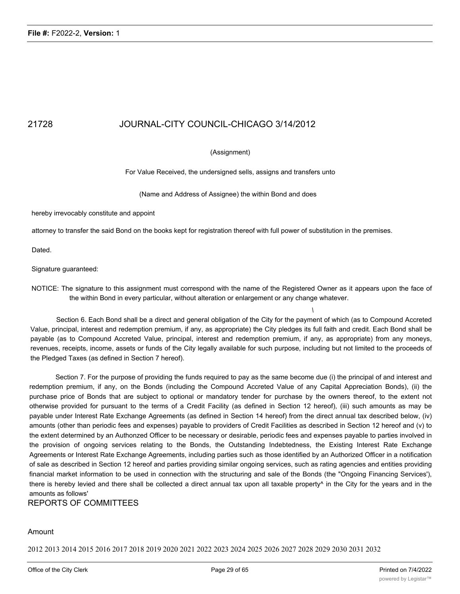## 21728 JOURNAL-CITY COUNCIL-CHICAGO 3/14/2012

#### (Assignment)

For Value Received, the undersigned sells, assigns and transfers unto

(Name and Address of Assignee) the within Bond and does

hereby irrevocably constitute and appoint

attorney to transfer the said Bond on the books kept for registration thereof with full power of substitution in the premises.

Dated.

Signature guaranteed:

NOTICE: The signature to this assignment must correspond with the name of the Registered Owner as it appears upon the face of the within Bond in every particular, without alteration or enlargement or any change whatever.

*\*

Section 6. Each Bond shall be a direct and general obligation of the City for the payment of which (as to Compound Accreted Value, principal, interest and redemption premium, if any, as appropriate) the City pledges its full faith and credit. Each Bond shall be payable (as to Compound Accreted Value, principal, interest and redemption premium, if any, as appropriate) from any moneys, revenues, receipts, income, assets or funds of the City legally available for such purpose, including but not limited to the proceeds of the Pledged Taxes (as defined in Section 7 hereof).

Section 7. For the purpose of providing the funds required to pay as the same become due (i) the principal of and interest and redemption premium, if any, on the Bonds (including the Compound Accreted Value of any Capital Appreciation Bonds), (ii) the purchase price of Bonds that are subject to optional or mandatory tender for purchase by the owners thereof, to the extent not otherwise provided for pursuant to the terms of a Credit Facility (as defined in Section 12 hereof), (iii) such amounts as may be payable under Interest Rate Exchange Agreements (as defined in Section 14 hereof) from the direct annual tax described below, (iv) amounts (other than periodic fees and expenses) payable to providers of Credit Facilities as described in Section 12 hereof and (v) to the extent determined by an Authonzed Officer to be necessary or desirable, periodic fees and expenses payable to parties involved in the provision of ongoing services relating to the Bonds, the Outstanding Indebtedness, the Existing Interest Rate Exchange Agreements or Interest Rate Exchange Agreements, including parties such as those identified by an Authorized Officer in a notification of sale as described in Section 12 hereof and parties providing similar ongoing services, such as rating agencies and entities providing financial market information to be used in connection with the structuring and sale of the Bonds (the "Ongoing Financing Services'), there is hereby levied and there shall be collected a direct annual tax upon all taxable property<sup>^</sup> in the City for the years and in the amounts as follows'

REPORTS OF COMMITTEES

#### Amount

2012 2013 2014 2015 2016 2017 2018 2019 2020 2021 2022 2023 2024 2025 2026 2027 2028 2029 2030 2031 2032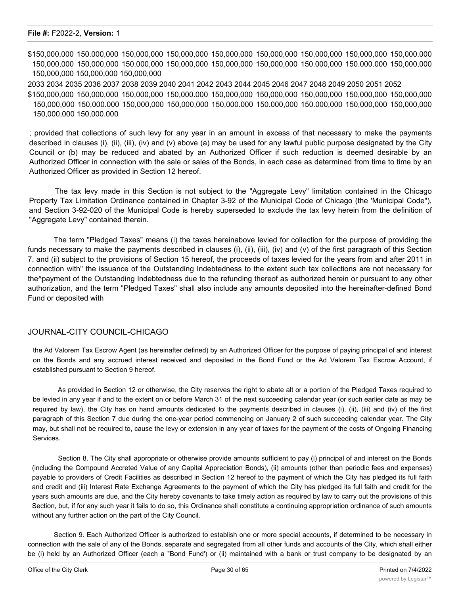\$150,000,000 150.000,000 150,000,000 150,000,000 150,000,000 150,000,000 150,000,000 150,000,000 150,000.000 150,000,000 150,000,000 150.000,000 150,000,000 150,000,000 150,000,000 150.000,000 150.000.000 150,000,000 150,000,000 150,000,000 150,000,000 2033 2034 2035 2036 2037 2038 2039 2040 2041 2042 2043 2044 2045 2046 2047 2048 2049 2050 2051 2052

\$150,000,000 150,000,000 150,000,000 150,000.000 150,000,000 150,000,000 150,000,000 150,000,000 150,000,000 150,000,000 150,000.000 150,000,000 150,000,000 150,000.000 150.000,000 150.000,000 150,000,000 150,000,000 150,000,000 150,000.000

; provided that collections of such levy for any year in an amount in excess of that necessary to make the payments described in clauses (i), (ii), (iii), (iv) and (v) above (a) may be used for any lawful public purpose designated by the City Council or (b) may be reduced and abated by an Authorized Officer if such reduction is deemed desirable by an Authorized Officer in connection with the sale or sales of the Bonds, in each case as determined from time to time by an Authorized Officer as provided in Section 12 hereof.

The tax levy made in this Section is not subject to the "Aggregate Levy" limitation contained in the Chicago Property Tax Limitation Ordinance contained in Chapter 3-92 of the Municipal Code of Chicago (the 'Municipal Code"), and Section 3-92-020 of the Municipal Code is hereby superseded to exclude the tax levy herein from the definition of "Aggregate Levy" contained therein.

The term "Pledged Taxes" means (i) the taxes hereinabove levied for collection for the purpose of providing the funds necessary to make the payments described in clauses (i), (ii), (iii), (iv) and (v) of the first paragraph of this Section 7. and (ii) subject to the provisions of Section 15 hereof, the proceeds of taxes levied for the years from and after 2011 in connection with" the issuance of the Outstanding Indebtedness to the extent such tax collections are not necessary for the^payment of the Outstanding Indebtedness due to the refunding thereof as authorized herein or pursuant to any other authorization, and the term "Pledged Taxes" shall also include any amounts deposited into the hereinafter-defined Bond Fund or deposited with

#### JOURNAL-CITY COUNCIL-CHICAGO

the Ad Valorem Tax Escrow Agent (as hereinafter defined) by an Authorized Officer for the purpose of paying principal of and interest on the Bonds and any accrued interest received and deposited in the Bond Fund or the Ad Valorem Tax Escrow Account, if established pursuant to Section 9 hereof.

As provided in Section 12 or otherwise, the City reserves the right to abate alt or a portion of the Pledged Taxes required to be levied in any year if and to the extent on or before March 31 of the next succeeding calendar year (or such earlier date as may be required by law), the City has on hand amounts dedicated to the payments described in clauses (i), (ii), (iii) and (iv) of the first paragraph of this Section 7 due during the one-year period commencing on January 2 of such succeeding calendar year. The City may, but shall not be required to, cause the levy or extension in any year of taxes for the payment of the costs of Ongoing Financing Services.

Section 8. The City shall appropriate or otherwise provide amounts sufficient to pay (i) principal of and interest on the Bonds (including the Compound Accreted Value of any Capital Appreciation Bonds), (ii) amounts (other than periodic fees and expenses) payable to providers of Credit Facilities as described in Section 12 hereof to the payment of which the City has pledged its full faith and credit and (iii) Interest Rate Exchange Agreements to the payment of which the City has pledged its full faith and credit for the years such amounts are due, and the City hereby covenants to take timely action as required by law to carry out the provisions of this Section, but, if for any such year it fails to do so, this Ordinance shall constitute a continuing appropriation ordinance of such amounts without any further action on the part of the City Council.

Section 9. Each Authorized Officer is authorized to establish one or more special accounts, if determined to be necessary in connection with the sale of any of the Bonds, separate and segregated from all other funds and accounts of the City, which shall either be (i) held by an Authorized Officer (each a "Bond Fund') or (ii) maintained with a bank or trust company to be designated by an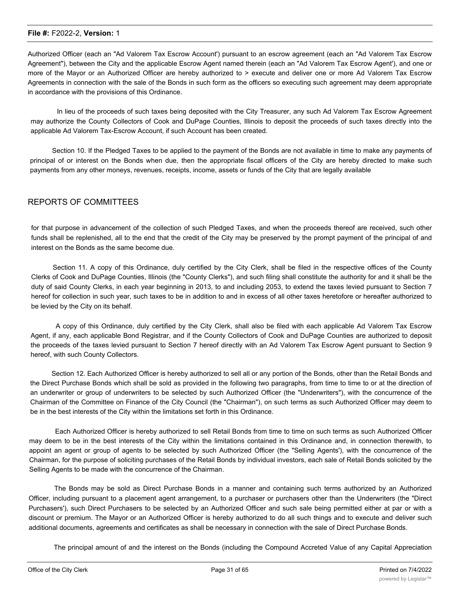Authorized Officer (each an "Ad Valorem Tax Escrow Account') pursuant to an escrow agreement (each an "Ad Valorem Tax Escrow Agreement"), between the City and the applicable Escrow Agent named therein (each an "Ad Valorem Tax Escrow Agent'), and one or more of the Mayor or an Authorized Officer are hereby authorized to > execute and deliver one or more Ad Valorem Tax Escrow Agreements in connection with the sale of the Bonds in such form as the officers so executing such agreement may deem appropriate in accordance with the provisions of this Ordinance.

In lieu of the proceeds of such taxes being deposited with the City Treasurer, any such Ad Valorem Tax Escrow Agreement may authorize the County Collectors of Cook and DuPage Counties, Illinois to deposit the proceeds of such taxes directly into the applicable Ad Valorem Tax-Escrow Account, if such Account has been created.

Section 10. If the Pledged Taxes to be applied to the payment of the Bonds are not available in time to make any payments of principal of or interest on the Bonds when due, then the appropriate fiscal officers of the City are hereby directed to make such payments from any other moneys, revenues, receipts, income, assets or funds of the City that are legally available

## REPORTS OF COMMITTEES

for that purpose in advancement of the collection of such Pledged Taxes, and when the proceeds thereof are received, such other funds shall be replenished, all to the end that the credit of the City may be preserved by the prompt payment of the principal of and interest on the Bonds as the same become due.

Section 11. A copy of this Ordinance, duly certified by the City Clerk, shall be filed in the respective offices of the County Clerks of Cook and DuPage Counties, Illinois (the "County Clerks"), and such filing shall constitute the authority for and it shall be the duty of said County Clerks, in each year beginning in 2013, to and including 2053, to extend the taxes levied pursuant to Section 7 hereof for collection in such year, such taxes to be in addition to and in excess of all other taxes heretofore or hereafter authorized to be levied by the City on its behalf.

A copy of this Ordinance, duly certified by the City Clerk, shall also be filed with each applicable Ad Valorem Tax Escrow Agent, if any, each applicable Bond Registrar, and if the County Collectors of Cook and DuPage Counties are authorized to deposit the proceeds of the taxes levied pursuant to Section 7 hereof directly with an Ad Valorem Tax Escrow Agent pursuant to Section 9 hereof, with such County Collectors.

Section 12. Each Authorized Officer is hereby authorized to sell all or any portion of the Bonds, other than the Retail Bonds and the Direct Purchase Bonds which shall be sold as provided in the following two paragraphs, from time to time to or at the direction of an underwriter or group of underwriters to be selected by such Authorized Officer (the "Underwriters"), with the concurrence of the Chairman of the Committee on Finance of the City Council (the "Chairman"), on such terms as such Authorized Officer may deem to be in the best interests of the City within the limitations set forth in this Ordinance.

Each Authorized Officer is hereby authorized to sell Retail Bonds from time to time on such terms as such Authorized Officer may deem to be in the best interests of the City within the limitations contained in this Ordinance and, in connection therewith, to appoint an agent or group of agents to be selected by such Authorized Officer (the "Selling Agents'), with the concurrence of the Chairman, for the purpose of soliciting purchases of the Retail Bonds by individual investors, each sale of Retail Bonds solicited by the Selling Agents to be made with the concurrence of the Chairman.

The Bonds may be sold as Direct Purchase Bonds in a manner and containing such terms authorized by an Authorized Officer, including pursuant to a placement agent arrangement, to a purchaser or purchasers other than the Underwriters (the "Direct Purchasers'), such Direct Purchasers to be selected by an Authorized Officer and such sale being permitted either at par or with a discount or premium. The Mayor or an Authorized Officer is hereby authorized to do all such things and to execute and deliver such additional documents, agreements and certificates as shall be necessary in connection with the sale of Direct Purchase Bonds.

The principal amount of and the interest on the Bonds (including the Compound Accreted Value of any Capital Appreciation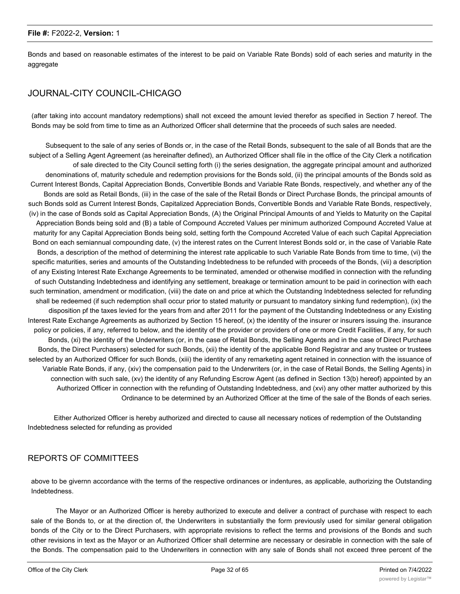Bonds and based on reasonable estimates of the interest to be paid on Variable Rate Bonds) sold of each series and maturity in the aggregate

## JOURNAL-CITY COUNCIL-CHICAGO

(after taking into account mandatory redemptions) shall not exceed the amount levied therefor as specified in Section 7 hereof. The Bonds may be sold from time to time as an Authorized Officer shall determine that the proceeds of such sales are needed.

Subsequent to the sale of any series of Bonds or, in the case of the Retail Bonds, subsequent to the sale of all Bonds that are the subject of a Selling Agent Agreement (as hereinafter defined), an Authorized Officer shall file in the office of the City Clerk a notification of sale directed to the City Council setting forth (i) the series designation, the aggregate principal amount and authorized denominations of, maturity schedule and redemption provisions for the Bonds sold, (ii) the principal amounts of the Bonds sold as Current Interest Bonds, Capital Appreciation Bonds, Convertible Bonds and Variable Rate Bonds, respectively, and whether any of the Bonds are sold as Retail Bonds, (iii) in the case of the sale of the Retail Bonds or Direct Purchase Bonds, the principal amounts of such Bonds sold as Current Interest Bonds, Capitalized Appreciation Bonds, Convertible Bonds and Variable Rate Bonds, respectively, (iv) in the case of Bonds sold as Capital Appreciation Bonds, (A) the Original Principal Amounts of and Yields to Maturity on the Capital Appreciation Bonds being sold and (B) a table of Compound Accreted Values per minimum authorized Compound Accreted Value at maturity for any Capital Appreciation Bonds being sold, setting forth the Compound Accreted Value of each such Capital Appreciation Bond on each semiannual compounding date, (v) the interest rates on the Current Interest Bonds sold or, in the case of Variable Rate Bonds, a description of the method of determining the interest rate applicable to such Variable Rate Bonds from time to time, (vi) the specific maturities, series and amounts of the Outstanding Indebtedness to be refunded with proceeds of the Bonds, (vii) a description of any Existing Interest Rate Exchange Agreements to be terminated, amended or otherwise modified in connection with the refunding of such Outstanding Indebtedness and identifying any settlement, breakage or termination amount to be paid in corinection with each such termination, amendment or modification, (viii) the date on and price at which the Outstanding Indebtedness selected for refunding shall be redeemed (if such redemption shall occur prior to stated maturity or pursuant to mandatory sinking fund redemption), (ix) the disposition pf the taxes levied for the years from and after 2011 for the payment of the Outstanding Indebtedness or any Existing Interest Rate Exchange Agreements as authorized by Section 15 hereof, (x) the identity of the insurer or insurers issuing the. insurance policy or policies, if any, referred to below, and the identity of the provider or providers of one or more Credit Facilities, if any, for such Bonds, (xi) the identity of the Underwriters (or, in the case of Retail Bonds, the Selling Agents and in the case of Direct Purchase Bonds, the Direct Purchasers) selected for such Bonds, (xii) the identity of the applicable Bond Registrar and any trustee or trustees selected by an Authorized Officer for such Bonds, (xiii) the identity of any remarketing agent retained in connection with the issuance of Variable Rate Bonds, if any, (xiv) the compensation paid to the Underwriters (or, in the case of Retail Bonds, the Selling Agents) in connection with such sale, (xv) the identity of any Refunding Escrow Agent (as defined in Section 13(b) hereof) appointed by an Authorized Officer in connection with the refunding of Outstanding Indebtedness, and (xvi) any other matter authorized by this Ordinance to be determined by an Authorized Officer at the time of the sale of the Bonds of each series.

Either Authorized Officer is hereby authorized and directed to cause all necessary notices of redemption of the Outstanding Indebtedness selected for refunding as provided

## REPORTS OF COMMITTEES

above to be givernn accordance with the terms of the respective ordinances or indentures, as applicable, authorizing the Outstanding Indebtedness.

The Mayor or an Authorized Officer is hereby authorized to execute and deliver a contract of purchase with respect to each sale of the Bonds to, or at the direction of, the Underwriters in substantially the form previously used for similar general obligation bonds of the City or to the Direct Purchasers, with appropriate revisions to reflect the terms and provisions of the Bonds and such other revisions in text as the Mayor or an Authorized Officer shall determine are necessary or desirable in connection with the sale of the Bonds. The compensation paid to the Underwriters in connection with any sale of Bonds shall not exceed three percent of the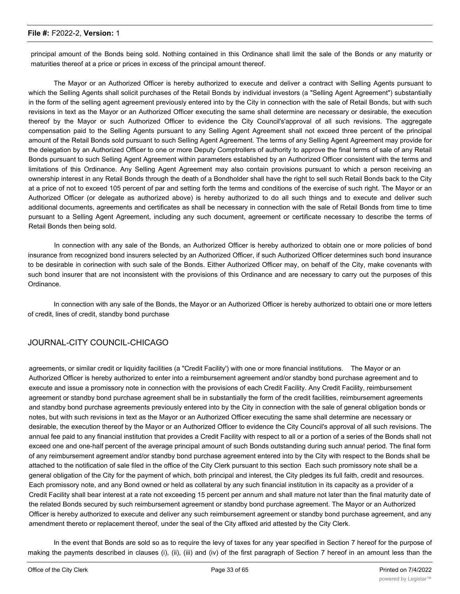principal amount of the Bonds being sold. Nothing contained in this Ordinance shall limit the sale of the Bonds or any maturity or maturities thereof at a price or prices in excess of the principal amount thereof.

The Mayor or an Authorized Officer is hereby authorized to execute and deliver a contract with Selling Agents pursuant to which the Selling Agents shall solicit purchases of the Retail Bonds by individual investors (a "Selling Agent Agreement") substantially in the form of the selling agent agreement previously entered into by the City in connection with the sale of Retail Bonds, but with such revisions in text as the Mayor or an Authorized Officer executing the same shall determine are necessary or desirable, the execution thereof by the Mayor or such Authorized Officer to evidence the City Council's'approval of all such revisions. The aggregate compensation paid to the Selling Agents pursuant to any Selling Agent Agreement shall not exceed three percent of the principal amount of the Retail Bonds sold pursuant to such Selling Agent Agreement. The terms of any Selling Agent Agreement may provide for the delegation by an Authorized Officer to one or more Deputy Comptrollers of authority to approve the final terms of sale of any Retail Bonds pursuant to such Selling Agent Agreement within parameters established by an Authorized Officer consistent with the terms and limitations of this Ordinance. Any Selling Agent Agreement may also contain provisions pursuant to which a person receiving an ownership interest in any Retail Bonds through the death of a Bondholder shall have the right to sell such Retail Bonds back to the City at a price of not to exceed 105 percent of par and setting forth the terms and conditions of the exercise of such right. The Mayor or an Authorized Officer (or delegate as authorized above) is hereby authorized to do all such things and to execute and deliver such additional documents, agreements and certificates as shall be necessary in connection with the sale of Retail Bonds from time to time pursuant to a Selling Agent Agreement, including any such document, agreement or certificate necessary to describe the terms of Retail Bonds then being sold.

In connection with any sale of the Bonds, an Authorized Officer is hereby authorized to obtain one or more policies of bond insurance from recognized bond insurers selected by an Authorized Officer, if such Authorized Officer determines such bond insurance to be desirable in corinection with such sale of the Bonds. Either Authorized Officer may, on behalf of the City, make covenants with such bond insurer that are not inconsistent with the provisions of this Ordinance and are necessary to carry out the purposes of this Ordinance.

In connection with any sale of the Bonds, the Mayor or an Authorized Officer is hereby authorized to obtairi one or more letters of credit, lines of credit, standby bond purchase

## JOURNAL-CITY COUNCIL-CHICAGO

agreements, or similar credit or liquidity facilities (a "Credit Facility') with one or more financial institutions. The Mayor or an Authorized Officer is hereby authorized to enter into a reimbursement agreement and/or standby bond purchase agreement and to execute and issue a promissory note in connection with the provisions of each Credit Facility. Any Credit Facility, reimbursement agreement or standby bond purchase agreement shall be in substantially the form of the credit facilities, reimbursement agreements and standby bond purchase agreements previously entered into by the City in connection with the sale of general obligation bonds or notes, but with such revisions in text as the Mayor or an Authorized Officer executing the same shall determine are necessary or desirable, the execution thereof by the Mayor or an Authorized Officer to evidence the City Council's approval of all such revisions. The annual fee paid to any financial institution that provides a Credit Facility with respect to all or a portion of a series of the Bonds shall not exceed one and one-half percent of the average principal amount of such Bonds outstanding during such annua! period. The final form of any reimbursement agreement and/or standby bond purchase agreement entered into by the City with respect to the Bonds shall be attached to the notification of sale filed in the office of the City Clerk pursuant to this section Each such promissory note shall be a general obligation of the City for the payment of which, both principal and interest, the City pledges its full faith, credit and resources. Each promissory note, and any Bond owned or held as collateral by any such financial institution in its capacity as a provider of a Credit Facility shall bear interest at a rate not exceeding 15 percent per annum and shall mature not later than the final maturity date of the related Bonds secured by such reimbursement agreement or standby bond purchase agreement. The Mayor or an Authorized Officer is hereby authorized to execute and deliver any such reimbursement agreement or standby bond purchase agreement, and any amendment thereto or replacement thereof, under the seal of the City affixed arid attested by the City Clerk.

In the event that Bonds are sold so as to require the levy of taxes for any year specified in Section 7 hereof for the purpose of making the payments described in clauses (i), (ii), (iii) and (iv) of the first paragraph of Section 7 hereof in an amount less than the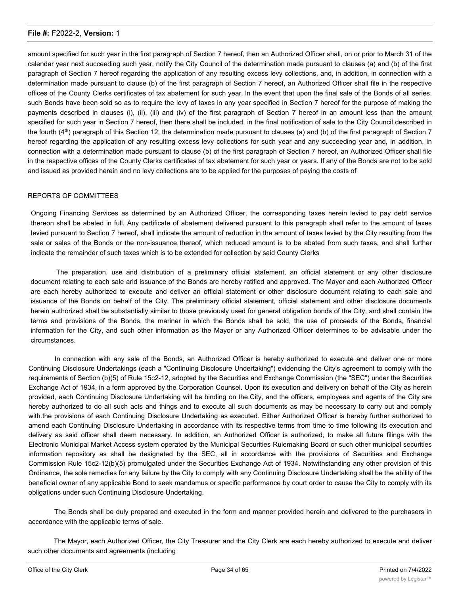amount specified for such year in the first paragraph of Section 7 hereof, then an Authorized Officer shall, on or prior to March 31 of the calendar year next succeeding such year, notify the City Council of the determination made pursuant to clauses (a) and (b) of the first paragraph of Section 7 hereof regarding the application of any resulting excess levy collections, and, in addition, in connection with a determination made pursuant to clause (b) of the first paragraph of Section 7 hereof, an Authorized Officer shall file in the respective offices of the County Clerks certificates of tax abatement for such year, ln the event that upon the final sale of the Bonds of all series, such Bonds have been sold so as to require the levy of taxes in any year specified in Section 7 hereof for the purpose of making the payments described in clauses (i), (ii), (iii) and (iv) of the first paragraph of Section 7 hereof in an amount less than the amount specified for such year in Section 7 hereof, then there shall be included, in the final notification of sale to the City Council described in the fourth  $(4<sup>th</sup>)$  paragraph of this Section 12, the determination made pursuant to clauses (a) and (b) of the first paragraph of Section 7 hereof regarding the application of any resulting excess levy collections for such year and any succeeding year and, in addition, in connection with a determination made pursuant to clause (b) of the first paragraph of Section 7 hereof, an Authorized Officer shall file in the respective offices of the County Clerks certificates of tax abatement for such year or years. If any of the Bonds are not to be sold and issued as provided herein and no levy collections are to be applied for the purposes of paying the costs of

#### REPORTS OF COMMITTEES

Ongoing Financing Services as determined by an Authorized Officer, the corresponding taxes herein levied to pay debt service thereon shall be abated in full. Any certificate of abatement delivered pursuant to this paragraph shall refer to the amount of taxes levied pursuant to Section 7 hereof, shall indicate the amount of reduction in the amount of taxes levied by the City resulting from the sale or sales of the Bonds or the non-issuance thereof, which reduced amount is to be abated from such taxes, and shall further indicate the remainder of such taxes which is to be extended for collection by said County Clerks

The preparation, use and distribution of a preliminary official statement, an official statement or any other disclosure document relating to each sale arid issuance of the Bonds are hereby ratified and approved. The Mayor and each Authorized Officer are each hereby authorized to execute and deliver an official statement or other disclosure document relating to each sale and issuance of the Bonds on behalf of the City. The preliminary official statement, official statement and other disclosure documents herein authorized shall be substantially similar to those previously used for general obligation bonds of the City, and shall contain the terms and provisions of the Bonds, the mariner in which the Bonds shall be sold, the use of proceeds of the Bonds, financial information for the City, and such other information as the Mayor or any Authorized Officer determines to be advisable under the circumstances.

In connection with any sale of the Bonds, an Authorized Officer is hereby authorized to execute and deliver one or more Continuing Disclosure Undertakings (each a "Continuing Disclosure Undertaking") evidencing the City's agreement to comply with the requirements of Section (b)(5) of Rule 15c2-12, adopted by the Securities and Exchange Commission (the "SEC") under the Securities Exchange Act of 1934, in a form approved by the Corporation Counsel. Upon its execution and delivery on behalf of the City as herein provided, each Continuing Disclosure Undertaking will be binding on the.City, and the officers, employees and agents of the City are hereby authorized to do all such acts and things and to execute all such documents as may be necessary to carry out and comply with.the provisions of each Continuing Disclosure Undertaking as executed. Either Authorized Officer is hereby further authorized to amend each Continuing Disclosure Undertaking in accordance with its respective terms from time to time following its execution and delivery as said officer shall deem necessary. In addition, an Authorized Officer is authorized, to make all future filings with the Electronic Municipal Market Access system operated by the Municipal Securities Rulemaking Board or such other municipal securities information repository as shall be designated by the SEC, all in accordance with the provisions of Securities and Exchange Commission Rule 15c2-12(b)(5) promulgated under the Securities Exchange Act of 1934. Notwithstanding any other provision of this Ordinance, the sole remedies for any failure by the City to comply with any Continuing Disclosure Undertaking shall be the ability of the beneficial owner of any applicable Bond to seek mandamus or specific performance by court order to cause the City to comply with its obligations under such Continuing Disclosure Undertaking.

The Bonds shall be duly prepared and executed in the form and manner provided herein and delivered to the purchasers in accordance with the applicable terms of sale.

The Mayor, each Authorized Officer, the City Treasurer and the City Clerk are each hereby authorized to execute and deliver such other documents and agreements (including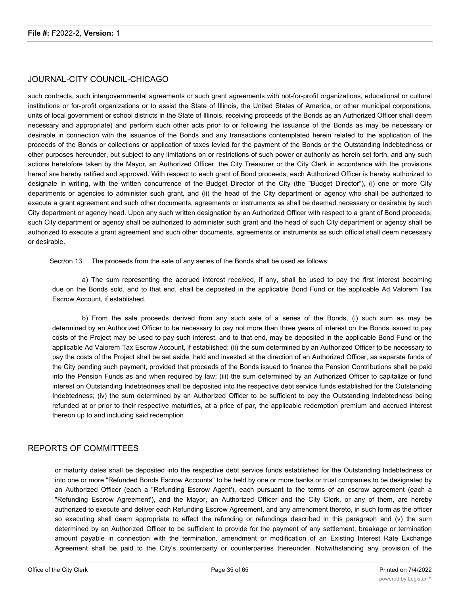## JOURNAL-CITY COUNCIL-CHICAGO

such contracts, such intergovernmental agreements cr such grant agreements with not-for-profit organizations, educational or cultural institutions or for-profit organizations or to assist the State of Illinois, the United States of America, or other municipal corporations, units of local government or school districts in the State of Illinois, receiving proceeds of the Bonds as an Authorized Officer shall deem necessary and appropriate) and perform such other acts prior to or following the issuance of the Bonds as may be necessary or desirable in connection with the issuance of the Bonds and any transactions contemplated herein related to the application of the proceeds of the Bonds or collections or application of taxes levied for the payment of the Bonds or the Outstanding Indebtedness or other purposes hereunder, but subject to any limitations on or restrictions of such power or authority as herein set forth, and any such actions heretofore taken by the Mayor, an Authorized Officer, the City Treasurer or the City Clerk in accordance with the provisions hereof are hereby ratified and approved. With respect to each grant of Bond proceeds, each Authorized Officer is hereby authorized to designate in writing, with the written concurrence of the Budget Director of the City (the "Budget Director"), (i) one or more City departments or agencies to administer such grant, and (ii) the head of the City department or agency who shall be authorized to execute a grant agreement and such other documents, agreements or instruments as shall be deemed necessary or desirable by such City department or agency head. Upon any such written designation by an Authorized Officer with respect to a grant of Bond proceeds, such City department or agency shall be authorized to administer such grant and the head of such City department or agency shall be authorized to execute a grant agreement and such other documents, agreements or instruments as such official shall deem necessary or desirable.

Secr/on 13. The proceeds from the sale of any series of the Bonds shall be used as follows:

a) The sum representing the accrued interest received, if any, shall be used to pay the first interest becoming due on the Bonds sold, and to that end, shall be deposited in the applicable Bond Fund or the applicable Ad Valorem Tax Escrow Account, if established.

b) From the sale proceeds derived from any such sale of a series of the Bonds, (i) such sum as may be determined by an Authorized Officer to be necessary to pay not more than three years of interest on the Bonds issued to pay costs of the Project may be used to pay such interest, and to that end, may be deposited in the applicable Bond Fund or the applicable Ad Valorem Tax Escrow Account, if established; (ii) the sum determined by an Authorized Officer to be necessary to pay the costs of the Project shall be set aside, held and invested at the direction of an Authorized Officer, as separate funds of the City pending such payment, provided that proceeds of the Bonds issued to finance the Pension Contributions shall be paid into the Pension Funds as and when required by law; (iii) the sum determined by an Authorized Officer to capitalize or fund interest on Outstanding Indebtedness shall be deposited into the respective debt service funds established for the Outstanding Indebtedness; (iv) the sum determined by an Authorized Officer to be sufficient to pay the Outstanding Indebtedness being refunded at or prior to their respective maturities, at a price of par, the applicable redemption premium and accrued interest thereon up to and including said redemption

#### REPORTS OF COMMITTEES

or maturity dates shall be deposited into the respective debt service funds established for the Outstanding Indebtedness or into one or more "Refunded Bonds Escrow Accounts" to be held by one or more banks or trust companies to be designated by an Authorized Officer (each a "Refunding Escrow Agent'), each pursuant to the terms of an escrow agreement (each a "Refunding Escrow Agreement'), and the Mayor, an Authorized Officer and the City Clerk, or any of them, are hereby authorized to execute and deliver each Refunding Escrow Agreement, and any amendment thereto, in such form as the officer so executing shall deem appropriate to effect the refunding or refundings described in this paragraph and (v) the sum determined by an Authorized Officer to be sufficient to provide for the payment of any settlement, breakage or termination amount payable in connection with the termination, amendment or modification of an Existing Interest Rate Exchange Agreement shall be paid to the City's counterparty or counterparties thereunder. Notwithstanding any provision of the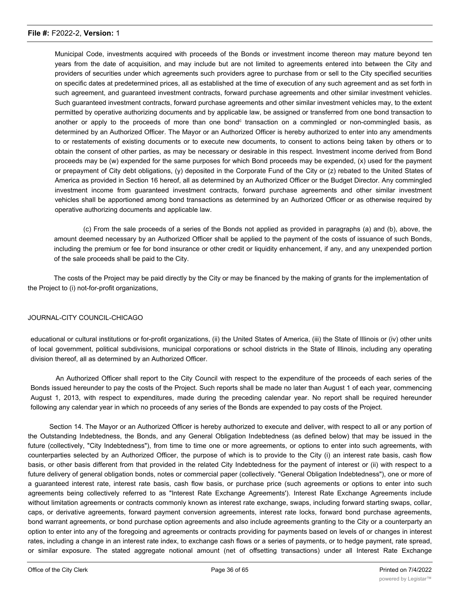Municipal Code, investments acquired with proceeds of the Bonds or investment income thereon may mature beyond ten years from the date of acquisition, and may include but are not limited to agreements entered into between the City and providers of securities under which agreements such providers agree to purchase from or sell to the City specified securities on specific dates at predetermined prices, all as established at the time of execution of any such agreement and as set forth in such agreement, and guaranteed investment contracts, forward purchase agreements and other similar investment vehicles. Such guaranteed investment contracts, forward purchase agreements and other similar investment vehicles may, to the extent permitted by operative authorizing documents and by applicable law, be assigned or transferred from one bond transaction to another or apply to the proceeds of more than one bond<sup>c</sup> transaction on a commingled or non-commingled basis, as determined by an Authorized Officer. The Mayor or an Authorized Officer is hereby authorized to enter into any amendments to or restatements of existing documents or to execute new documents, to consent to actions being taken by others or to obtain the consent of other parties, as may be necessary or desirable in this respect. Investment income derived from Bond proceeds may be (w) expended for the same purposes for which Bond proceeds may be expended, (x) used for the payment or prepayment of City debt obligations, (y) deposited in the Corporate Fund of the City or (z) rebated to the United States of America as provided in Section 16 hereof, all as determined by an Authorized Officer or the Budget Director. Any commingled investment income from guaranteed investment contracts, forward purchase agreements and other similar investment vehicles shall be apportioned among bond transactions as determined by an Authorized Officer or as otherwise required by operative authorizing documents and applicable law.

(c) From the sale proceeds of a series of the Bonds not applied as provided in paragraphs (a) and (b), above, the amount deemed necessary by an Authorized Officer shall be applied to the payment of the costs of issuance of such Bonds, including the premium or fee for bond insurance or other credit or liquidity enhancement, if any, and any unexpended portion of the sale proceeds shall be paid to the City.

The costs of the Project may be paid directly by the City or may be financed by the making of grants for the implementation of the Project to (i) not-for-profit organizations,

#### JOURNAL-CITY COUNCIL-CHICAGO

educational or cultural institutions or for-profit organizations, (ii) the United States of America, (iii) the State of Illinois or (iv) other units of local government, political subdivisions, municipal corporations or school districts in the State of Illinois, including any operating division thereof, all as determined by an Authorized Officer.

An Authorized Officer shall report to the City Council with respect to the expenditure of the proceeds of each series of the Bonds issued hereunder to pay the costs of the Project. Such reports shall be made no later than August 1 of each year, commencing August 1, 2013, with respect to expenditures, made during the preceding calendar year. No report shall be required hereunder following any calendar year in which no proceeds of any series of the Bonds are expended to pay costs of the Project.

Section 14. The Mayor or an Authorized Officer is hereby authorized to execute and deliver, with respect to all or any portion of the Outstanding Indebtedness, the Bonds, and any General Obligation Indebtedness (as defined below) that may be issued in the future (collectively, "City Indebtedness"), from time to time one or more agreements, or options to enter into such agreements, with counterparties selected by an Authorized Officer, the purpose of which is to provide to the City (i) an interest rate basis, cash flow basis, or other basis different from that provided in the related City Indebtedness for the payment of interest or (ii) with respect to a future delivery of general obligation bonds, notes or commercial paper (collectively. "General Obligation Indebtedness"), one or more of a guaranteed interest rate, interest rate basis, cash flow basis, or purchase price (such agreements or options to enter into such agreements being collectively referred to as "Interest Rate Exchange Agreements'). Interest Rate Exchange Agreements include without limitation agreements or contracts commonly known as interest rate exchange, swaps, including forward starting swaps, collar, caps, or derivative agreements, forward payment conversion agreements, interest rate locks, forward bond purchase agreements, bond warrant agreements, or bond purchase option agreements and also include agreements granting to the City or a counterparty an option to enter into any of the foregoing and agreements or contracts providing for payments based on levels of or changes in interest rates, including a change in an interest rate index, to exchange cash flows or a series of payments, or to hedge payment, rate spread, or similar exposure. The stated aggregate notional amount (net of offsetting transactions) under all Interest Rate Exchange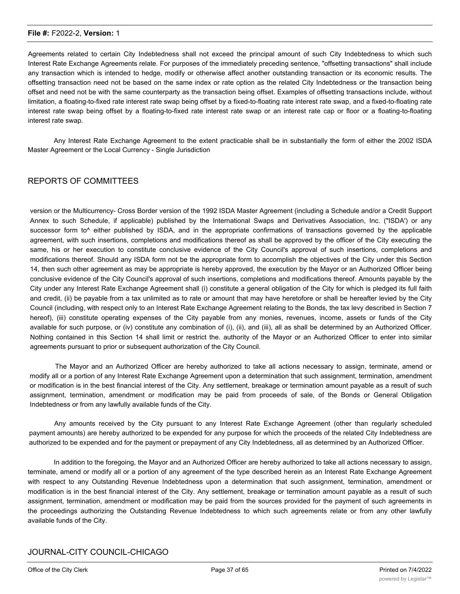Agreements related to certain City Indebtedness shall not exceed the principal amount of such City Indebtedness to which such Interest Rate Exchange Agreements relate. For purposes of the immediately preceding sentence, "offsetting transactions" shall include any transaction which is intended to hedge, modify or otherwise affect another outstanding transaction or its economic results. The offsetting transaction need not be based on the same index or rate option as the related City Indebtedness or the transaction being offset and need not be with the same counterparty as the transaction being offset. Examples of offsetting transactions include, without limitation, a floating-to-fixed rate interest rate swap being offset by a fixed-to-floating rate interest rate swap, and a fixed-to-floating rate interest rate swap being offset by a floating-to-fixed rate interest rate swap or an interest rate cap or floor or a floating-to-floating interest rate swap.

Any Interest Rate Exchange Agreement to the extent practicable shall be in substantially the form of either the 2002 ISDA Master Agreement or the Local Currency - Single Jurisdiction

#### REPORTS OF COMMITTEES

version or the Multicurrency- Cross Border version of the 1992 ISDA Master Agreement (including a Schedule and/or a Credit Support Annex to such Schedule, if applicable) published by the International Swaps and Derivatives Association, Inc. ("ISDA') or any successor form to<sup>^</sup> either published by ISDA, and in the appropriate confirmations of transactions governed by the applicable agreement, with such insertions, completions and modifications thereof as shall be approved by the officer of the City executing the same, his or her execution to constitute conclusive evidence of the City Council's approval of such insertions, completions and modifications thereof. Should any ISDA form not be the appropriate form to accomplish the objectives of the City under this Section 14, then such other agreement as may be appropriate is hereby approved, the execution by the Mayor or an Authorized Officer being conclusive evidence of the City Council's approval of such insertions, completions and modifications thereof. Amounts payable by the City under any Interest Rate Exchange Agreement shall (i) constitute a general obligation of the City for which is pledged its full faith and credit, (ii) be payable from a tax unlimited as to rate or amount that may have heretofore or shall be hereafter levied by the City Council (including, with respect only to an Interest Rate Exchange Agreement relating to the Bonds, the tax levy described in Section 7 hereof), (iii) constitute operating expenses of the City payable from any monies, revenues, income, assets or funds of the City available for such purpose, or (iv) constitute any combination of (i), (ii), and (iii), all as shall be determined by an Authorized Officer. Nothing contained in this Section 14 shall limit or restrict the. authority of the Mayor or an Authorized Officer to enter into similar agreements pursuant to prior or subsequent authorization of the City Council.

The Mayor and an Authorized Officer are hereby authorized to take all actions necessary to assign, terminate, amend or modify all or a portion of any Interest Rate Exchange Agreement upon a determination that such assignment, termination, amendment or modification is in the best financial interest of the City. Any settlement, breakage or termination amount payable as a result of such assignment, termination, amendment or modification may be paid from proceeds of sale, of the Bonds or General Obligation Indebtedness or from any lawfully available funds of the City.

Any amounts received by the City pursuant to any Interest Rate Exchange Agreement (other than regularly scheduled payment amounts) are hereby authorized to be expended for any purpose for which the proceeds of the related City Indebtedness are authorized to be expended and for the payment or prepayment of any City Indebtedness, all as determined by an Authorized Officer.

In addition to the foregoing, the Mayor and an Authorized Officer are hereby authorized to take all actions necessary to assign, terminate, amend or modify all or a portion of any agreement of the type described herein as an Interest Rate Exchange Agreement with respect to any Outstanding Revenue Indebtedness upon a determination that such assignment, termination, amendment or modification is in the best financial interest of the City. Any settlement, breakage or termination amount payable as a result of such assignment, termination, amendment or modification may be paid from the sources provided for the payment of such agreements in the proceedings authorizing the Outstanding Revenue Indebtedness to which such agreements relate or from any other lawfully available funds of the City.

## JOURNAL-CITY COUNCIL-CHICAGO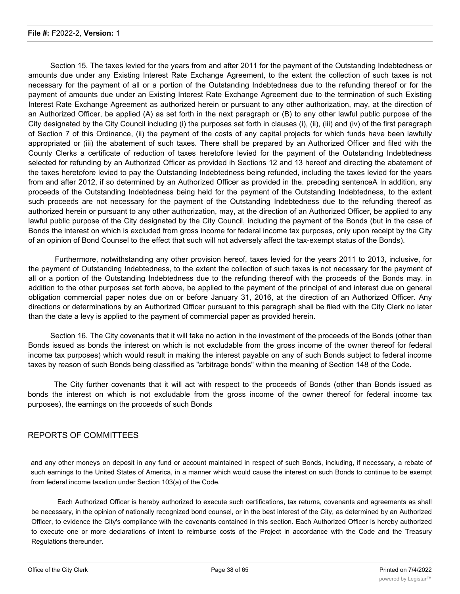Section 15. The taxes levied for the years from and after 2011 for the payment of the Outstanding Indebtedness or amounts due under any Existing Interest Rate Exchange Agreement, to the extent the collection of such taxes is not necessary for the payment of all or a portion of the Outstanding Indebtedness due to the refunding thereof or for the payment of amounts due under an Existing Interest Rate Exchange Agreement due to the termination of such Existing Interest Rate Exchange Agreement as authorized herein or pursuant to any other authorization, may, at the direction of an Authorized Officer, be applied (A) as set forth in the next paragraph or (B) to any other lawful public purpose of the City designated by the City Council including (i) the purposes set forth in clauses (i), (ii), (iii) and (iv) of the first paragraph of Section 7 of this Ordinance, (ii) the payment of the costs of any capital projects for which funds have been lawfully appropriated or (iii) the abatement of such taxes. There shall be prepared by an Authorized Officer and filed with the County Clerks a certificate of reduction of taxes heretofore levied for the payment of the Outstanding Indebtedness selected for refunding by an Authorized Officer as provided ih Sections 12 and 13 hereof and directing the abatement of the taxes heretofore levied to pay the Outstanding Indebtedness being refunded, including the taxes levied for the years from and after 2012, if so determined by an Authorized Officer as provided in the. preceding sentenceA In addition, any proceeds of the Outstanding Indebtedness being held for the payment of the Outstanding Indebtedness, to the extent such proceeds are not necessary for the payment of the Outstanding Indebtedness due to the refunding thereof as authorized herein or pursuant to any other authorization, may, at the direction of an Authorized Officer, be applied to any lawful public purpose of the City designated by the City Council, including the payment of the Bonds (but in the case of Bonds the interest on which is excluded from gross income for federal income tax purposes, only upon receipt by the City of an opinion of Bond Counsel to the effect that such will not adversely affect the tax-exempt status of the Bonds).

Furthermore, notwithstanding any other provision hereof, taxes levied for the years 2011 to 2013, inclusive, for the payment of Outstanding Indebtedness, to the extent the collection of such taxes is not necessary for the payment of all or a portion of the Outstanding Indebtedness due to the refunding thereof with the proceeds of the Bonds may. in addition to the other purposes set forth above, be applied to the payment of the principal of and interest due on general obligation commercial paper notes due on or before January 31, 2016, at the direction of an Authorized Officer. Any directions or determinations by an Authorized Officer pursuant to this paragraph shall be filed with the City Clerk no later than the date a levy is applied to the payment of commercial paper as provided herein.

Section 16. The City covenants that it will take no action in the investment of the proceeds of the Bonds (other than Bonds issued as bonds the interest on which is not excludable from the gross income of the owner thereof for federal income tax purposes) which would result in making the interest payable on any of such Bonds subject to federal income taxes by reason of such Bonds being classified as "arbitrage bonds" within the meaning of Section 148 of the Code.

The City further covenants that it will act with respect to the proceeds of Bonds (other than Bonds issued as bonds the interest on which is not excludable from the gross income of the owner thereof for federal income tax purposes), the earnings on the proceeds of such Bonds

## REPORTS OF COMMITTEES

and any other moneys on deposit in any fund or account maintained in respect of such Bonds, including, if necessary, a rebate of such earnings to the United States of America, in a manner which would cause the interest on such Bonds to continue to be exempt from federal income taxation under Section 103(a) of the Code.

Each Authorized Officer is hereby authorized to execute such certifications, tax returns, covenants and agreements as shall be necessary, in the opinion of nationally recognized bond counsel, or in the best interest of the City, as determined by an Authorized Officer, to evidence the City's compliance with the covenants contained in this section. Each Authorized Officer is hereby authorized to execute one or more declarations of intent to reimburse costs of the Project in accordance with the Code and the Treasury Regulations thereunder.

Section 17. This Ordinance is prepared in accordance with the powers of the City as a home rule unit under Article VII of the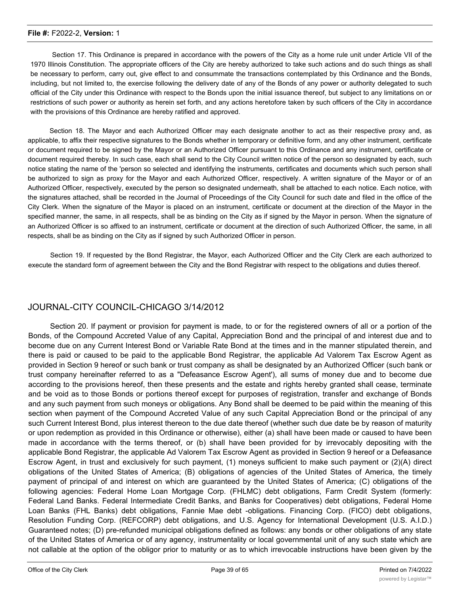Section 17. This Ordinance is prepared in accordance with the powers of the City as a home rule unit under Article VII of the 1970 Illinois Constitution. The appropriate officers of the City are hereby authorized to take such actions and do such things as shall be necessary to perform, carry out, give effect to and consummate the transactions contemplated by this Ordinance and the Bonds, including, but not limited to, the exercise following the delivery date of any of the Bonds of any power or authority delegated to such official of the City under this Ordinance with respect to the Bonds upon the initial issuance thereof, but subject to any limitations on or restrictions of such power or authority as herein set forth, and any actions heretofore taken by such officers of the City in accordance with the provisions of this Ordinance are hereby ratified and approved.

Section 18. The Mayor and each Authorized Officer may each designate another to act as their respective proxy and, as applicable, to affix their respective signatures to the Bonds whether in temporary or definitive form, and any other instrument, certificate or document required to be signed by the Mayor or an Authorized Officer pursuant to this Ordinance and any instrument, certificate or document required thereby. In such case, each shall send to the City Council written notice of the person so designated by each, such notice stating the name of the 'person so selected and identifying the instruments, certificates and documents which such person shall be authorized to sign as proxy for the Mayor and each Authorized Officer, respectively. A written signature of the Mayor or of an Authorized Officer, respectively, executed by the person so designated underneath, shall be attached to each notice. Each notice, with the signatures attached, shall be recorded in the Journal of Proceedings of the City Council for such date and filed in the office of the City Clerk. When the signature of the Mayor is placed on an instrument, certificate or document at the direction of the Mayor in the specified manner, the same, in all respects, shall be as binding on the City as if signed by the Mayor in person. When the signature of an Authorized Officer is so affixed to an instrument, certificate or document at the direction of such Authorized Officer, the same, in all respects, shall be as binding on the City as if signed by such Authorized Officer in person.

Section 19. If requested by the Bond Registrar, the Mayor, each Authorized Officer and the City Clerk are each authorized to execute the standard form of agreement between the City and the Bond Registrar with respect to the obligations and duties thereof.

## JOURNAL-CITY COUNCIL-CHICAGO 3/14/2012

Section 20. If payment or provision for payment is made, to or for the registered owners of all or a portion of the Bonds, of the Compound Accreted Value of any Capital, Appreciation Bond and the principal of and interest due and to become due on any Current Interest Bond or Variable Rate Bond at the times and in the manner stipulated therein, and there is paid or caused to be paid to the applicable Bond Registrar, the applicable Ad Valorem Tax Escrow Agent as provided in Section 9 hereof or such bank or trust company as shall be designated by an Authorized Officer (such bank or trust company hereinafter referred to as a "Defeasance Escrow Agent'), all sums of money due and to become due according to the provisions hereof, then these presents and the estate and rights hereby granted shall cease, terminate and be void as to those Bonds or portions thereof except for purposes of registration, transfer and exchange of Bonds and any such payment from such moneys or obligations. Any Bond shall be deemed to be paid within the meaning of this section when payment of the Compound Accreted Value of any such Capital Appreciation Bond or the principal of any such Current Interest Bond, plus interest thereon to the due date thereof (whether such due date be by reason of maturity or upon redemption as provided in this Ordinance or otherwise), either (a) shall have been made or caused to have been made in accordance with the terms thereof, or (b) shall have been provided for by irrevocably depositing with the applicable Bond Registrar, the applicable Ad Valorem Tax Escrow Agent as provided in Section 9 hereof or a Defeasance Escrow Agent, in trust and exclusively for such payment, (1) moneys sufficient to make such payment or (2)(A) direct obligations of the United States of America; (B) obligations of agencies of the United States of America, the timely payment of principal of and interest on which are guaranteed by the United States of America; (C) obligations of the following agencies: Federal Home Loan Mortgage Corp. (FHLMC) debt obligations, Farm Credit System (formerly: Federal Land Banks. Federal Intermediate Credit Banks, and Banks for Cooperatives) debt obligations, Federal Home Loan Banks (FHL Banks) debt obligations, Fannie Mae debt -obligations. Financing Corp. (FICO) debt obligations, Resolution Funding Corp. (REFCORP) debt obligations, and U.S. Agency for International Development (U.S. A.I.D.) Guaranteed notes; (D) pre-refunded municipal obligations defined as follows: any bonds or other obligations of any state of the United States of America or of any agency, instrumentality or local governmental unit of any such state which are not callable at the option of the obligor prior to maturity or as to which irrevocable instructions have been given by the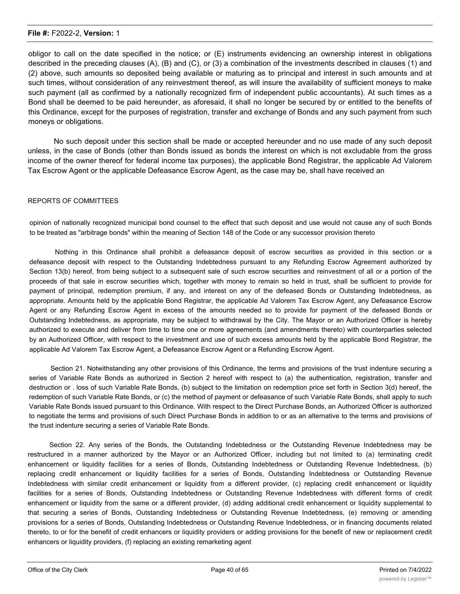obligor to call on the date specified in the notice; or (E) instruments evidencing an ownership interest in obligations described in the preceding clauses (A), (B) and (C), or (3) a combination of the investments described in clauses (1) and (2) above, such amounts so deposited being available or maturing as to principal and interest in such amounts and at such times, without consideration of any reinvestment thereof, as will insure the availability of sufficient moneys to make such payment (all as confirmed by a nationally recognized firm of independent public accountants). At such times as a Bond shall be deemed to be paid hereunder, as aforesaid, it shall no longer be secured by or entitled to the benefits of this Ordinance, except for the purposes of registration, transfer and exchange of Bonds and any such payment from such moneys or obligations.

No such deposit under this section shall be made or accepted hereunder and no use made of any such deposit unless, in the case of Bonds (other than Bonds issued as bonds the interest on which is not excludable from the gross income of the owner thereof for federal income tax purposes), the applicable Bond Registrar, the applicable Ad Valorem Tax Escrow Agent or the applicable Defeasance Escrow Agent, as the case may be, shall have received an

#### REPORTS OF COMMITTEES

opinion of nationally recognized municipal bond counsel to the effect that such deposit and use would not cause any of such Bonds to be treated as "arbitrage bonds" within the meaning of Section 148 of the Code or any successor provision thereto

Nothing in this Ordinance shall prohibit a defeasance deposit of escrow securities as provided in this section or a defeasance deposit with respect to the Outstanding Indebtedness pursuant to any Refunding Escrow Agreement authorized by Section 13(b) hereof, from being subject to a subsequent sale of such escrow securities and reinvestment of all or a portion of the proceeds of that sale in escrow securities which, together with money to remain so held in trust, shall be sufficient to provide for payment of principal, redemption premium, if any, and interest on any of the defeased Bonds or Outstanding Indebtedness, as appropriate. Amounts held by the applicable Bond Registrar, the applicable Ad Valorem Tax Escrow Agent, any Defeasance Escrow Agent or any Refunding Escrow Agent in excess of the amounts needed so to provide for payment of the defeased Bonds or Outstanding Indebtedness, as appropriate, may be subject to withdrawal by the City. The Mayor or an Authorized Officer is hereby authorized to execute and deliver from time to time one or more agreements (and amendments thereto) with counterparties selected by an Authorized Officer, with respect to the investment and use of such excess amounts held by the applicable Bond Registrar, the applicable Ad Valorem Tax Escrow Agent, a Defeasance Escrow Agent or a Refunding Escrow Agent.

Section 21. Notwithstanding any other provisions of this Ordinance, the terms and provisions of the trust indenture securing a series of Variable Rate Bonds as authorized in Section 2 hereof with respect to (a) the authentication, registration, transfer and destruction or . loss of such Variable Rate Bonds, (b) subject to the limitation on redemption price set forth in Section 3(d) hereof, the redemption of such Variable Rate Bonds, or (c) the method of payment or defeasance of such Variable Rate Bonds, shall apply to such Variable Rate Bonds issued pursuant to this Ordinance. With respect to the Direct Purchase Bonds, an Authorized Officer is authorized to negotiate the terms and provisions of such Direct Purchase Bonds in addition to or as an alternative to the terms and provisions of the trust indenture securing a series of Variable Rate Bonds.

Section 22. Any series of the Bonds, the Outstanding Indebtedness or the Outstanding Revenue Indebtedness may be restructured in a manner authorized by the Mayor or an Authorized Officer, including but not limited to (a) terminating credit enhancement or liquidity facilities for a series of Bonds, Outstanding Indebtedness or Outstanding Revenue Indebtedness, (b) replacing credit enhancement or liquidity facilities for a series of Bonds, Outstanding Indebtedness or Outstanding Revenue Indebtedness with similar credit enhancement or liquidity from a different provider, (c) replacing credit enhancement or liquidity facilities for a series of Bonds, Outstanding Indebtedness or Outstanding Revenue Indebtedness with different forms of credit enhancement or liquidity from the same or a different provider, (d) adding additional credit enhancement or liquidity supplemental to that securing a series of Bonds, Outstanding Indebtedness or Outstanding Revenue Indebtedness, (e) removing or amending provisions for a series of Bonds, Outstanding Indebtedness or Outstanding Revenue Indebtedness, or in financing documents related thereto, to or for the benefit of credit enhancers or liquidity providers or adding provisions for the benefit of new or replacement credit enhancers or liquidity providers, (f) replacing an existing remarketing agent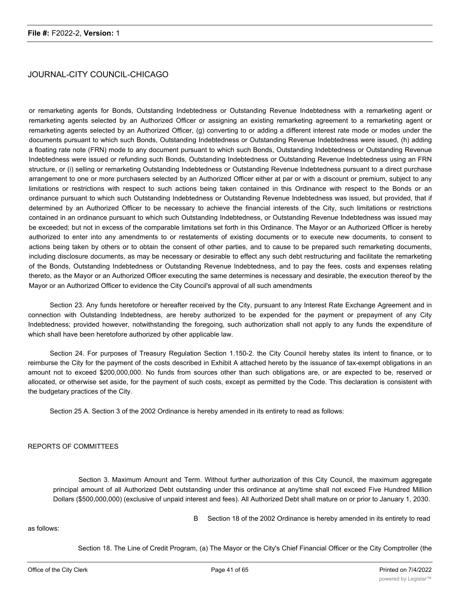## JOURNAL-CITY COUNCIL-CHICAGO

or remarketing agents for Bonds, Outstanding Indebtedness or Outstanding Revenue Indebtedness with a remarketing agent or remarketing agents selected by an Authorized Officer or assigning an existing remarketing agreement to a remarketing agent or remarketing agents selected by an Authorized Officer, (g) converting to or adding a different interest rate mode or modes under the documents pursuant to which such Bonds, Outstanding Indebtedness or Outstanding Revenue Indebtedness were issued, (h) adding a floating rate note (FRN) mode to any document pursuant to which such Bonds, Outstanding Indebtedness or Outstanding Revenue Indebtedness were issued or refunding such Bonds, Outstanding Indebtedness or Outstanding Revenue Indebtedness using an FRN structure, or (i) selling or remarketing Outstanding Indebtedness or Outstanding Revenue Indebtedness pursuant to a direct purchase arrangement to one or more purchasers selected by an Authorized Officer either at par or with a discount or premium, subject to any limitations or restrictions with respect to such actions being taken contained in this Ordinance with respect to the Bonds or an ordinance pursuant to which such Outstanding Indebtedness or Outstanding Revenue Indebtedness was issued, but provided, that if determined by an Authorized Officer to be necessary to achieve the financial interests of the City, such limitations or restrictions contained in an ordinance pursuant to which such Outstanding Indebtedness, or Outstanding Revenue Indebtedness was issued may be exceeded; but not in excess of the comparable limitations set forth in this Ordinance. The Mayor or an Authorized Officer is hereby authorized to enter into any amendments to or restatements of existing documents or to execute new documents, to consent to actions being taken by others or to obtain the consent of other parties, and to cause to be prepared such remarketing documents, including disclosure documents, as may be necessary or desirable to effect any such debt restructuring and facilitate the remarketing of the Bonds, Outstanding Indebtedness or Outstanding Revenue Indebtedness, and to pay the fees, costs and expenses relating thereto, as the Mayor or an Authorized Officer executing the same determines is necessary and desirable, the execution thereof by the Mayor or an Authorized Officer to evidence the City Council's approval of all such amendments

Section 23. Any funds heretofore or hereafter received by the City, pursuant to any Interest Rate Exchange Agreement and in connection with Outstanding Indebtedness, are hereby authorized to be expended for the payment or prepayment of any City Indebtedness; provided however, notwithstanding the foregoing, such authorization shall not apply to any funds the expenditure of which shall have been heretofore authorized by other applicable law.

Section 24. For purposes of Treasury Regulation Section 1.150-2. the City Council hereby states its intent to finance, or to reimburse the City for the payment of the costs described in Exhibit A attached hereto by the issuance of tax-exempt obligations in an amount not to exceed \$200,000,000. No funds from sources other than such obligations are, or are expected to be, reserved or allocated, or otherwise set aside, for the payment of such costs, except as permitted by the Code. This declaration is consistent with the budgetary practices of the City.

Section 25 A. Section 3 of the 2002 Ordinance is hereby amended in its entirety to read as follows:

#### REPORTS OF COMMITTEES

Section 3. Maximum Amount and Term. Without further authorization of this City Council, the maximum aggregate principal amount of all Authorized Debt outstanding under this ordinance at any'time shall not exceed Five Hundred Million Dollars (\$500,000,000) (exclusive of unpaid interest and fees). All Authorized Debt shall mature on or prior to January 1, 2030.

as follows:

B Section 18 of the 2002 Ordinance is hereby amended in its entirety to read

Section 18. The Line of Credit Program, (a) The Mayor or the City's Chief Financial Officer or the City Comptroller (the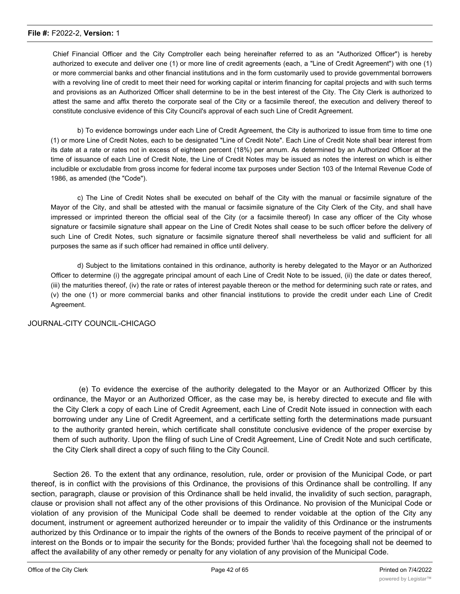Chief Financial Officer and the City Comptroller each being hereinafter referred to as an "Authorized Officer") is hereby authorized to execute and deliver one (1) or more line of credit agreements (each, a "Line of Credit Agreement") with one (1) or more commercial banks and other financial institutions and in the form customarily used to provide governmental borrowers with a revolving line of credit to meet their need for working capital or interim financing for capital projects and with such terms and provisions as an Authorized Officer shall determine to be in the best interest of the City. The City Clerk is authorized to attest the same and affix thereto the corporate seal of the City or a facsimile thereof, the execution and delivery thereof to constitute conclusive evidence of this City Council's approval of each such Line of Credit Agreement.

b) To evidence borrowings under each Line of Credit Agreement, the City is authorized to issue from time to time one (1) or more Line of Credit Notes, each to be designated "Line of Credit Note". Each Line of Credit Note shall bear interest from its date at a rate or rates not in excess of eighteen percent (18%) per annum. As determined by an Authorized Officer at the time of issuance of each Line of Credit Note, the Line of Credit Notes may be issued as notes the interest on which is either includible or excludable from gross income for federal income tax purposes under Section 103 of the Internal Revenue Code of 1986, as amended (the "Code").

c) The Line of Credit Notes shall be executed on behalf of the City with the manual or facsimile signature of the Mayor of the City, and shall be attested with the manual or facsimile signature of the City Clerk of the City, and shall have impressed or imprinted thereon the official seal of the City (or a facsimile thereof) In case any officer of the City whose signature or facsimile signature shall appear on the Line of Credit Notes shall cease to be such officer before the delivery of such Line of Credit Notes, such signature or facsimile signature thereof shall nevertheless be valid and sufficient for all purposes the same as if such officer had remained in office until delivery.

d) Subject to the limitations contained in this ordinance, authority is hereby delegated to the Mayor or an Authorized Officer to determine (i) the aggregate principal amount of each Line of Credit Note to be issued, (ii) the date or dates thereof, (iii) the maturities thereof, (iv) the rate or rates of interest payable thereon or the method for determining such rate or rates, and (v) the one (1) or more commercial banks and other financial institutions to provide the credit under each Line of Credit Agreement.

#### JOURNAL-CITY COUNCIL-CHICAGO

(e) To evidence the exercise of the authority delegated to the Mayor or an Authorized Officer by this ordinance, the Mayor or an Authorized Officer, as the case may be, is hereby directed to execute and file with the City Clerk a copy of each Line of Credit Agreement, each Line of Credit Note issued in connection with each borrowing under any Line of Credit Agreement, and a certificate setting forth the determinations made pursuant to the authority granted herein, which certificate shall constitute conclusive evidence of the proper exercise by them of such authority. Upon the filing of such Line of Credit Agreement, Line of Credit Note and such certificate, the City Clerk shall direct a copy of such filing to the City Council.

Section 26. To the extent that any ordinance, resolution, rule, order or provision of the Municipal Code, or part thereof, is in conflict with the provisions of this Ordinance, the provisions of this Ordinance shall be controlling. If any section, paragraph, clause or provision of this Ordinance shall be held invalid, the invalidity of such section, paragraph, clause or provision shall not affect any of the other provisions of this Ordinance. No provision of the Municipal Code or violation of any provision of the Municipal Code shall be deemed to render voidable at the option of the City any document, instrument or agreement authorized hereunder or to impair the validity of this Ordinance or the instruments authorized by this Ordinance or to impair the rights of the owners of the Bonds to receive payment of the principal of or interest on the Bonds or to impair the security for the Bonds; provided further \ha\ the focegoing shall not be deemed to affect the availability of any other remedy or penalty for any violation of any provision of the Municipal Code.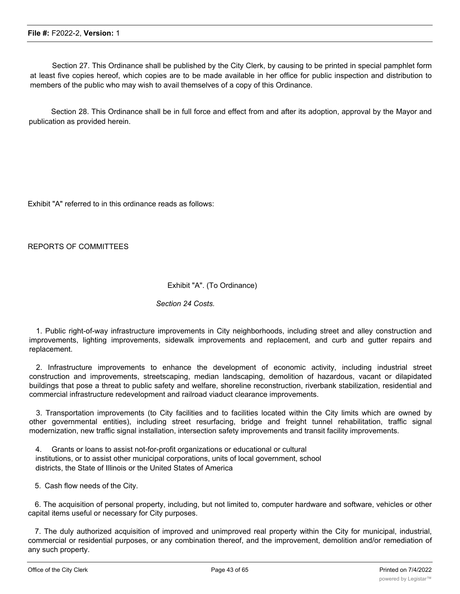Section 27. This Ordinance shall be published by the City Clerk, by causing to be printed in special pamphlet form at least five copies hereof, which copies are to be made available in her office for public inspection and distribution to members of the public who may wish to avail themselves of a copy of this Ordinance.

Section 28. This Ordinance shall be in full force and effect from and after its adoption, approval by the Mayor and publication as provided herein.

Exhibit "A" referred to in this ordinance reads as follows:

REPORTS OF COMMITTEES

#### Exhibit "A". (To Ordinance)

#### *Section 24 Costs.*

1. Public right-of-way infrastructure improvements in City neighborhoods, including street and alley construction and improvements, lighting improvements, sidewalk improvements and replacement, and curb and gutter repairs and replacement.

2. Infrastructure improvements to enhance the development of economic activity, including industrial street construction and improvements, streetscaping, median landscaping, demolition of hazardous, vacant or dilapidated buildings that pose a threat to public safety and welfare, shoreline reconstruction, riverbank stabilization, residential and commercial infrastructure redevelopment and railroad viaduct clearance improvements.

3. Transportation improvements (to City facilities and to facilities located within the City limits which are owned by other governmental entities), including street resurfacing, bridge and freight tunnel rehabilitation, traffic signal modernization, new traffic signal installation, intersection safety improvements and transit facility improvements.

4. Grants or loans to assist not-for-profit organizations or educational or cultural institutions, or to assist other municipal corporations, units of local government, school districts, the State of Illinois or the United States of America

5. Cash flow needs of the City.

6. The acquisition of personal property, including, but not limited to, computer hardware and software, vehicles or other capital items useful or necessary for City purposes.

7. The duly authorized acquisition of improved and unimproved real property within the City for municipal, industrial, commercial or residential purposes, or any combination thereof, and the improvement, demolition and/or remediation of any such property.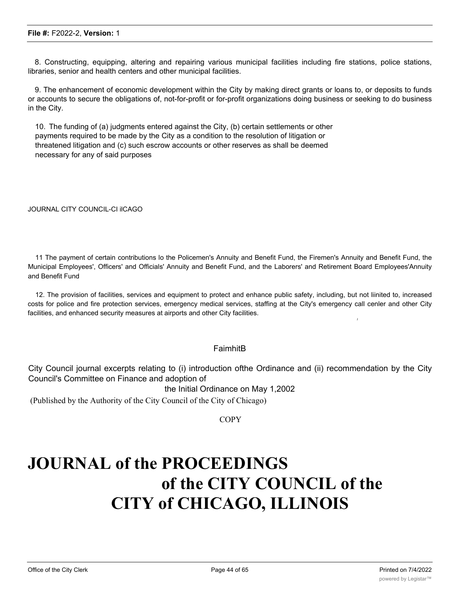8. Constructing, equipping, altering and repairing various municipal facilities including fire stations, police stations, libraries, senior and health centers and other municipal facilities.

9. The enhancement of economic development within the City by making direct grants or loans to, or deposits to funds or accounts to secure the obligations of, not-for-profit or for-profit organizations doing business or seeking to do business in the City.

10. The funding of (a) judgments entered against the City, (b) certain settlements or other payments required to be made by the City as a condition to the resolution of litigation or threatened litigation and (c) such escrow accounts or other reserves as shall be deemed necessary for any of said purposes

JOURNAL CITY COUNCIL-CI ilCAGO

11 The payment of certain contributions lo the Policemen's Annuity and Benefit Fund, the Firemen's Annuity and Benefit Fund, the Municipal Employees', Officers' and Officials' Annuity and Benefit Fund, and the Laborers' and Retirement Board Employees'Annuity and Benefit Fund

12. The provision of facilities, services and equipment to protect and enhance public safety, including, but not liinited to, increased costs for police and fire protection services, emergency medical services, staffing at the City's emergency call cenler and other City facilities, and enhanced security measures at airports and other City facilities.

#### FaimhitB

City Council journal excerpts relating to (i) introduction ofthe Ordinance and (ii) recommendation by the City Council's Committee on Finance and adoption of

the Initial Ordinance on May 1,2002

(Published by the Authority of the City Council of the City of Chicago)

**COPY** 

## **JOURNAL of the PROCEEDINGS of the CITY COUNCIL of the CITY of CHICAGO, ILLINOIS**

*I*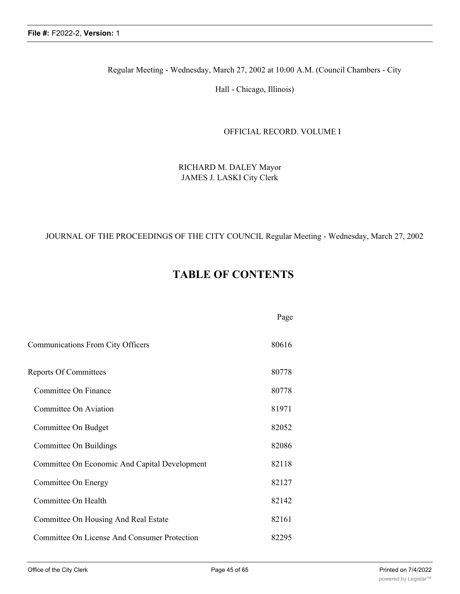Regular Meeting - Wednesday, March 27, 2002 at 10:00 A.M. (Council Chambers - City

Hall - Chicago, Illinois)

#### OFFICIAL RECORD. VOLUME I

RICHARD M. DALEY Mayor JAMES J. LASKI City Clerk

#### JOURNAL OF THE PROCEEDINGS OF THE CITY COUNCIL Regular Meeting - Wednesday, March 27, 2002

## **TABLE OF CONTENTS**

|                                               | Page  |
|-----------------------------------------------|-------|
| Communications From City Officers             | 80616 |
| <b>Reports Of Committees</b>                  | 80778 |
| Committee On Finance                          | 80778 |
| Committee On Aviation                         | 81971 |
| Committee On Budget                           | 82052 |
| Committee On Buildings                        | 82086 |
| Committee On Economic And Capital Development | 82118 |
| Committee On Energy                           | 82127 |
| Committee On Health                           | 82142 |
| Committee On Housing And Real Estate          | 82161 |
| Committee On License And Consumer Protection  | 82295 |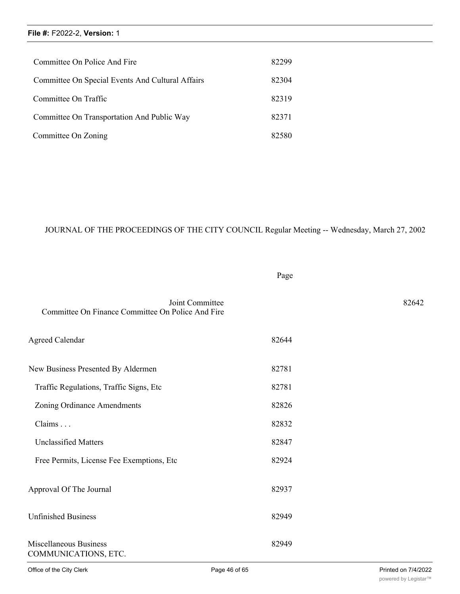| Committee On Police And Fire                     | 82299 |
|--------------------------------------------------|-------|
| Committee On Special Events And Cultural Affairs | 82304 |
| Committee On Traffic                             | 82319 |
| Committee On Transportation And Public Way       | 82371 |
| Committee On Zoning                              | 82580 |

## JOURNAL OF THE PROCEEDINGS OF THE CITY COUNCIL Regular Meeting -- Wednesday, March 27, 2002

Page

| Committee On Finance Committee On Police And Fire | Joint Committee |       | 82642 |
|---------------------------------------------------|-----------------|-------|-------|
| <b>Agreed Calendar</b>                            |                 | 82644 |       |
| New Business Presented By Aldermen                |                 | 82781 |       |
| Traffic Regulations, Traffic Signs, Etc           |                 | 82781 |       |
| Zoning Ordinance Amendments                       |                 | 82826 |       |
| Claims                                            |                 | 82832 |       |
| <b>Unclassified Matters</b>                       |                 | 82847 |       |
| Free Permits, License Fee Exemptions, Etc.        |                 | 82924 |       |
| Approval Of The Journal                           |                 | 82937 |       |
| <b>Unfinished Business</b>                        |                 | 82949 |       |
| Miscellaneous Business<br>COMMUNICATIONS, ETC.    |                 | 82949 |       |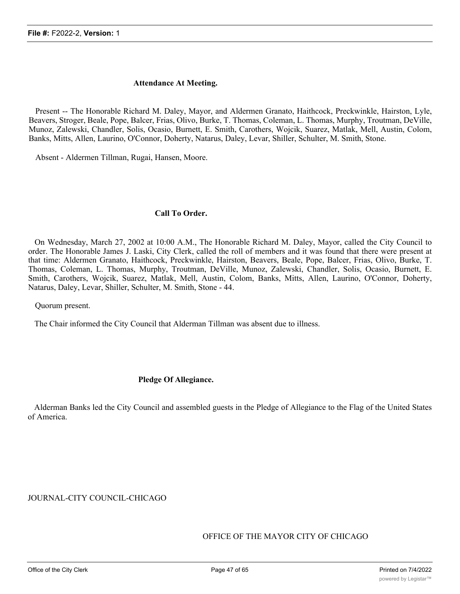#### **Attendance At Meeting.**

Present -- The Honorable Richard M. Daley, Mayor, and Aldermen Granato, Haithcock, Preckwinkle, Hairston, Lyle, Beavers, Stroger, Beale, Pope, Balcer, Frias, Olivo, Burke, T. Thomas, Coleman, L. Thomas, Murphy, Troutman, DeVille, Munoz, Zalewski, Chandler, Solis, Ocasio, Burnett, E. Smith, Carothers, Wojcik, Suarez, Matlak, Mell, Austin, Colom, Banks, Mitts, Allen, Laurino, O'Connor, Doherty, Natarus, Daley, Levar, Shiller, Schulter, M. Smith, Stone.

Absent - Aldermen Tillman, Rugai, Hansen, Moore.

#### **Call To Order.**

On Wednesday, March 27, 2002 at 10:00 A.M., The Honorable Richard M. Daley, Mayor, called the City Council to order. The Honorable James J. Laski, City Clerk, called the roll of members and it was found that there were present at that time: Aldermen Granato, Haithcock, Preckwinkle, Hairston, Beavers, Beale, Pope, Balcer, Frias, Olivo, Burke, T. Thomas, Coleman, L. Thomas, Murphy, Troutman, DeVille, Munoz, Zalewski, Chandler, Solis, Ocasio, Burnett, E. Smith, Carothers, Wojcik, Suarez, Matlak, Mell, Austin, Colom, Banks, Mitts, Allen, Laurino, O'Connor, Doherty, Natarus, Daley, Levar, Shiller, Schulter, M. Smith, Stone - 44.

Quorum present.

The Chair informed the City Council that Alderman Tillman was absent due to illness.

#### **Pledge Of Allegiance.**

Alderman Banks led the City Council and assembled guests in the Pledge of Allegiance to the Flag of the United States of America.

JOURNAL-CITY COUNCIL-CHICAGO

OFFICE OF THE MAYOR CITY OF CHICAGO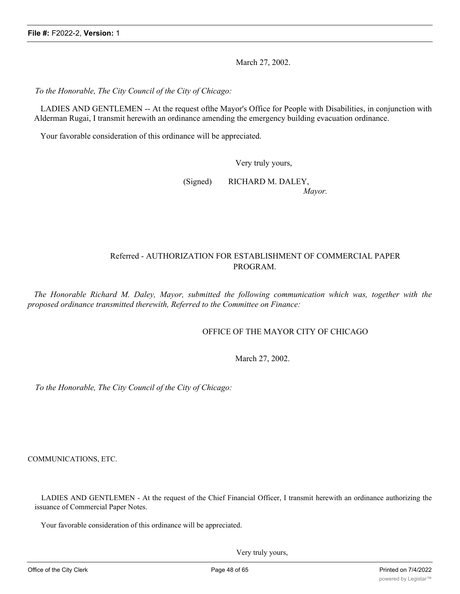March 27, 2002.

*To the Honorable, The City Council of the City of Chicago:*

LADIES AND GENTLEMEN -- At the request ofthe Mayor's Office for People with Disabilities, in conjunction with Alderman Rugai, I transmit herewith an ordinance amending the emergency building evacuation ordinance.

Your favorable consideration of this ordinance will be appreciated.

Very truly yours,

(Signed) RICHARD M. DALEY, *Mayor.*

Referred - AUTHORIZATION FOR ESTABLISHMENT OF COMMERCIAL PAPER PROGRAM.

*The Honorable Richard M. Daley, Mayor, submitted the following communication which was, together with the proposed ordinance transmitted therewith, Referred to the Committee on Finance:*

#### OFFICE OF THE MAYOR CITY OF CHICAGO

March 27, 2002.

*To the Honorable, The City Council of the City of Chicago:*

COMMUNICATIONS, ETC.

LADIES AND GENTLEMEN - At the request of the Chief Financial Officer, I transmit herewith an ordinance authorizing the issuance of Commercial Paper Notes.

Your favorable consideration of this ordinance will be appreciated.

Very truly yours,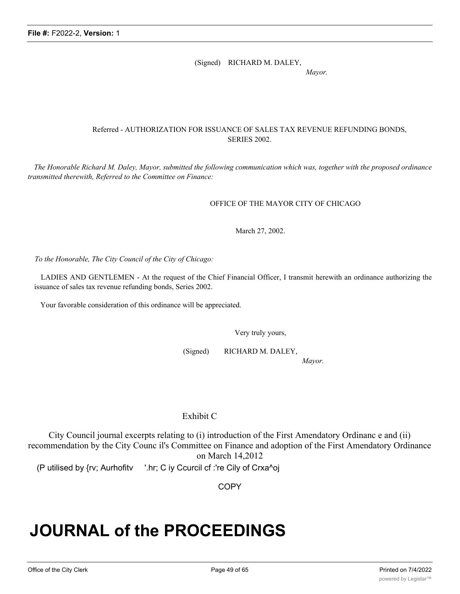(Signed) RICHARD M. DALEY,

*Mayor.*

#### Referred - AUTHORIZATION FOR ISSUANCE OF SALES TAX REVENUE REFUNDING BONDS, SERIES 2002.

The Honorable Richard M. Daley, Mayor, submitted the following communication which was, together with the proposed ordinance *transmitted therewith, Referred to the Committee on Finance:*

#### OFFICE OF THE MAYOR CITY OF CHICAGO

March 27, 2002.

*To the Honorable, The City Council of the City of Chicago:*

LADIES AND GENTLEMEN - At the request of the Chief Financial Officer, I transmit herewith an ordinance authorizing the issuance of sales tax revenue refunding bonds, Series 2002.

Your favorable consideration of this ordinance will be appreciated.

Very truly yours,

(Signed) RICHARD M. DALEY,

*Mayor.*

## Exhibit C

City Council journal excerpts relating to (i) introduction of the First Amendatory Ordinanc e and (ii) recommendation by the City Counc il's Committee on Finance and adoption of the First Amendatory Ordinance on March 14,2012

(P utilised by {rv; Aurhofitv '.hr; C iy Ccurcil cf :'re Cily of Crxa^oj

**COPY** 

## **JOURNAL of the PROCEEDINGS**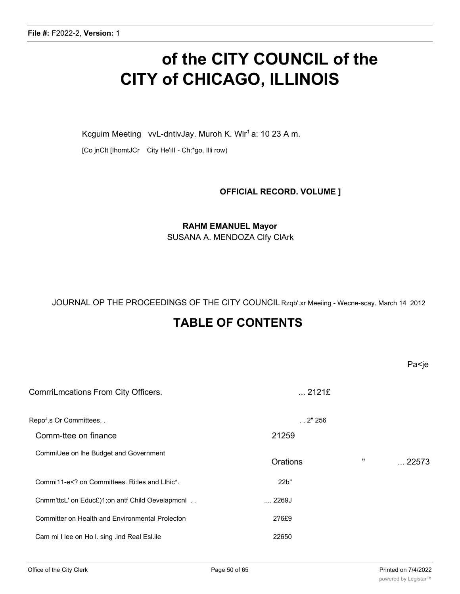## **of the CITY COUNCIL of the CITY of CHICAGO, ILLINOIS**

Kcguim Meeting vvL-dntivJay. Muroh K. Wlr<sup>1</sup> a: 10 23 A m.

[Co jnCIt [IhomtJCr City He'iII - Ch:\*go. Illi row)

**OFFICIAL RECORD. VOLUME ]**

## **RAHM EMANUEL Mayor**

SUSANA A. MENDOZA Clfy ClArk

JOURNAL OP THE PROCEEDINGS OF THE CITY COUNCIL Rzqb'.xr Meeiing - Wecne-scay. March 14 2012

## **TABLE OF CONTENTS**

| ComrriLmcations From City Officers.                                                | $$ 2121£ |              |                |
|------------------------------------------------------------------------------------|----------|--------------|----------------|
| Repo <sup>J</sup> .s Or Committees                                                 | . .2"256 |              |                |
| Comm-ttee on finance                                                               | 21259    |              |                |
| CommiUee on Ihe Budget and Government                                              | Orations | $\mathbf{u}$ | $\ldots$ 22573 |
| Commi11-e on Committees. Ri: les and Lihic*.</td <td>22b"</td> <td></td> <td></td> | 22b"     |              |                |
| Chmrn'ttcL' on Educ£)1; on antf Child Oevelapmcnl                                  | 2269J    |              |                |
| Committer on Health and Environmental Prolecfon                                    | 2?6£9    |              |                |
| Cam mi I lee on Ho I. sing .ind Real Esl.ile                                       | 22650    |              |                |

Pa<je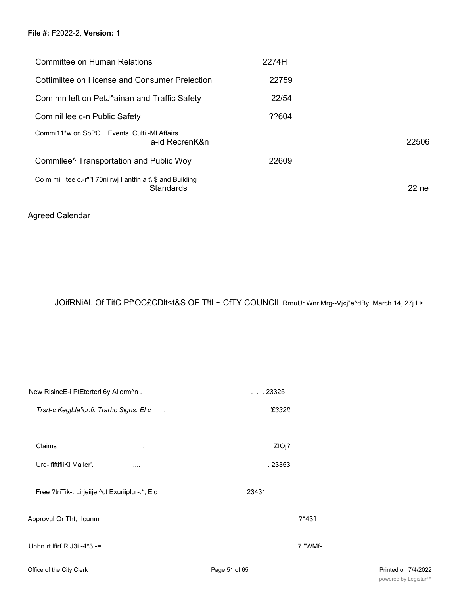| Committee on Human Relations                                 |                | 2274H |         |
|--------------------------------------------------------------|----------------|-------|---------|
| Cottimiltee on License and Consumer Prelection               |                | 22759 |         |
| Com mn left on PetJ^ainan and Traffic Safety                 |                | 22/54 |         |
| Com nil lee c-n Public Safety                                |                | ??604 |         |
| Commi11*w on SpPC Events. Culti.-MI Affairs                  | a-id RecrenK&n |       | 22506   |
| Commilee <sup>^</sup> Transportation and Public Woy          |                | 22609 |         |
| Co m mi I tee c.-r""! 70ni rwj I antfin a t $\$ and Building | Standards      |       | $22$ ne |

## Agreed Calendar

JOifRNiAl. Of TitC Pf\*OC£CDlt<t&S OF T!tL~ CfTY COUNCIL RrnuUr Wnr.Mrg--Vj«j"e^dBy. March 14, 27j I >

| New RisineE-i PtEterterl 6y Alierm^n.           | . 23325 |          |
|-------------------------------------------------|---------|----------|
| Trsrt-c KegjLla'icr.fi. Trarhc Signs. El c      | '£332ft |          |
|                                                 |         |          |
| Claims<br>$\bullet$                             | ZIOj?   |          |
| Urd-ififtifiiKI Mailer'.<br>$\cdots$            | . 23353 |          |
| Free ?triTik-. Lirjeiije ^ct Exuriiplur-:*, Elc | 23431   |          |
| Approvul Or Tht; .lcunm                         |         | $?^43f1$ |
| Unhn rt. Ifirf R $J3i - 4*3 =$ .                |         | 7."WMf-  |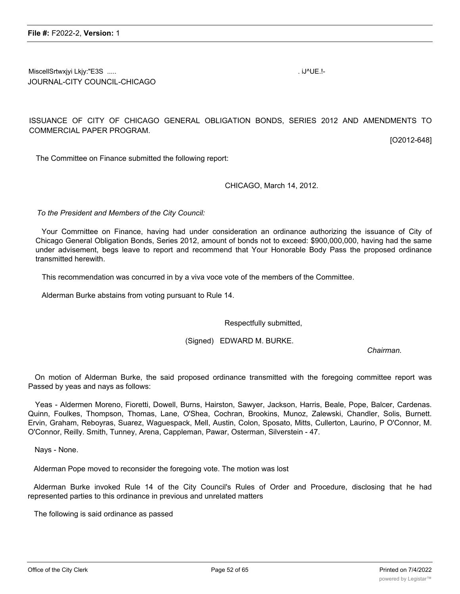MiscellSrtwxjyi Lkjy:"E3S ..... . iJ^UE.!- JOURNAL-CITY COUNCIL-CHICAGO

ISSUANCE OF CITY OF CHICAGO GENERAL OBLIGATION BONDS, SERIES 2012 AND AMENDMENTS TO COMMERCIAL PAPER PROGRAM.

[O2012-648]

The Committee on Finance submitted the following report:

CHICAGO, March 14, 2012.

*To the President and Members of the City Council:*

Your Comrnittee on Finance, having had under consideration an ordinance authorizing the issuance of City of Chicago General Obligation Bonds, Series 2012, amount of bonds not to exceed: \$900,000,000, having had the same under advisement, begs leave to report and recommend that Your Honorable Body Pass the proposed ordinance transmitted herewith.

This recommendation was concurred in by a viva voce vote of the members of the Committee.

Alderman Burke abstains from voting pursuant to Rule 14.

Respectfully submitted,

(Signed) EDWARD M. BURKE.

*Chairman.*

On motion of Alderman Burke, the said proposed ordinance transmitted with the foregoing committee report was Passed by yeas and nays as follows:

Yeas - Aldermen Moreno, Fioretti, Dowell, Burns, Hairston, Sawyer, Jackson, Harris, Beale, Pope, Balcer, Cardenas. Quinn, Foulkes, Thompson, Thomas, Lane, O'Shea, Cochran, Brookins, Munoz, Zalewski, Chandler, Solis, Burnett. Ervin, Graham, Reboyras, Suarez, Waguespack, Mell, Austin, Colon, Sposato, Mitts, Cullerton, Laurino, P O'Connor, M. O'Connor, Reilly. Smith, Tunney, Arena, Cappleman, Pawar, Osterman, Silverstein - 47.

Nays - None.

Alderman Pope moved to reconsider the foregoing vote. The motion was lost

Alderman Burke invoked Rule 14 of the City Council's Rules of Order and Procedure, disclosing that he had represented parties to this ordinance in previous and unrelated matters

The following is said ordinance as passed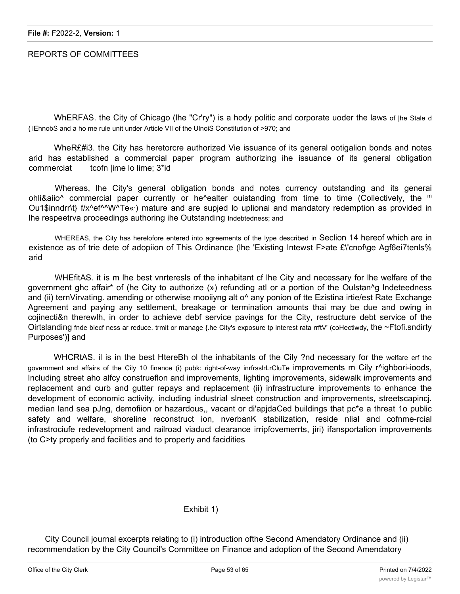## REPORTS OF COMMITTEES

WhERFAS. the City of Chicago (lhe "Cr'ry") is a hody politic and corporate uoder the laws of |he Stale d { lEhnobS and a ho me rule unit under Article VII of the UlnoiS Constitution of >970; and

WheR£#i3. the City has heretorcre authorized Vie issuance of its general ootigalion bonds and notes arid has established a commercial paper program authorizing ihe issuance of its general obligation comrnerciat tcofn lime lo lime; 3\*id

Whereas, lhe City's general obligation bonds and notes currency outstanding and its generai ohli&aiio^ commercial paper currently or he^ealter ouistanding from time to time (Collectively, the <sup>m</sup> Ou1\$inndrr\t} f/x^ef^^W^Te«) mature and are supjed lo uplionai and mandatory redemption as provided in lhe respeetrva proceedings authoring ihe Outstanding Indebtedness; and

WHEREAS, the City has herelofore entered into agreements of the lype described in Seclion 14 hereof which are in existence as of trie dete of adopiion of This Ordinance (lhe 'Existing Intewst F>ate £\'cnof\ge Agf6ei7tenls% arid

WHEfitAS. it is m lhe best vnrteresls of the inhabitant cf lhe City and necessary for lhe welfare of the government ghc affair\* of (he City to authorize (») refunding atl or a portion of the Oulstan^g lndeteedness and (ii) ternVirvating. amending or otherwise mooiiyng alt o<sup>^</sup> any ponion of tte Ezistina irtie/est Rate Exchange Agreement and paying any settlement, breakage or termination amounts thai may be due and owing in cojinecti&n therewlh, in order to achieve debf service pavings for the City, restructure debt service of the Oirtslanding fnde biecf ness ar reduce. trmit or manage {.he City's exposure tp interest rata rrftV' (coHectiwdy, the ~Ftofi.sndirty Purposes')] and

WHCRtAS. il is in the best HtereBh ol the inhabitants of the Cily ?nd necessary for the welfare erf the government and affairs of the Cily 10 finance (i) pubk: right-of-way inrfrsslrLrCluTe improvements m Cily r^ighbori-ioods, Including street aho alfcy construeflon and improvements, lighting improvements, sidewalk improvements and replacement and curb and gutter repays and replacement (ii) infrastructure improvements to enhance the development of economic activity, including industrial slneet construction and improvements, streetscapincj. median land sea pJng, demofiion or hazardous,, vacant or di'apjdaCed buildings that pc\*e a threat 1o public safety and welfare, shoreline reconstruct ion, nverbanK stabilization, reside nlial and cofnme-rcial infrastrociufe redevelopment and railroad viaduct clearance irripfovemerrts, jiri) ifansportalion improvements (to C>ty properly and facilities and to property and facidities

## Exhibit 1)

City Council journal excerpts relating to (i) introduction ofthe Second Amendatory Ordinance and (ii) recommendation by the City Council's Committee on Finance and adoption of the Second Amendatory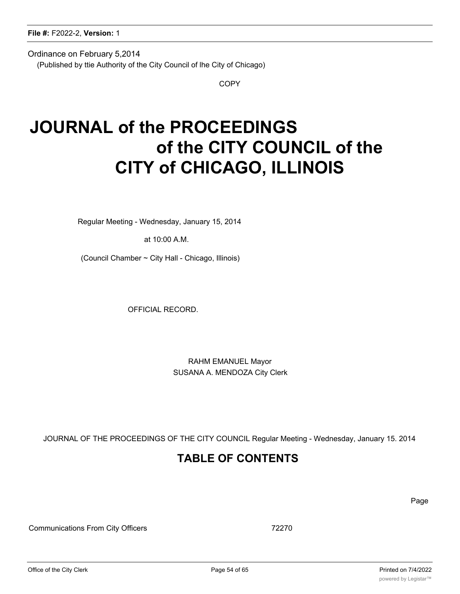Ordinance on February 5,2014

(Published by ttie Authority of the City Council of lhe City of Chicago)

**COPY** 

## **JOURNAL of the PROCEEDINGS of the CITY COUNCIL of the CITY of CHICAGO, ILLINOIS**

Regular Meeting - Wednesday, January 15, 2014

at 10:00 A.M.

(Council Chamber ~ City Hall - Chicago, Illinois)

OFFICIAL RECORD.

RAHM EMANUEL Mayor SUSANA A. MENDOZA City Clerk

JOURNAL OF THE PROCEEDINGS OF THE CITY COUNCIL Regular Meeting - Wednesday, January 15. 2014

## **TABLE OF CONTENTS**

Page

Communications From City Officers 72270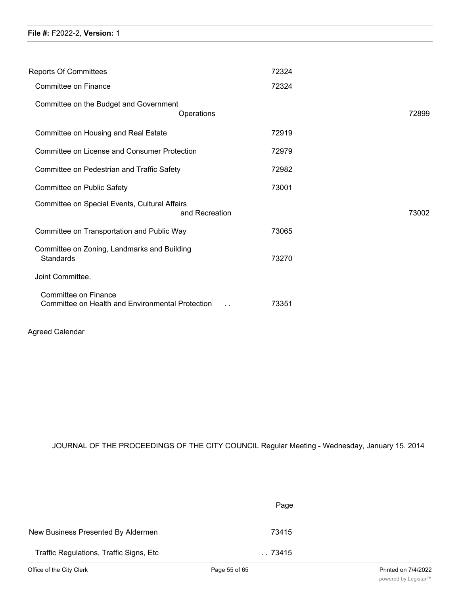| <b>Reports Of Committees</b>                                             | 72324                  |       |
|--------------------------------------------------------------------------|------------------------|-------|
| Committee on Finance                                                     | 72324                  |       |
| Committee on the Budget and Government                                   | Operations             | 72899 |
| Committee on Housing and Real Estate                                     | 72919                  |       |
| <b>Committee on License and Consumer Protection</b>                      | 72979                  |       |
| Committee on Pedestrian and Traffic Safety                               | 72982                  |       |
| Committee on Public Safety                                               | 73001                  |       |
| Committee on Special Events, Cultural Affairs                            | and Recreation         | 73002 |
| Committee on Transportation and Public Way                               | 73065                  |       |
| Committee on Zoning, Landmarks and Building<br><b>Standards</b>          | 73270                  |       |
| Joint Committee.                                                         |                        |       |
| Committee on Finance<br>Committee on Health and Environmental Protection | 73351<br>$\sim$ $\sim$ |       |
|                                                                          |                        |       |

## Agreed Calendar

JOURNAL OF THE PROCEEDINGS OF THE CITY COUNCIL Regular Meeting - Wednesday, January 15. 2014

|                                          | Page      |
|------------------------------------------|-----------|
| New Business Presented By Aldermen       | 73415     |
| Traffic Regulations, Traffic Signs, Etc. | . . 73415 |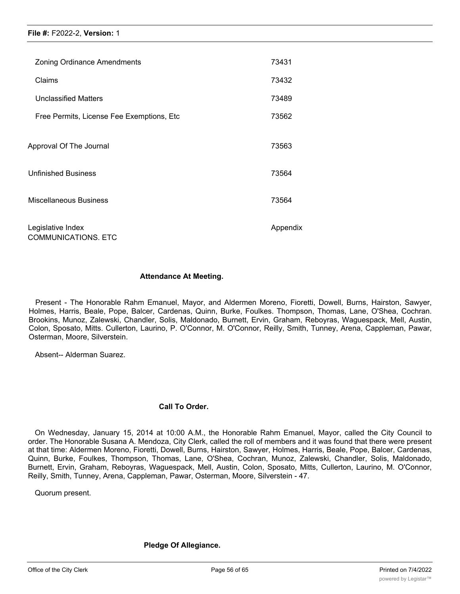| <b>Zoning Ordinance Amendments</b>              | 73431    |
|-------------------------------------------------|----------|
| Claims                                          | 73432    |
| <b>Unclassified Matters</b>                     | 73489    |
| Free Permits, License Fee Exemptions, Etc       | 73562    |
| Approval Of The Journal                         | 73563    |
| <b>Unfinished Business</b>                      | 73564    |
| <b>Miscellaneous Business</b>                   | 73564    |
| Legislative Index<br><b>COMMUNICATIONS. ETC</b> | Appendix |

#### **Attendance At Meeting.**

Present - The Honorable Rahm Emanuel, Mayor, and Aldermen Moreno, Fioretti, Dowell, Burns, Hairston, Sawyer, Holmes, Harris, Beale, Pope, Balcer, Cardenas, Quinn, Burke, Foulkes. Thompson, Thomas, Lane, O'Shea, Cochran. Brookins, Munoz, Zalewski, Chandler, Solis, Maldonado, Burnett, Ervin, Graham, Reboyras, Waguespack, Mell, Austin, Colon, Sposato, Mitts. Cullerton, Laurino, P. O'Connor, M. O'Connor, Reilly, Smith, Tunney, Arena, Cappleman, Pawar, Osterman, Moore, Silverstein.

Absent-- Alderman Suarez.

#### **Call To Order.**

On Wednesday, January 15, 2014 at 10:00 A.M., the Honorable Rahm Emanuel, Mayor, called the City Council to order. The Honorable Susana A. Mendoza, City Clerk, called the roll of members and it was found that there were present at that time: Aldermen Moreno, Fioretti, Dowell, Burns, Hairston, Sawyer, Holmes, Harris, Beale, Pope, Balcer, Cardenas, Quinn, Burke, Foulkes, Thompson, Thomas, Lane, O'Shea, Cochran, Munoz, Zalewski, Chandler, Solis, Maldonado, Burnett, Ervin, Graham, Reboyras, Waguespack, Mell, Austin, Colon, Sposato, Mitts, Cullerton, Laurino, M. O'Connor, Reilly, Smith, Tunney, Arena, Cappleman, Pawar, Osterman, Moore, Silverstein - 47.

Quorum present.

#### **Pledge Of Allegiance.**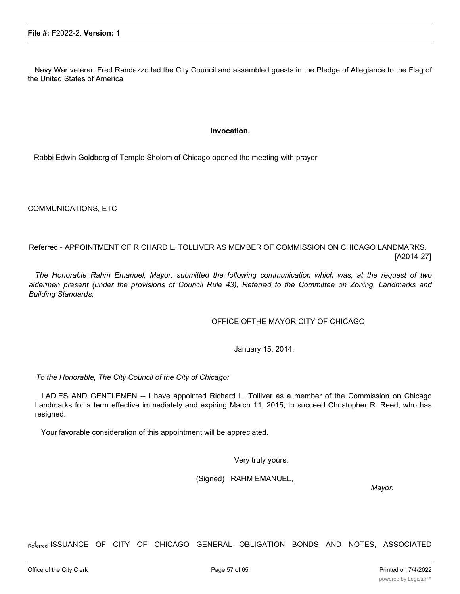Navy War veteran Fred Randazzo led the City Council and assembled guests in the Pledge of Allegiance to the Flag of the United States of America

#### **Invocation.**

Rabbi Edwin Goldberg of Temple Sholom of Chicago opened the meeting with prayer

COMMUNICATIONS, ETC

Referred - APPOINTMENT OF RICHARD L. TOLLIVER AS MEMBER OF COMMISSION ON CHICAGO LANDMARKS. [A2014-27]

*The Honorable Rahm Emanuel, Mayor, submitted the following communication which was, at the request of two* aldermen present (under the provisions of Council Rule 43), Referred to the Committee on Zoning, Landmarks and *Building Standards:*

#### OFFICE OFTHE MAYOR CITY OF CHICAGO

January 15, 2014.

*To the Honorable, The City Council of the City of Chicago:*

LADIES AND GENTLEMEN -- I have appointed Richard L. Tolliver as a member of the Commission on Chicago Landmarks for a term effective immediately and expiring March 11, 2015, to succeed Christopher R. Reed, who has resigned.

Your favorable consideration of this appointment will be appreciated.

Very truly yours,

(Signed) RAHM EMANUEL,

*Mayor.*

Referred-ISSUANCE OF CITY OF CHICAGO GENERAL OBLIGATION BONDS AND NOTES, ASSOCIATED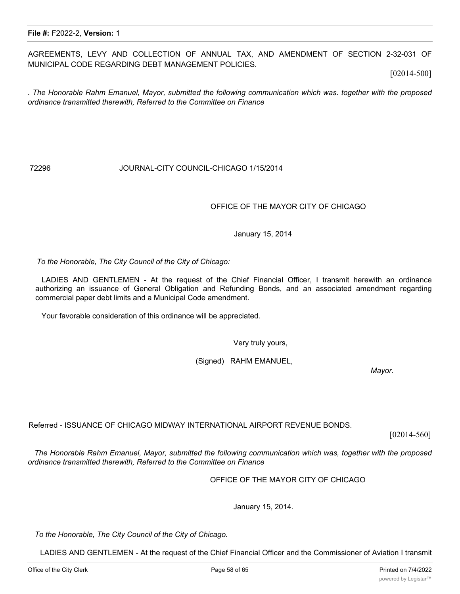AGREEMENTS, LEVY AND COLLECTION OF ANNUAL TAX, AND AMENDMENT OF SECTION 2-32-031 OF MUNICIPAL CODE REGARDING DEBT MANAGEMENT POLICIES.

[02014-500]

*. The Honorable Rahm Emanuel, Mayor, submitted the following communication which was. together with the proposed ordinance transmitted therewith, Referred to the Committee on Finance*

#### 72296 JOURNAL-CITY COUNCIL-CHICAGO 1/15/2014

#### OFFICE OF THE MAYOR CITY OF CHICAGO

January 15, 2014

*To the Honorable, The City Council of the City of Chicago:*

LADIES AND GENTLEMEN - At the request of the Chief Financial Officer, I transmit herewith an ordinance authorizing an issuance of General Obligation and Refunding Bonds, and an associated amendment regarding commercial paper debt limits and a Municipal Code amendment.

Your favorable consideration of this ordinance will be appreciated.

Very truly yours,

(Signed) RAHM EMANUEL,

*Mayor.*

Referred - ISSUANCE OF CHICAGO MIDWAY INTERNATIONAL AIRPORT REVENUE BONDS.

herewith an. ordinance authorizing an issuance of Midway International Airport Revenue Bonds

[02014-560]

*The Honorable Rahm Emanuel, Mayor, submitted the following communication which was, together with the proposed ordinance transmitted therewith, Referred to the Committee on Finance*

OFFICE OF THE MAYOR CITY OF CHICAGO

January 15, 2014.

*To the Honorable, The City Council of the City of Chicago.*

LADIES AND GENTLEMEN - At the request of the Chief Financial Officer and the Commissioner of Aviation I transmit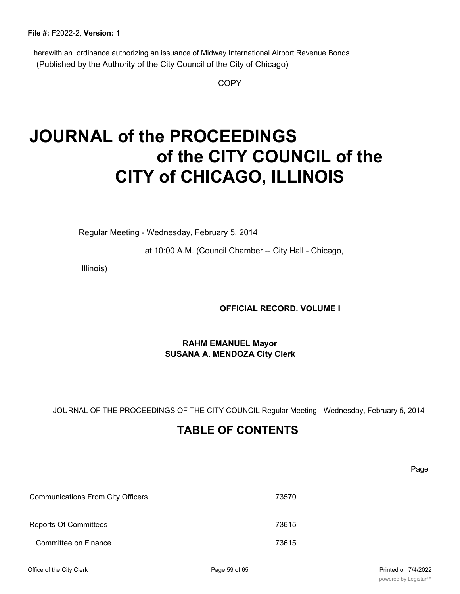herewith an. ordinance authorizing an issuance of Midway International Airport Revenue Bonds (Published by the Authority of the City Council of the City of Chicago)

**COPY** 

# **JOURNAL of the PROCEEDINGS of the CITY COUNCIL of the CITY of CHICAGO, ILLINOIS**

Regular Meeting - Wednesday, February 5, 2014

at 10:00 A.M. (Council Chamber -- City Hall - Chicago,

Illinois)

## **OFFICIAL RECORD. VOLUME I**

## **RAHM EMANUEL Mayor SUSANA A. MENDOZA City Clerk**

JOURNAL OF THE PROCEEDINGS OF THE CITY COUNCIL Regular Meeting - Wednesday, February 5, 2014

## **TABLE OF CONTENTS**

Page

| <b>Communications From City Officers</b> | 73570 |
|------------------------------------------|-------|
| <b>Reports Of Committees</b>             | 73615 |
| Committee on Finance                     | 73615 |

Committee on the Budget and Government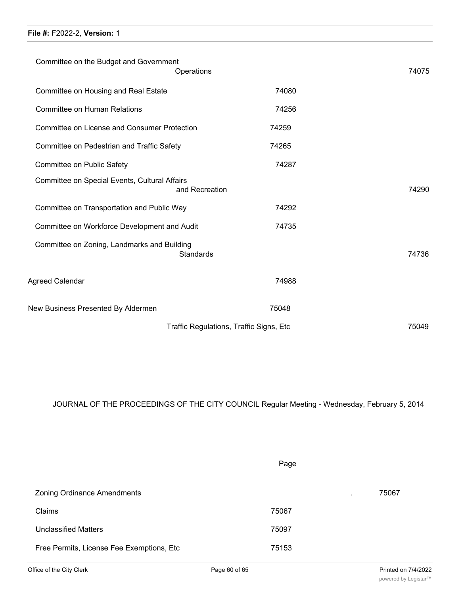| File #: F2022-2, Version: 1 |  |
|-----------------------------|--|
|-----------------------------|--|

|                                                                 | Traffic Regulations, Traffic Signs, Etc | 75049 |
|-----------------------------------------------------------------|-----------------------------------------|-------|
| New Business Presented By Aldermen                              | 75048                                   |       |
| Agreed Calendar                                                 | 74988                                   |       |
| Committee on Zoning, Landmarks and Building<br><b>Standards</b> |                                         | 74736 |
| Committee on Workforce Development and Audit                    | 74735                                   |       |
| Committee on Transportation and Public Way                      | 74292                                   |       |
| Committee on Special Events, Cultural Affairs<br>and Recreation |                                         | 74290 |
| Committee on Public Safety                                      | 74287                                   |       |
| Committee on Pedestrian and Traffic Safety                      | 74265                                   |       |
| <b>Committee on License and Consumer Protection</b>             | 74259                                   |       |
| <b>Committee on Human Relations</b>                             | 74256                                   |       |
| Committee on Housing and Real Estate                            | 74080                                   |       |
| Committee on the Budget and Government<br>Operations            |                                         | 74075 |
|                                                                 |                                         |       |

JOURNAL OF THE PROCEEDINGS OF THE CITY COUNCIL Regular Meeting - Wednesday, February 5, 2014

Page

|                                           | ັ                        |       |
|-------------------------------------------|--------------------------|-------|
| <b>Zoning Ordinance Amendments</b>        | $\overline{\phantom{a}}$ | 75067 |
| Claims                                    | 75067                    |       |
| <b>Unclassified Matters</b>               | 75097                    |       |
| Free Permits, License Fee Exemptions, Etc | 75153                    |       |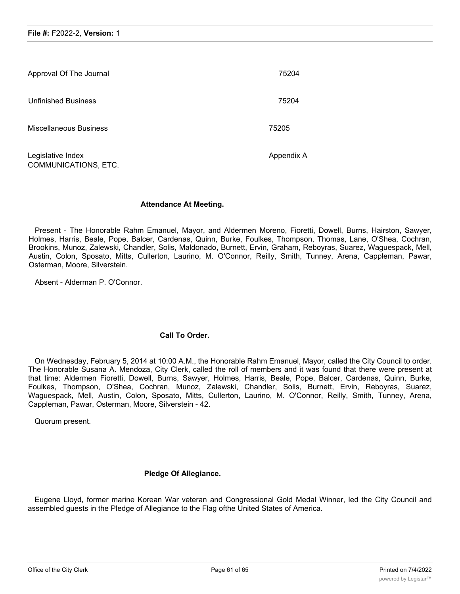| Approval Of The Journal                   | 75204      |
|-------------------------------------------|------------|
| <b>Unfinished Business</b>                | 75204      |
| Miscellaneous Business                    | 75205      |
| Legislative Index<br>COMMUNICATIONS, ETC. | Appendix A |

## **Attendance At Meeting.**

Present - The Honorable Rahm Emanuel, Mayor, and Aldermen Moreno, Fioretti, Dowell, Burns, Hairston, Sawyer, Holmes, Harris, Beale, Pope, Balcer, Cardenas, Quinn, Burke, Foulkes, Thompson, Thomas, Lane, O'Shea, Cochran, Brookins, Munoz, Zalewski, Chandler, Solis, Maldonado, Burnett, Ervin, Graham, Reboyras, Suarez, Waguespack, Mell, Austin, Colon, Sposato, Mitts, Cullerton, Laurino, M. O'Connor, Reilly, Smith, Tunney, Arena, Cappleman, Pawar, Osterman, Moore, Silverstein.

Absent - Alderman P. O'Connor.

## **Call To Order.**

On Wednesday, February 5, 2014 at 10:00 A.M., the Honorable Rahm Emanuel, Mayor, called the City Council to order. The Honorable Susana A. Mendoza, City Clerk, called the roll of members and it was found that there were present at that time: Aldermen Fioretti, Dowell, Burns, Sawyer, Holmes, Harris, Beale, Pope, Balcer, Cardenas, Quinn, Burke, Foulkes, Thompson, O'Shea, Cochran, Munoz, Zalewski, Chandler, Solis, Burnett, Ervin, Reboyras, Suarez, Waguespack, Mell, Austin, Colon, Sposato, Mitts, Cullerton, Laurino, M. O'Connor, Reilly, Smith, Tunney, Arena, Cappleman, Pawar, Osterman, Moore, Silverstein - 42.

Quorum present.

## **Pledge Of Allegiance.**

Eugene Lloyd, former marine Korean War veteran and Congressional Gold Medal Winner, led the City Council and assembled guests in the Pledge of Allegiance to the Flag ofthe United States of America.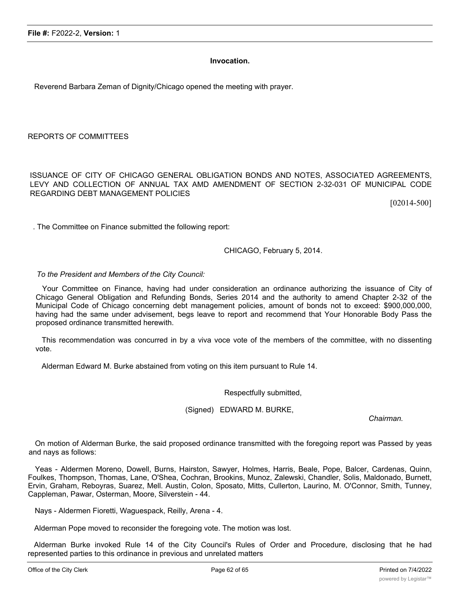#### **Invocation.**

Reverend Barbara Zeman of Dignity/Chicago opened the meeting with prayer.

REPORTS OF COMMITTEES

ISSUANCE OF CITY OF CHICAGO GENERAL OBLIGATION BONDS AND NOTES, ASSOCIATED AGREEMENTS, LEVY AND COLLECTION OF ANNUAL TAX AMD AMENDMENT OF SECTION 2-32-031 OF MUNICIPAL CODE REGARDING DEBT MANAGEMENT POLICIES

[02014-500]

. The Committee on Finance submitted the following report:

#### CHICAGO, February 5, 2014.

*To the President and Members of the City Council:*

Your Committee on Finance, having had under consideration an ordinance authorizing the issuance of City of Chicago General Obligation and Refunding Bonds, Series 2014 and the authority to amend Chapter 2-32 of the Municipal Code of Chicago concerning debt management policies, amount of bonds not to exceed: \$900,000,000, having had the same under advisement, begs leave to report and recommend that Your Honorable Body Pass the proposed ordinance transmitted herewith.

This recommendation was concurred in by a viva voce vote of the members of the committee, with no dissenting vote.

Alderman Edward M. Burke abstained from voting on this item pursuant to Rule 14.

Respectfully submitted,

(Signed) EDWARD M. BURKE,

*Chairman.*

On motion of Alderman Burke, the said proposed ordinance transmitted with the foregoing report was Passed by yeas and nays as follows:

Yeas - Aldermen Moreno, Dowell, Burns, Hairston, Sawyer, Holmes, Harris, Beale, Pope, Balcer, Cardenas, Quinn, Foulkes, Thompson, Thomas, Lane, O'Shea, Cochran, Brookins, Munoz, Zalewski, Chandler, Solis, Maldonado, Burnett, Ervin, Graham, Reboyras, Suarez, Mell. Austin, Colon, Sposato, Mitts, Cullerton, Laurino, M. O'Connor, Smith, Tunney, Cappleman, Pawar, Osterman, Moore, Silverstein - 44.

Nays - Aldermen Fioretti, Waguespack, Reilly, Arena - 4.

Alderman Pope moved to reconsider the foregoing vote. The motion was lost.

Alderman Burke invoked Rule 14 of the City Council's Rules of Order and Procedure, disclosing that he had represented parties to this ordinance in previous and unrelated matters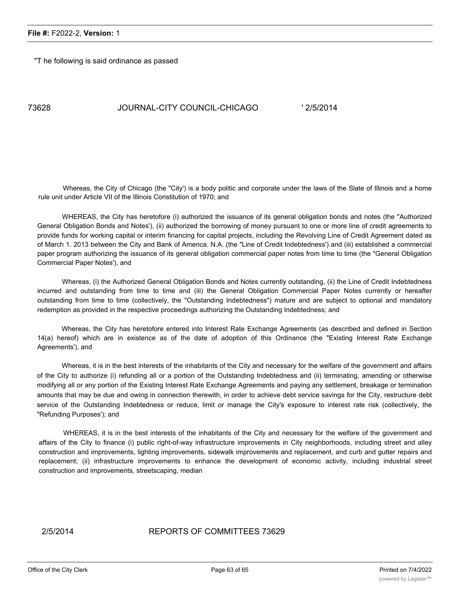"T he following is said ordinance as passed

## 73628 JOURNAL-CITY COUNCIL-CHICAGO ' 2/5/2014

Whereas, the City of Chicago (the "City') is a body politic and corporate under the laws of the Slate of Illinois and a home rule unit under Article VII of the Illinois Constitution of 1970; and

WHEREAS, the City has heretofore (i) authorized the issuance of its general obligation bonds and notes (the "Authorized General Obligation Bonds and Notes'), (ii) authorized the borrowing of money pursuant to one or more line of credit agreements to provide funds for working capital or interim financing for capital projects, including the Revolving Line of Credit Agreement dated as of March 1. 2013 between the City and Bank of America. N.A. (the "Line of Credit Indebtedness') and (iii) established a commercial paper program authorizing the issuance of its general obligation commercial paper notes from time to time (the "General Obligation Commercial Paper Notes'), and

Whereas, (i) the Authorized General Obligation Bonds and Notes currently outstanding, (ii) the Line of Credit Indebtedness incurred and outstanding from time to time and (iii) the General Obligation Commercial Paper Notes currently or hereafter outstanding from time to time (collectively, the "Outstanding Indebtedness") mature and are subject to optional and mandatory redemption as provided in the respective proceedings authorizing the Outstanding Indebtedness; and

Whereas, the City has heretofore entered into Interest Rate Exchange Agreements (as described and defined in Section 14(a) hereof) which are in existence as of the date of adoption of this Ordinance (the "Existing Interest Rate Exchange Agreements'), and

Whereas, it is in the best interests of the inhabitants of the City and necessary for the welfare of the government and affairs of the City to authorize (i) refunding all or a portion of the Outstanding Indebtedness and (ii) terminating, amending or otherwise modifying all or any portion of the Existing Interest Rate Exchange Agreements and paying any settlement, breakage or termination amounts that may be due and owing in connection therewith, in order to achieve debt service savings for the City, restructure debt service of the Outstanding Indebtedness or reduce, limit or manage the City's exposure to interest rate risk (collectively, the "Refunding Purposes'); and

WHEREAS, it is in the best interests of the inhabitants of the City and necessary for the welfare of the government and affairs of the City to finance (i) public right-of-way infrastructure improvements in City neighborhoods, including street and alley construction and improvements, lighting improvements, sidewalk improvements and replacement, and curb and gutter repairs and replacement; (ii) infrastructure improvements to enhance the development of economic activity, including industrial street construction and improvements, streetscaping, median

#### 2/5/2014 REPORTS OF COMMITTEES 73629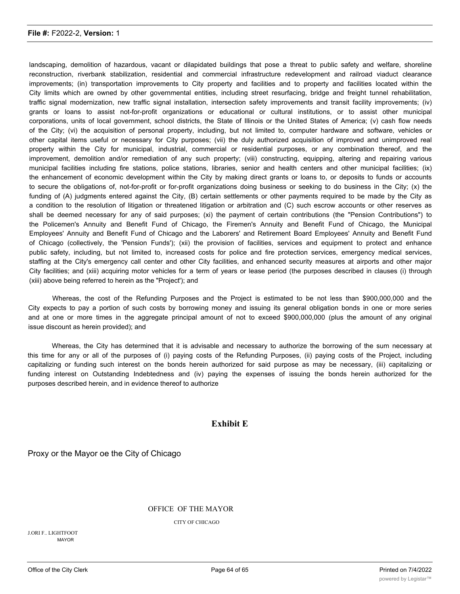landscaping, demolition of hazardous, vacant or dilapidated buildings that pose a threat to public safety and welfare, shoreline reconstruction, riverbank stabilization, residential and commercial infrastructure redevelopment and railroad viaduct clearance improvements; (in) transportation improvements to City property and facilities and to property and facilities located within the City limits which are owned by other governmental entities, including street resurfacing, bridge and freight tunnel rehabilitation, traffic signal modernization, new traffic signal installation, intersection safety improvements and transit facility improvements; (iv) grants or loans to assist not-for-profit organizations or educational or cultural institutions, or to assist other municipal corporations, units of local government, school districts, the State of Illinois or the United States of America; (v) cash flow needs of the City; (vi) the acquisition of personal property, including, but not limited to, computer hardware and software, vehicles or other capital items useful or necessary for City purposes; (vii) the duly authorized acquisition of improved and unimproved real property within the City for municipal, industrial, commercial or residential purposes, or any combination thereof, and the improvement, demolition and/or remediation of any such property; (viii) constructing, equipping, altering and repairing various municipal facilities including fire stations, police stations, libraries, senior and health centers and other municipal facilities; (ix) the enhancement of economic development within the City by making direct grants or loans to, or deposits to funds or accounts to secure the obligations of, not-for-profit or for-profit organizations doing business or seeking to do business in the City; (x) the funding of (A) judgments entered against the City, (B) certain settlements or other payments required to be made by the City as a condition to the resolution of litigation or threatened litigation or arbitration and (C) such escrow accounts or other reserves as shall be deemed necessary for any of said purposes; (xi) the payment of certain contributions (the "Pension Contributions") to the Policemen's Annuity and Benefit Fund of Chicago, the Firemen's Annuity and Benefit Fund of Chicago, the Municipal Employees' Annuity and Benefit Fund of Chicago and the Laborers' and Retirement Board Employees' Annuity and Benefit Fund of Chicago (collectively, the 'Pension Funds'); (xii) the provision of facilities, services and equipment to protect and enhance public safety, including, but not limited to, increased costs for police and fire protection services, emergency medical services, staffing at the City's emergency call center and other City facilities, and enhanced security measures at airports and other major City facilities; and (xiii) acquiring motor vehicles for a term of years or lease period (the purposes described in clauses (i) through (xiii) above being referred to herein as the "Project'); and

Whereas, the cost of the Refunding Purposes and the Project is estimated to be not less than \$900,000,000 and the City expects to pay a portion of such costs by borrowing money and issuing its general obligation bonds in one or more series and at one or more times in the aggregate principal amount of not to exceed \$900,000,000 (plus the amount of any original issue discount as herein provided); and

Whereas, the City has determined that it is advisable and necessary to authorize the borrowing of the sum necessary at this time for any or all of the purposes of (i) paying costs of the Refunding Purposes, (ii) paying costs of the Project, including capitalizing or funding such interest on the bonds herein authorized for said purpose as may be necessary, (iii) capitalizing or funding interest on Outstanding Indebtedness and (iv) paying the expenses of issuing the bonds herein authorized for the purposes described herein, and in evidence thereof to authorize

## **Exhibit E**

Proxy or the Mayor oe the City of Chicago

#### OFFICE OF THE MAYOR

CITY OF CHICAGO

J.ORI F.. LIGHTFOOT MAYOR